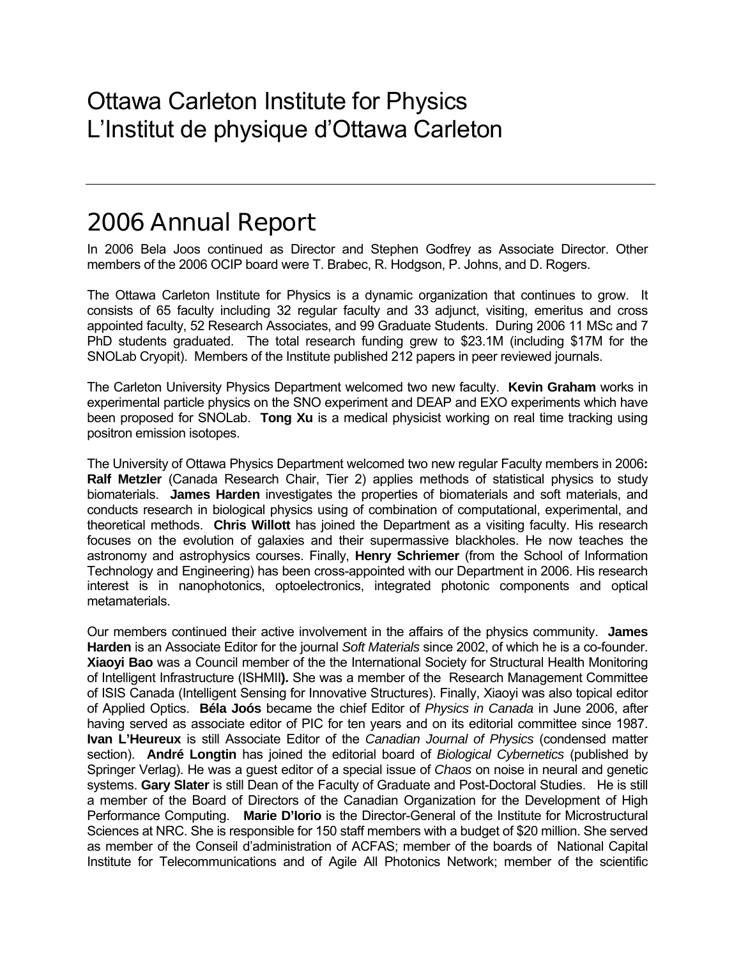# 2006 Annual Report

In 2006 Bela Joos continued as Director and Stephen Godfrey as Associate Director. Other members of the 2006 OCIP board were T. Brabec, R. Hodgson, P. Johns, and D. Rogers.

The Ottawa Carleton Institute for Physics is a dynamic organization that continues to grow. It consists of 65 faculty including 32 regular faculty and 33 adjunct, visiting, emeritus and cross appointed faculty, 52 Research Associates, and 99 Graduate Students. During 2006 11 MSc and 7 PhD students graduated. The total research funding grew to \$23.1M (including \$17M for the SNOLab Cryopit). Members of the Institute published 212 papers in peer reviewed journals.

The Carleton University Physics Department welcomed two new faculty. **Kevin Graham** works in experimental particle physics on the SNO experiment and DEAP and EXO experiments which have been proposed for SNOLab. **Tong Xu** is a medical physicist working on real time tracking using positron emission isotopes.

The University of Ottawa Physics Department welcomed two new regular Faculty members in 2006**: Ralf Metzler** (Canada Research Chair, Tier 2) applies methods of statistical physics to study biomaterials. **James Harden** investigates the properties of biomaterials and soft materials, and conducts research in biological physics using of combination of computational, experimental, and theoretical methods. **Chris Willott** has joined the Department as a visiting faculty. His research focuses on the evolution of galaxies and their supermassive blackholes. He now teaches the astronomy and astrophysics courses. Finally, **Henry Schriemer** (from the School of Information Technology and Engineering) has been cross-appointed with our Department in 2006. His research interest is in nanophotonics, optoelectronics, integrated photonic components and optical metamaterials.

Our members continued their active involvement in the affairs of the physics community. **James Harden** is an Associate Editor for the journal *Soft Materials* since 2002, of which he is a co-founder. **Xiaoyi Bao** was a Council member of the the International Society for Structural Health Monitoring of Intelligent Infrastructure (ISHMII**).** She was a member of the Research Management Committee of ISIS Canada (Intelligent Sensing for Innovative Structures). Finally, Xiaoyi was also topical editor of Applied Optics. **Béla Joós** became the chief Editor of *Physics in Canada* in June 2006, after having served as associate editor of PIC for ten years and on its editorial committee since 1987. **Ivan L'Heureux** is still Associate Editor of the *Canadian Journal of Physics* (condensed matter section). **André Longtin** has joined the editorial board of *Biological Cybernetics* (published by Springer Verlag). He was a guest editor of a special issue of *Chaos* on noise in neural and genetic systems. **Gary Slater** is still Dean of the Faculty of Graduate and Post-Doctoral Studies. He is still a member of the Board of Directors of the Canadian Organization for the Development of High Performance Computing. **Marie D'Iorio** is the Director-General of the Institute for Microstructural Sciences at NRC. She is responsible for 150 staff members with a budget of \$20 million. She served as member of the Conseil d'administration of ACFAS; member of the boards of National Capital Institute for Telecommunications and of Agile All Photonics Network; member of the scientific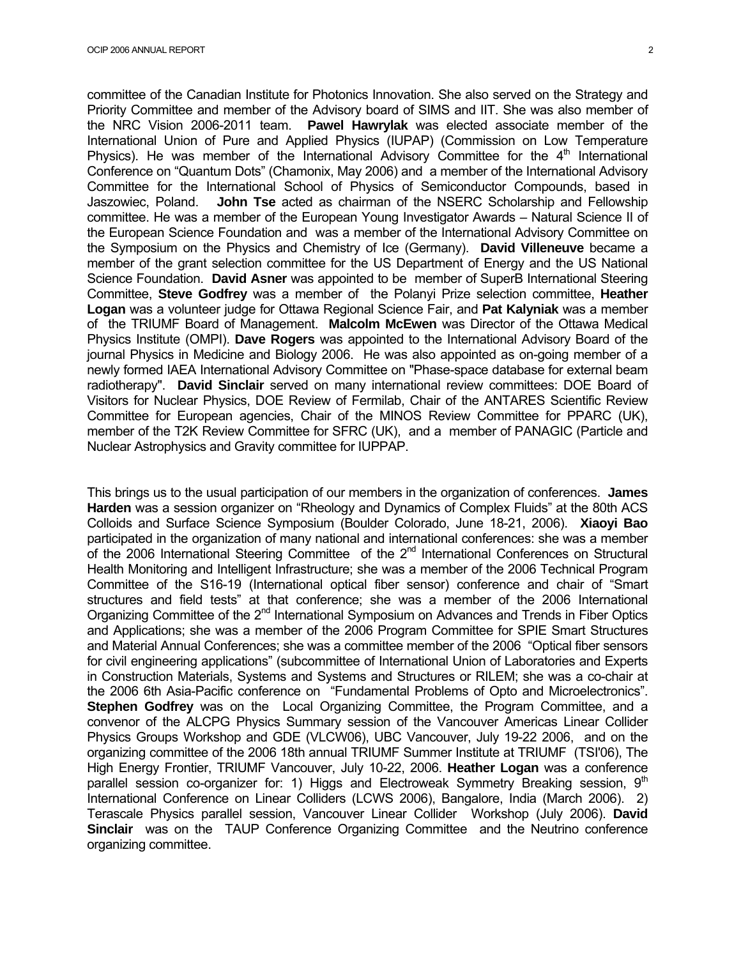committee of the Canadian Institute for Photonics Innovation. She also served on the Strategy and Priority Committee and member of the Advisory board of SIMS and IIT. She was also member of the NRC Vision 2006-2011 team. **Pawel Hawrylak** was elected associate member of the International Union of Pure and Applied Physics (IUPAP) (Commission on Low Temperature Physics). He was member of the International Advisory Committee for the  $4<sup>th</sup>$  International Conference on "Quantum Dots" (Chamonix, May 2006) and a member of the International Advisory Committee for the International School of Physics of Semiconductor Compounds, based in Jaszowiec, Poland. **John Tse** acted as chairman of the NSERC Scholarship and Fellowship committee. He was a member of the European Young Investigator Awards – Natural Science II of the European Science Foundation and was a member of the International Advisory Committee on the Symposium on the Physics and Chemistry of Ice (Germany). **David Villeneuve** became a member of the grant selection committee for the US Department of Energy and the US National Science Foundation. **David Asner** was appointed to be member of SuperB International Steering Committee, **Steve Godfrey** was a member of the Polanyi Prize selection committee, **Heather Logan** was a volunteer judge for Ottawa Regional Science Fair, and **Pat Kalyniak** was a member of the TRIUMF Board of Management. **Malcolm McEwen** was Director of the Ottawa Medical Physics Institute (OMPI). **Dave Rogers** was appointed to the International Advisory Board of the journal Physics in Medicine and Biology 2006. He was also appointed as on-going member of a newly formed IAEA International Advisory Committee on "Phase-space database for external beam radiotherapy". **David Sinclair** served on many international review committees: DOE Board of Visitors for Nuclear Physics, DOE Review of Fermilab, Chair of the ANTARES Scientific Review Committee for European agencies, Chair of the MINOS Review Committee for PPARC (UK), member of the T2K Review Committee for SFRC (UK), and a member of PANAGIC (Particle and Nuclear Astrophysics and Gravity committee for IUPPAP.

This brings us to the usual participation of our members in the organization of conferences. **James Harden** was a session organizer on "Rheology and Dynamics of Complex Fluids" at the 80th ACS Colloids and Surface Science Symposium (Boulder Colorado, June 18-21, 2006). **Xiaoyi Bao** participated in the organization of many national and international conferences: she was a member of the 2006 International Steering Committee of the 2<sup>nd</sup> International Conferences on Structural Health Monitoring and Intelligent Infrastructure; she was a member of the 2006 Technical Program Committee of the S16-19 (International optical fiber sensor) conference and chair of "Smart structures and field tests" at that conference; she was a member of the 2006 International Organizing Committee of the 2<sup>nd</sup> International Symposium on Advances and Trends in Fiber Optics and Applications; she was a member of the 2006 Program Committee for SPIE Smart Structures and Material Annual Conferences; she was a committee member of the 2006 "Optical fiber sensors for civil engineering applications" (subcommittee of International Union of Laboratories and Experts in Construction Materials, Systems and Systems and Structures or RILEM; she was a co-chair at the 2006 6th Asia-Pacific conference on "Fundamental Problems of Opto and Microelectronics". **Stephen Godfrey** was on the Local Organizing Committee, the Program Committee, and a convenor of the ALCPG Physics Summary session of the Vancouver Americas Linear Collider Physics Groups Workshop and GDE (VLCW06), UBC Vancouver, July 19-22 2006, and on the organizing committee of the 2006 18th annual TRIUMF Summer Institute at TRIUMF (TSI'06), The High Energy Frontier, TRIUMF Vancouver, July 10-22, 2006. **Heather Logan** was a conference parallel session co-organizer for: 1) Higgs and Electroweak Symmetry Breaking session,  $9<sup>th</sup>$ International Conference on Linear Colliders (LCWS 2006), Bangalore, India (March 2006). 2) Terascale Physics parallel session, Vancouver Linear Collider Workshop (July 2006). **David Sinclair** was on the TAUP Conference Organizing Committee and the Neutrino conference organizing committee.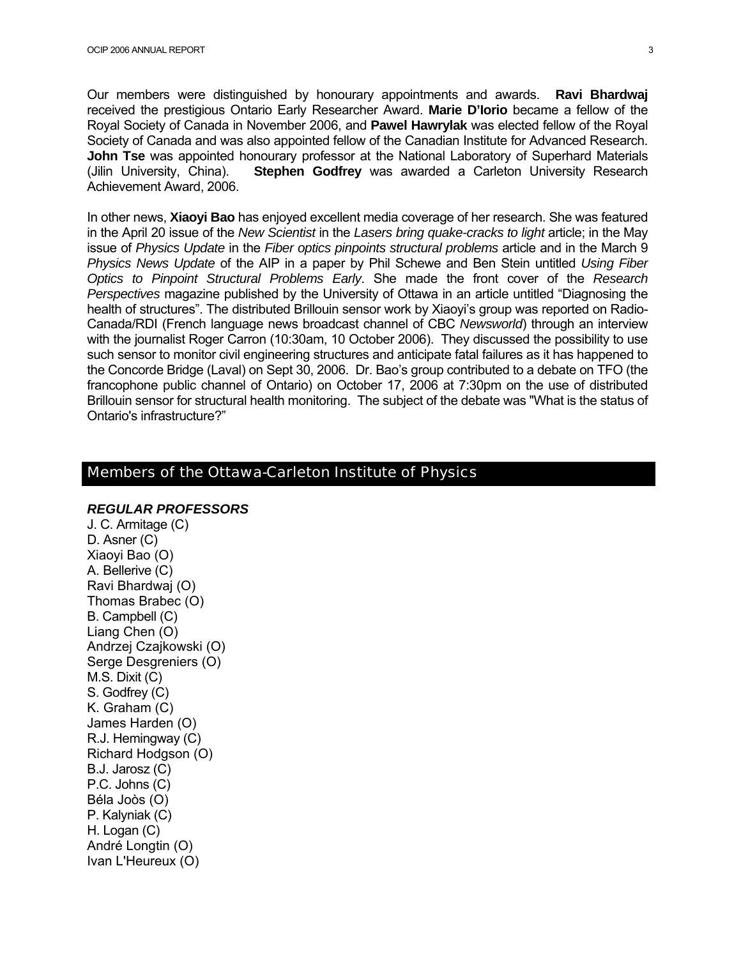Our members were distinguished by honourary appointments and awards. **Ravi Bhardwaj** received the prestigious Ontario Early Researcher Award. **Marie D'Iorio** became a fellow of the Royal Society of Canada in November 2006, and **Pawel Hawrylak** was elected fellow of the Royal Society of Canada and was also appointed fellow of the Canadian Institute for Advanced Research. **John Tse** was appointed honourary professor at the National Laboratory of Superhard Materials (Jilin University, China). **Stephen Godfrey** was awarded a Carleton University Research Achievement Award, 2006.

In other news, **Xiaoyi Bao** has enjoyed excellent media coverage of her research. She was featured in the April 20 issue of the *New Scientist* in the *Lasers bring quake-cracks to light* article; in the May issue of *Physics Update* in the *Fiber optics pinpoints structural problems* article and in the March 9 *Physics News Update* of the AIP in a paper by Phil Schewe and Ben Stein untitled *Using Fiber Optics to Pinpoint Structural Problems Early*. She made the front cover of the *Research Perspectives* magazine published by the University of Ottawa in an article untitled "Diagnosing the health of structures". The distributed Brillouin sensor work by Xiaoyi's group was reported on Radio-Canada/RDI (French language news broadcast channel of CBC *Newsworld*) through an interview with the journalist Roger Carron (10:30am, 10 October 2006). They discussed the possibility to use such sensor to monitor civil engineering structures and anticipate fatal failures as it has happened to the Concorde Bridge (Laval) on Sept 30, 2006. Dr. Bao's group contributed to a debate on TFO (the francophone public channel of Ontario) on October 17, 2006 at 7:30pm on the use of distributed Brillouin sensor for structural health monitoring. The subject of the debate was "What is the status of Ontario's infrastructure?"

#### Members of the Ottawa-Carleton Institute of Physics

#### *REGULAR PROFESSORS*

J. C. Armitage (C) D. Asner (C) Xiaoyi Bao (O) A. Bellerive (C) Ravi Bhardwaj (O) Thomas Brabec (O) B. Campbell (C) Liang Chen (O) Andrzej Czajkowski (O) Serge Desgreniers (O) M.S. Dixit (C) S. Godfrey (C) K. Graham (C) James Harden (O) R.J. Hemingway (C) Richard Hodgson (O) B.J. Jarosz (C) P.C. Johns (C) Béla Joòs (O) P. Kalyniak (C) H. Logan (C) André Longtin (O) Ivan L'Heureux (O)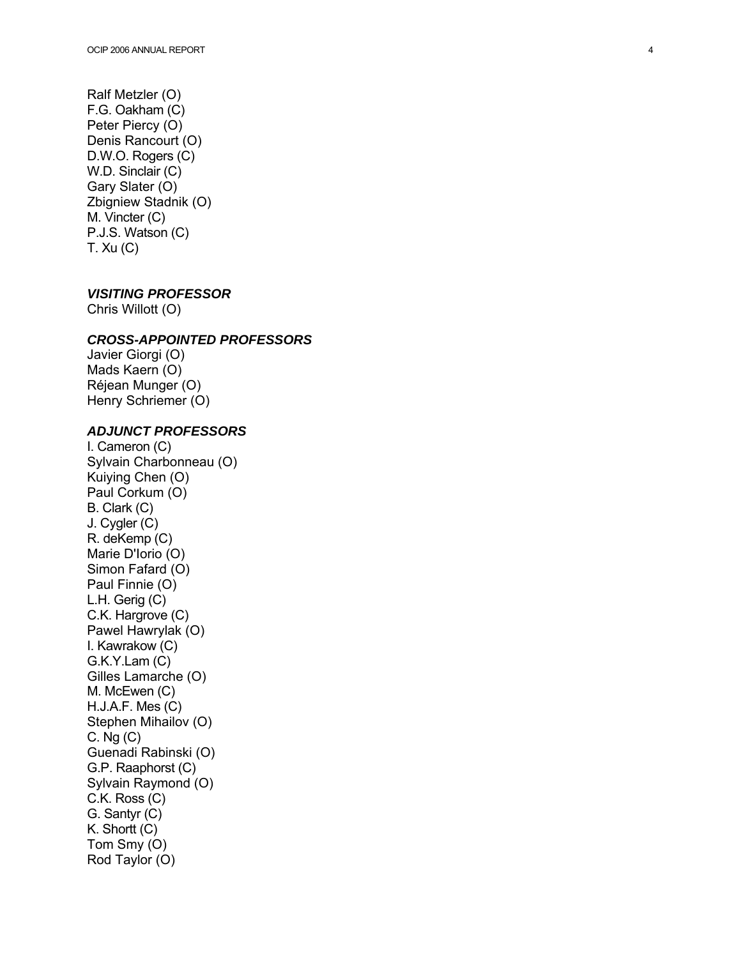Ralf Metzler (O) F.G. Oakham (C) Peter Piercy (O) Denis Rancourt (O) D.W.O. Rogers (C) W.D. Sinclair (C) Gary Slater (O) Zbigniew Stadnik (O) M. Vincter (C) P.J.S. Watson (C) T. Xu (C)

#### *VISITING PROFESSOR*

Chris Willott (O)

#### *CROSS-APPOINTED PROFESSORS*

Javier Giorgi (O) Mads Kaern (O) Réjean Munger (O) Henry Schriemer (O)

#### *ADJUNCT PROFESSORS*

I. Cameron (C) Sylvain Charbonneau (O) Kuiying Chen (O) Paul Corkum (O) B. Clark (C) J. Cygler (C) R. deKemp (C) Marie D'Iorio (O) Simon Fafard (O) Paul Finnie (O) L.H. Gerig (C) C.K. Hargrove (C) Pawel Hawrylak (O) I. Kawrakow (C) G.K.Y.Lam (C) Gilles Lamarche (O) M. McEwen (C) H.J.A.F. Mes (C) Stephen Mihailov (O) C. Ng (C) Guenadi Rabinski (O) G.P. Raaphorst (C) Sylvain Raymond (O) C.K. Ross (C) G. Santyr (C) K. Shortt (C) Tom Smy (O) Rod Taylor (O)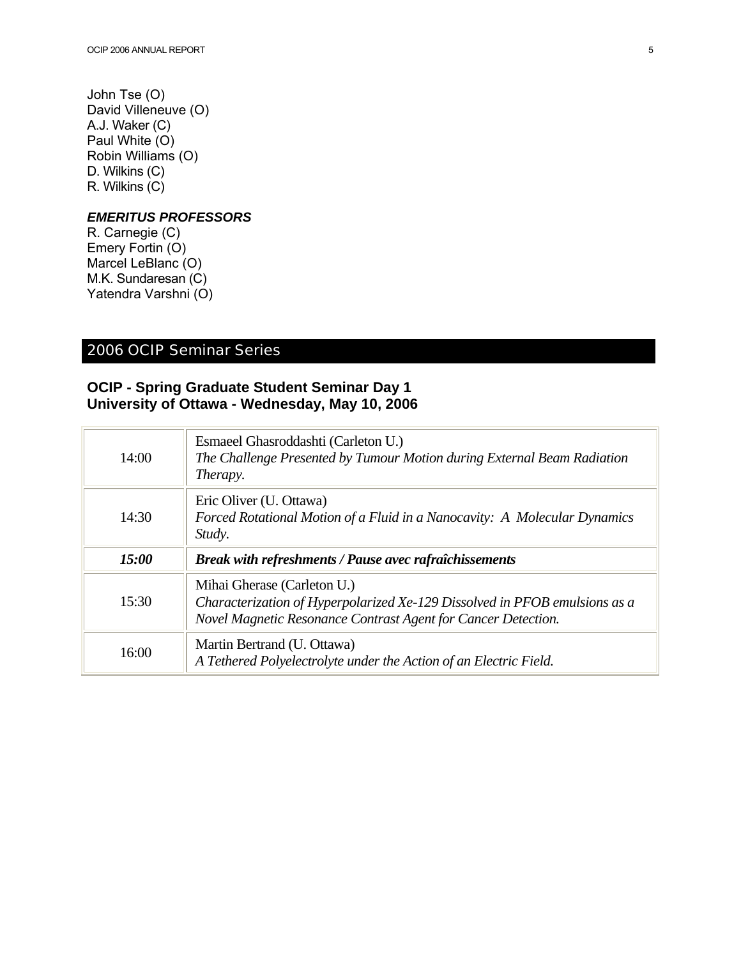John Tse (O) David Villeneuve (O) A.J. Waker (C) Paul White (O) Robin Williams (O) D. Wilkins (C) R. Wilkins (C)

#### *EMERITUS PROFESSORS*

R. Carnegie (C) Emery Fortin (O) Marcel LeBlanc (O) M.K. Sundaresan (C) Yatendra Varshni (O)

### 2006 OCIP Seminar Series

### **OCIP - Spring Graduate Student Seminar Day 1 University of Ottawa - Wednesday, May 10, 2006**

| 14:00 | Esmaeel Ghasroddashti (Carleton U.)<br>The Challenge Presented by Tumour Motion during External Beam Radiation<br>Therapy.                                                 |
|-------|----------------------------------------------------------------------------------------------------------------------------------------------------------------------------|
| 14:30 | Eric Oliver (U. Ottawa)<br>Forced Rotational Motion of a Fluid in a Nanocavity: A Molecular Dynamics<br>Study.                                                             |
|       |                                                                                                                                                                            |
| 15:00 | <b>Break with refreshments / Pause avec rafraîchissements</b>                                                                                                              |
| 15:30 | Mihai Gherase (Carleton U.)<br>Characterization of Hyperpolarized Xe-129 Dissolved in PFOB emulsions as a<br>Novel Magnetic Resonance Contrast Agent for Cancer Detection. |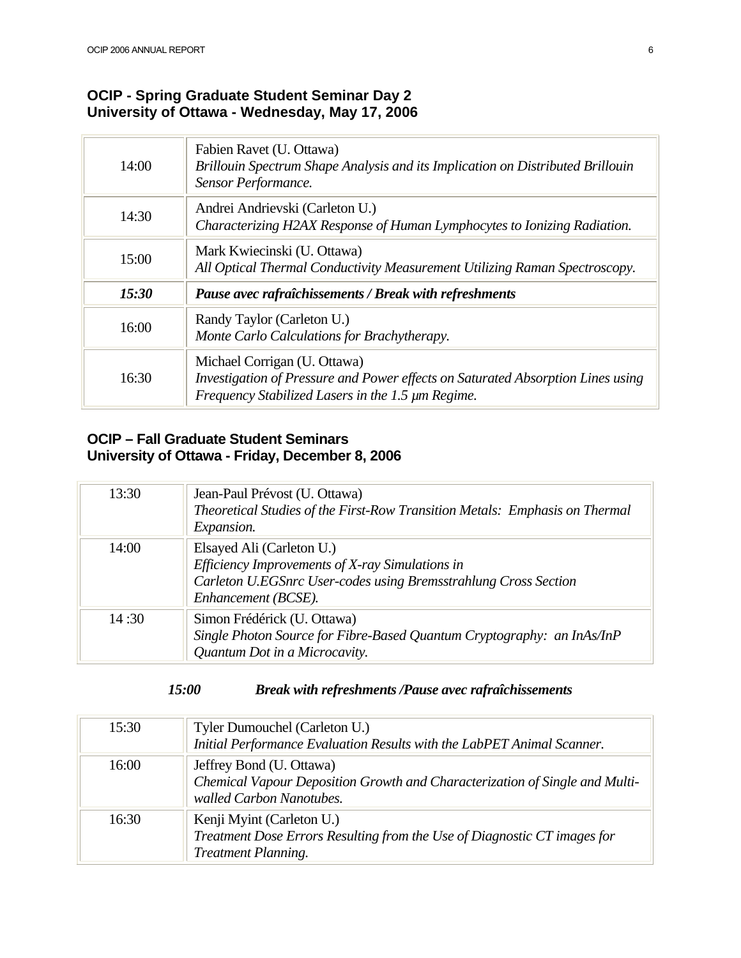### **OCIP - Spring Graduate Student Seminar Day 2 University of Ottawa - Wednesday, May 17, 2006**

| 14:00 | Fabien Ravet (U. Ottawa)<br>Brillouin Spectrum Shape Analysis and its Implication on Distributed Brillouin<br>Sensor Performance.                                         |
|-------|---------------------------------------------------------------------------------------------------------------------------------------------------------------------------|
| 14:30 | Andrei Andrievski (Carleton U.)<br>Characterizing H2AX Response of Human Lymphocytes to Ionizing Radiation.                                                               |
| 15:00 | Mark Kwiecinski (U. Ottawa)<br>All Optical Thermal Conductivity Measurement Utilizing Raman Spectroscopy.                                                                 |
| 15:30 | Pause avec rafraîchissements / Break with refreshments                                                                                                                    |
| 16:00 | Randy Taylor (Carleton U.)<br>Monte Carlo Calculations for Brachytherapy.                                                                                                 |
| 16:30 | Michael Corrigan (U. Ottawa)<br>Investigation of Pressure and Power effects on Saturated Absorption Lines using<br>Frequency Stabilized Lasers in the 1.5 $\mu$ m Regime. |

### **OCIP – Fall Graduate Student Seminars University of Ottawa - Friday, December 8, 2006**

| 13:30 | Jean-Paul Prévost (U. Ottawa)<br>Theoretical Studies of the First-Row Transition Metals: Emphasis on Thermal<br><i>Expansion.</i>                                      |
|-------|------------------------------------------------------------------------------------------------------------------------------------------------------------------------|
| 14:00 | Elsayed Ali (Carleton U.)<br>Efficiency Improvements of X-ray Simulations in<br>Carleton U.EGSnrc User-codes using Bremsstrahlung Cross Section<br>Enhancement (BCSE). |
| 14:30 | Simon Frédérick (U. Ottawa)<br>Single Photon Source for Fibre-Based Quantum Cryptography: an InAs/InP<br>Quantum Dot in a Microcavity.                                 |

### *15:00 Break with refreshments /Pause avec rafraîchissements*

| 15:30 | Tyler Dumouchel (Carleton U.)<br>Initial Performance Evaluation Results with the LabPET Animal Scanner.                             |
|-------|-------------------------------------------------------------------------------------------------------------------------------------|
| 16:00 | Jeffrey Bond (U. Ottawa)<br>Chemical Vapour Deposition Growth and Characterization of Single and Multi-<br>walled Carbon Nanotubes. |
| 16:30 | Kenji Myint (Carleton U.)<br>Treatment Dose Errors Resulting from the Use of Diagnostic CT images for<br><b>Treatment Planning.</b> |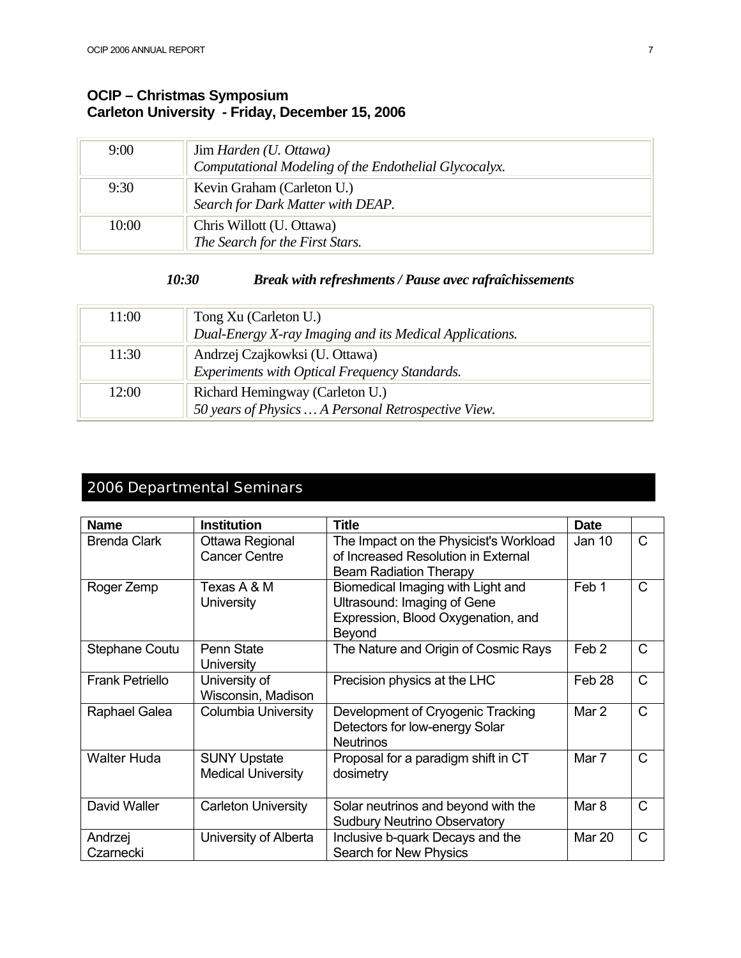### **OCIP – Christmas Symposium Carleton University - Friday, December 15, 2006**

| 9:00  | Jim Harden (U. Ottawa)<br>Computational Modeling of the Endothelial Glycocalyx. |
|-------|---------------------------------------------------------------------------------|
| 9:30  | Kevin Graham (Carleton U.)<br>Search for Dark Matter with DEAP.                 |
| 10:00 | Chris Willott (U. Ottawa)<br>The Search for the First Stars.                    |

#### *10:30 Break with refreshments / Pause avec rafraîchissements*

| 11:00 | Tong Xu (Carleton U.)<br>Dual-Energy X-ray Imaging and its Medical Applications.       |
|-------|----------------------------------------------------------------------------------------|
| 11:30 | Andrzej Czajkowksi (U. Ottawa)<br>Experiments with Optical Frequency Standards.        |
| 12:00 | Richard Hemingway (Carleton U.)<br>50 years of Physics  A Personal Retrospective View. |

### 2006 Departmental Seminars

| <b>Name</b>            | <b>Institution</b>                               | <b>Title</b>                                                                                                     | <b>Date</b>       |              |
|------------------------|--------------------------------------------------|------------------------------------------------------------------------------------------------------------------|-------------------|--------------|
| <b>Brenda Clark</b>    | Ottawa Regional<br><b>Cancer Centre</b>          | The Impact on the Physicist's Workload<br>of Increased Resolution in External<br><b>Beam Radiation Therapy</b>   | Jan 10            | $\mathsf{C}$ |
| Roger Zemp             | Texas A & M<br>University                        | Biomedical Imaging with Light and<br>Ultrasound: Imaging of Gene<br>Expression, Blood Oxygenation, and<br>Beyond | Feb 1             | $\mathsf{C}$ |
| Stephane Coutu         | Penn State<br><b>University</b>                  | The Nature and Origin of Cosmic Rays                                                                             | Feb <sub>2</sub>  | $\mathsf{C}$ |
| <b>Frank Petriello</b> | University of<br>Wisconsin, Madison              | Precision physics at the LHC                                                                                     | Feb <sub>28</sub> | $\mathsf{C}$ |
| Raphael Galea          | Columbia University                              | Development of Cryogenic Tracking<br>Detectors for low-energy Solar<br><b>Neutrinos</b>                          | Mar 2             | $\mathsf{C}$ |
| <b>Walter Huda</b>     | <b>SUNY Upstate</b><br><b>Medical University</b> | Proposal for a paradigm shift in CT<br>dosimetry                                                                 | Mar 7             | $\mathsf{C}$ |
| David Waller           | <b>Carleton University</b>                       | Solar neutrinos and beyond with the<br><b>Sudbury Neutrino Observatory</b>                                       | Mar 8             | C            |
| Andrzej<br>Czarnecki   | University of Alberta                            | Inclusive b-quark Decays and the<br>Search for New Physics                                                       | <b>Mar 20</b>     | $\mathsf{C}$ |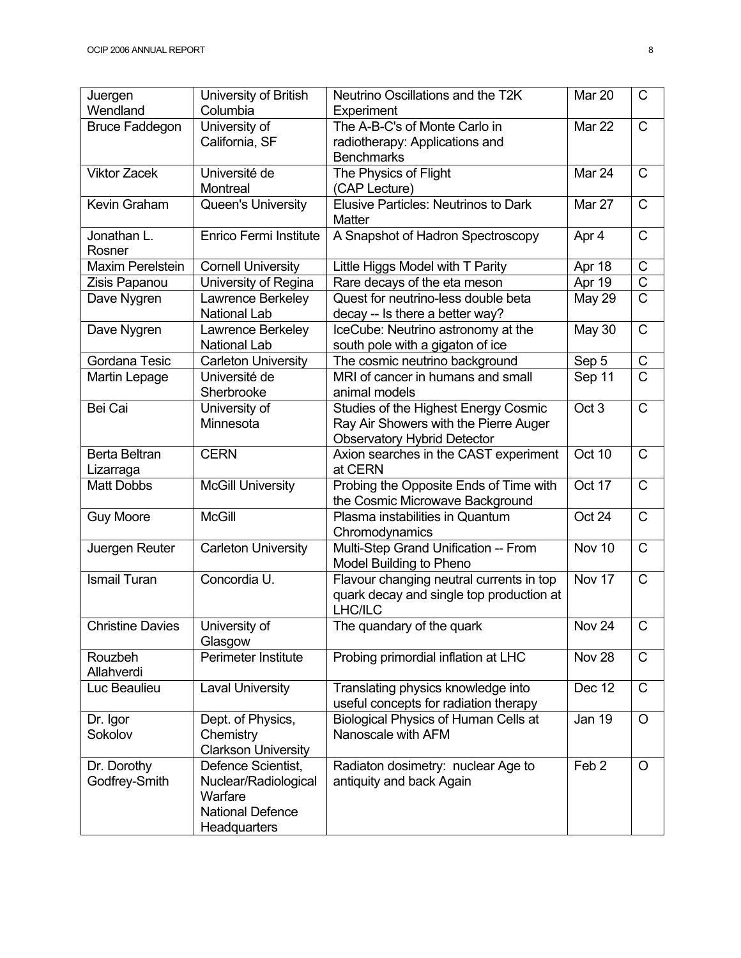| Juergen<br>Wendland          | University of British<br>Columbia                                                                | Neutrino Oscillations and the T2K<br>Experiment                                                                     | Mar 20           | $\mathsf{C}$          |
|------------------------------|--------------------------------------------------------------------------------------------------|---------------------------------------------------------------------------------------------------------------------|------------------|-----------------------|
| <b>Bruce Faddegon</b>        | University of<br>California, SF                                                                  | The A-B-C's of Monte Carlo in<br>radiotherapy: Applications and<br><b>Benchmarks</b>                                | Mar 22           | $\mathsf{C}$          |
| <b>Viktor Zacek</b>          | Université de<br>Montreal                                                                        | The Physics of Flight<br>(CAP Lecture)                                                                              | Mar 24           | $\mathsf{C}$          |
| Kevin Graham                 | Queen's University                                                                               | <b>Elusive Particles: Neutrinos to Dark</b><br><b>Matter</b>                                                        | Mar 27           | $\mathsf{C}$          |
| Jonathan L.<br>Rosner        | Enrico Fermi Institute                                                                           | A Snapshot of Hadron Spectroscopy                                                                                   | Apr 4            | $\overline{C}$        |
| <b>Maxim Perelstein</b>      | <b>Cornell University</b>                                                                        | Little Higgs Model with T Parity                                                                                    | Apr 18           | $\mathsf C$           |
| Zisis Papanou                | University of Regina                                                                             | Rare decays of the eta meson                                                                                        | Apr 19           | $\overline{C}$        |
| Dave Nygren                  | Lawrence Berkeley<br><b>National Lab</b>                                                         | Quest for neutrino-less double beta<br>decay -- Is there a better way?                                              | <b>May 29</b>    | $\overline{C}$        |
| Dave Nygren                  | Lawrence Berkeley<br><b>National Lab</b>                                                         | IceCube: Neutrino astronomy at the<br>south pole with a gigaton of ice                                              | <b>May 30</b>    | $\mathsf{C}$          |
| Gordana Tesic                | <b>Carleton University</b>                                                                       | The cosmic neutrino background                                                                                      | Sep 5            | $\mathsf C$           |
| Martin Lepage                | Université de<br>Sherbrooke                                                                      | MRI of cancer in humans and small<br>animal models                                                                  | Sep 11           | $\overline{\text{C}}$ |
| Bei Cai                      | University of<br>Minnesota                                                                       | Studies of the Highest Energy Cosmic<br>Ray Air Showers with the Pierre Auger<br><b>Observatory Hybrid Detector</b> | Oct <sub>3</sub> | $\mathsf{C}$          |
| Berta Beltran<br>Lizarraga   | <b>CERN</b>                                                                                      | Axion searches in the CAST experiment<br>at CERN                                                                    | Oct 10           | $\mathsf{C}$          |
| <b>Matt Dobbs</b>            | <b>McGill University</b>                                                                         | Probing the Opposite Ends of Time with<br>the Cosmic Microwave Background                                           | Oct 17           | $\mathsf{C}$          |
| <b>Guy Moore</b>             | <b>McGill</b>                                                                                    | Plasma instabilities in Quantum<br>Chromodynamics                                                                   | Oct 24           | $\mathsf{C}$          |
| Juergen Reuter               | <b>Carleton University</b>                                                                       | Multi-Step Grand Unification -- From<br>Model Building to Pheno                                                     | Nov 10           | $\mathsf{C}$          |
| <b>Ismail Turan</b>          | Concordia U.                                                                                     | Flavour changing neutral currents in top<br>quark decay and single top production at<br><b>LHC/ILC</b>              | Nov 17           | $\mathsf{C}$          |
| <b>Christine Davies</b>      | University of<br>Glasgow                                                                         | The quandary of the quark                                                                                           | Nov 24           | $\mathsf C$           |
| Rouzbeh<br>Allahverdi        | Perimeter Institute                                                                              | Probing primordial inflation at LHC                                                                                 | Nov 28           | $\mathsf{C}$          |
| Luc Beaulieu                 | <b>Laval University</b>                                                                          | Translating physics knowledge into<br>useful concepts for radiation therapy                                         | Dec 12           | C                     |
| Dr. Igor<br>Sokolov          | Dept. of Physics,<br>Chemistry<br><b>Clarkson University</b>                                     | Biological Physics of Human Cells at<br>Nanoscale with AFM                                                          | <b>Jan 19</b>    | $\circ$               |
| Dr. Dorothy<br>Godfrey-Smith | Defence Scientist,<br>Nuclear/Radiological<br>Warfare<br><b>National Defence</b><br>Headquarters | Radiaton dosimetry: nuclear Age to<br>antiquity and back Again                                                      | Feb <sub>2</sub> | $\circ$               |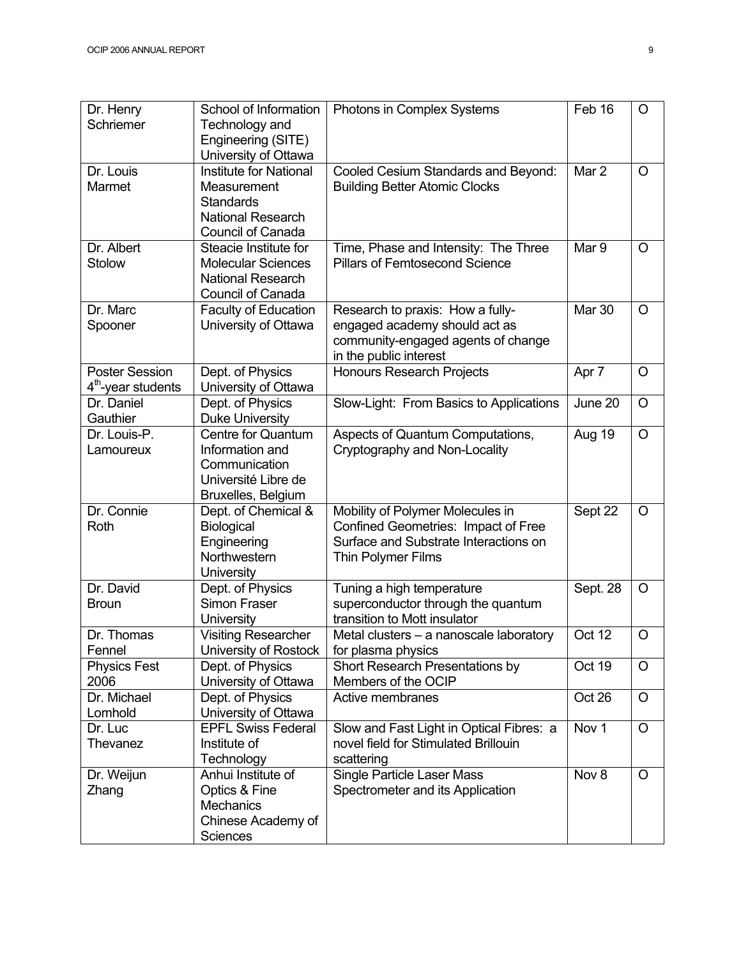| Dr. Henry<br>Schriemer                                  | School of Information<br>Technology and<br>Engineering (SITE)<br>University of Ottawa                             | Photons in Complex Systems                                                                                                             | Feb 16   | $\circ$ |
|---------------------------------------------------------|-------------------------------------------------------------------------------------------------------------------|----------------------------------------------------------------------------------------------------------------------------------------|----------|---------|
| Dr. Louis<br>Marmet                                     | <b>Institute for National</b><br>Measurement<br><b>Standards</b><br><b>National Research</b><br>Council of Canada | Cooled Cesium Standards and Beyond:<br><b>Building Better Atomic Clocks</b>                                                            | Mar 2    | O       |
| Dr. Albert<br>Stolow                                    | Steacie Institute for<br><b>Molecular Sciences</b><br><b>National Research</b><br>Council of Canada               | Time, Phase and Intensity: The Three<br><b>Pillars of Femtosecond Science</b>                                                          | Mar 9    | $\circ$ |
| Dr. Marc<br>Spooner                                     | <b>Faculty of Education</b><br>University of Ottawa                                                               | Research to praxis: How a fully-<br>engaged academy should act as<br>community-engaged agents of change<br>in the public interest      | Mar 30   | O       |
| <b>Poster Session</b><br>4 <sup>th</sup> -year students | Dept. of Physics<br>University of Ottawa                                                                          | <b>Honours Research Projects</b>                                                                                                       | Apr 7    | $\circ$ |
| Dr. Daniel<br>Gauthier                                  | Dept. of Physics<br><b>Duke University</b>                                                                        | Slow-Light: From Basics to Applications                                                                                                | June 20  | $\circ$ |
| Dr. Louis-P.<br>Lamoureux                               | <b>Centre for Quantum</b><br>Information and<br>Communication<br>Université Libre de<br>Bruxelles, Belgium        | Aspects of Quantum Computations,<br>Cryptography and Non-Locality                                                                      | Aug 19   | $\circ$ |
| Dr. Connie<br>Roth                                      | Dept. of Chemical &<br>Biological<br>Engineering<br>Northwestern<br>University                                    | Mobility of Polymer Molecules in<br>Confined Geometries: Impact of Free<br>Surface and Substrate Interactions on<br>Thin Polymer Films | Sept 22  | $\circ$ |
| Dr. David<br><b>Broun</b>                               | Dept. of Physics<br>Simon Fraser<br>University                                                                    | Tuning a high temperature<br>superconductor through the quantum<br>transition to Mott insulator                                        | Sept. 28 | $\circ$ |
| Dr. Thomas<br>Fennel                                    | <b>Visiting Researcher</b><br>University of Rostock                                                               | Metal clusters - a nanoscale laboratory<br>for plasma physics                                                                          | Oct $12$ | $\circ$ |
| <b>Physics Fest</b><br>2006                             | Dept. of Physics<br>University of Ottawa                                                                          | Short Research Presentations by<br>Members of the OCIP                                                                                 | Oct 19   | O       |
| Dr. Michael<br>Lomhold                                  | Dept. of Physics<br>University of Ottawa                                                                          | Active membranes                                                                                                                       | Oct 26   | $\circ$ |
| Dr. Luc<br>Thevanez                                     | <b>EPFL Swiss Federal</b><br>Institute of<br>Technology                                                           | Slow and Fast Light in Optical Fibres: a<br>novel field for Stimulated Brillouin<br>scattering                                         | Nov 1    | $\circ$ |
| Dr. Weijun<br>Zhang                                     | Anhui Institute of<br>Optics & Fine<br>Mechanics<br>Chinese Academy of<br><b>Sciences</b>                         | Single Particle Laser Mass<br>Spectrometer and its Application                                                                         | Nov 8    | O       |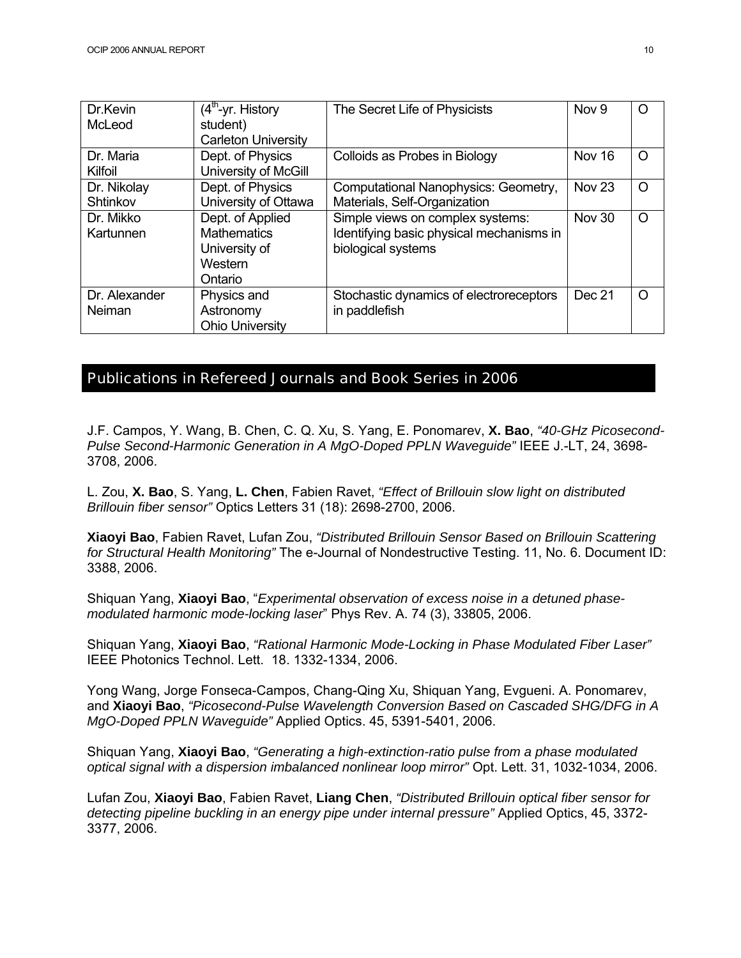| Dr.Kevin<br>McLeod      | $(4th$ -yr. History<br>student)<br><b>Carleton University</b>                 | The Secret Life of Physicists                                                                      | Nov <sub>9</sub>  | $\Omega$ |
|-------------------------|-------------------------------------------------------------------------------|----------------------------------------------------------------------------------------------------|-------------------|----------|
| Dr. Maria<br>Kilfoil    | Dept. of Physics<br>University of McGill                                      | Colloids as Probes in Biology                                                                      | Nov 16            | $\Omega$ |
| Dr. Nikolay<br>Shtinkov | Dept. of Physics<br>University of Ottawa                                      | Computational Nanophysics: Geometry,<br>Materials, Self-Organization                               | Nov <sub>23</sub> | $\Omega$ |
| Dr. Mikko<br>Kartunnen  | Dept. of Applied<br><b>Mathematics</b><br>University of<br>Western<br>Ontario | Simple views on complex systems:<br>Identifying basic physical mechanisms in<br>biological systems | <b>Nov 30</b>     | $\circ$  |
| Dr. Alexander<br>Neiman | Physics and<br>Astronomy<br><b>Ohio University</b>                            | Stochastic dynamics of electroreceptors<br>in paddlefish                                           | Dec 21            | $\Omega$ |

#### Publications in Refereed Journals and Book Series in 2006

J.F. Campos, Y. Wang, B. Chen, C. Q. Xu, S. Yang, E. Ponomarev, **X. Bao**, *"40-GHz Picosecond-Pulse Second-Harmonic Generation in A MgO-Doped PPLN Waveguide"* IEEE J.-LT, 24, 3698- 3708, 2006.

L. Zou, **X. Bao**, S. Yang, **L. Chen**, Fabien Ravet, *"Effect of Brillouin slow light on distributed Brillouin fiber sensor"* Optics Letters 31 (18): 2698-2700, 2006.

**Xiaoyi Bao**, Fabien Ravet, Lufan Zou, *"Distributed Brillouin Sensor Based on Brillouin Scattering for Structural Health Monitoring"* The e-Journal of Nondestructive Testing. 11, No. 6. Document ID: 3388, 2006.

Shiquan Yang, **Xiaoyi Bao**, "*Experimental observation of excess noise in a detuned phasemodulated harmonic mode-locking laser*" Phys Rev. A. 74 (3), 33805, 2006.

Shiquan Yang, **Xiaoyi Bao**, *"Rational Harmonic Mode-Locking in Phase Modulated Fiber Laser"* IEEE Photonics Technol. Lett. 18. 1332-1334, 2006.

Yong Wang, Jorge Fonseca-Campos, Chang-Qing Xu, Shiquan Yang, Evgueni. A. Ponomarev, and **Xiaoyi Bao**, *"Picosecond-Pulse Wavelength Conversion Based on Cascaded SHG/DFG in A MgO-Doped PPLN Waveguide"* Applied Optics. 45, 5391-5401, 2006.

Shiquan Yang, **Xiaoyi Bao**, *"Generating a high-extinction-ratio pulse from a phase modulated optical signal with a dispersion imbalanced nonlinear loop mirror"* Opt. Lett. 31, 1032-1034, 2006.

Lufan Zou, **Xiaoyi Bao**, Fabien Ravet, **Liang Chen**, *"Distributed Brillouin optical fiber sensor for detecting pipeline buckling in an energy pipe under internal pressure"* Applied Optics, 45, 3372- 3377, 2006.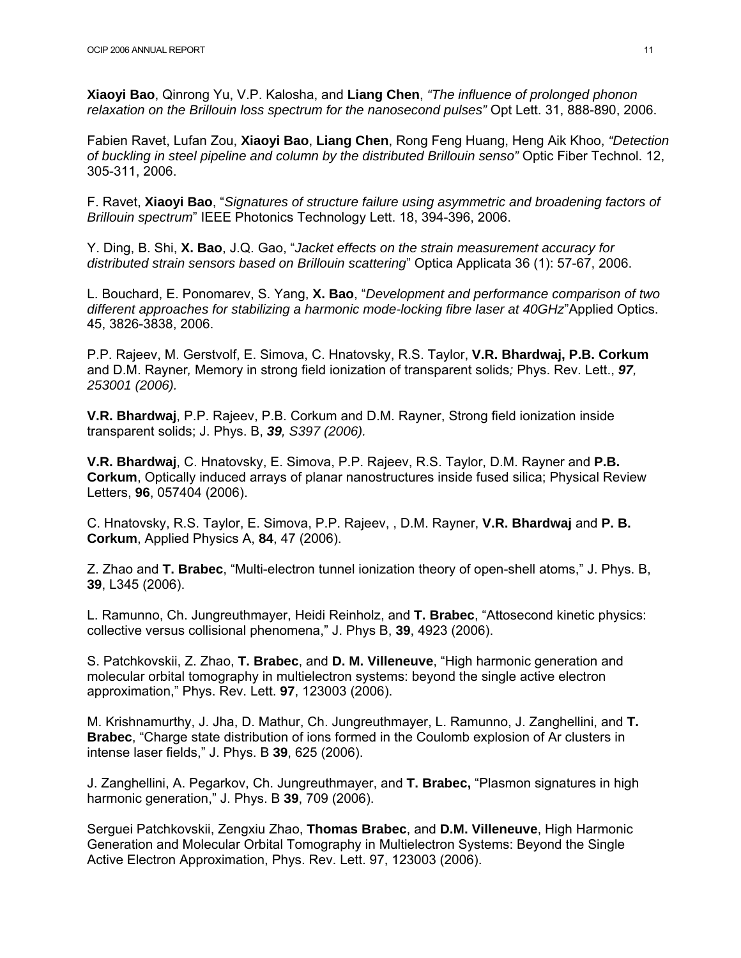**Xiaoyi Bao**, Qinrong Yu, V.P. Kalosha, and **Liang Chen**, *"The influence of prolonged phonon relaxation on the Brillouin loss spectrum for the nanosecond pulses"* Opt Lett. 31, 888-890, 2006.

Fabien Ravet, Lufan Zou, **Xiaoyi Bao**, **Liang Chen**, Rong Feng Huang, Heng Aik Khoo, *"Detection of buckling in steel pipeline and column by the distributed Brillouin senso"* Optic Fiber Technol. 12, 305-311, 2006.

F. Ravet, **Xiaoyi Bao**, "*Signatures of structure failure using asymmetric and broadening factors of Brillouin spectrum*" IEEE Photonics Technology Lett. 18, 394-396, 2006.

Y. Ding, B. Shi, **X. Bao**, J.Q. Gao, "*Jacket effects on the strain measurement accuracy for distributed strain sensors based on Brillouin scattering*" Optica Applicata 36 (1): 57-67, 2006.

L. Bouchard, E. Ponomarev, S. Yang, **X. Bao**, "*Development and performance comparison of two different approaches for stabilizing a harmonic mode-locking fibre laser at 40GHz*"Applied Optics. 45, 3826-3838, 2006.

P.P. Rajeev, M. Gerstvolf, E. Simova, C. Hnatovsky, R.S. Taylor, **V.R. Bhardwaj, P.B. Corkum** and D.M. Rayner*,* Memory in strong field ionization of transparent solids*;* Phys. Rev. Lett., *97, 253001 (2006).* 

**V.R. Bhardwaj**, P.P. Rajeev, P.B. Corkum and D.M. Rayner, Strong field ionization inside transparent solids; J. Phys. B, *39, S397 (2006).* 

**V.R. Bhardwaj**, C. Hnatovsky, E. Simova, P.P. Rajeev, R.S. Taylor, D.M. Rayner and **P.B. Corkum**, Optically induced arrays of planar nanostructures inside fused silica; Physical Review Letters, **96**, 057404 (2006).

C. Hnatovsky, R.S. Taylor, E. Simova, P.P. Rajeev, , D.M. Rayner, **V.R. Bhardwaj** and **P. B. Corkum**, Applied Physics A, **84**, 47 (2006).

Z. Zhao and **T. Brabec**, "Multi-electron tunnel ionization theory of open-shell atoms," J. Phys. B, **39**, L345 (2006).

L. Ramunno, Ch. Jungreuthmayer, Heidi Reinholz, and **T. Brabec**, "Attosecond kinetic physics: collective versus collisional phenomena," J. Phys B, **39**, 4923 (2006).

S. Patchkovskii, Z. Zhao, **T. Brabec**, and **D. M. Villeneuve**, "High harmonic generation and molecular orbital tomography in multielectron systems: beyond the single active electron approximation," Phys. Rev. Lett. **97**, 123003 (2006).

M. Krishnamurthy, J. Jha, D. Mathur, Ch. Jungreuthmayer, L. Ramunno, J. Zanghellini, and **T. Brabec**, "Charge state distribution of ions formed in the Coulomb explosion of Ar clusters in intense laser fields," J. Phys. B **39**, 625 (2006).

J. Zanghellini, A. Pegarkov, Ch. Jungreuthmayer, and **T. Brabec,** "Plasmon signatures in high harmonic generation," J. Phys. B **39**, 709 (2006).

Serguei Patchkovskii, Zengxiu Zhao, **Thomas Brabec**, and **D.M. Villeneuve**, High Harmonic Generation and Molecular Orbital Tomography in Multielectron Systems: Beyond the Single Active Electron Approximation, Phys. Rev. Lett. 97, 123003 (2006).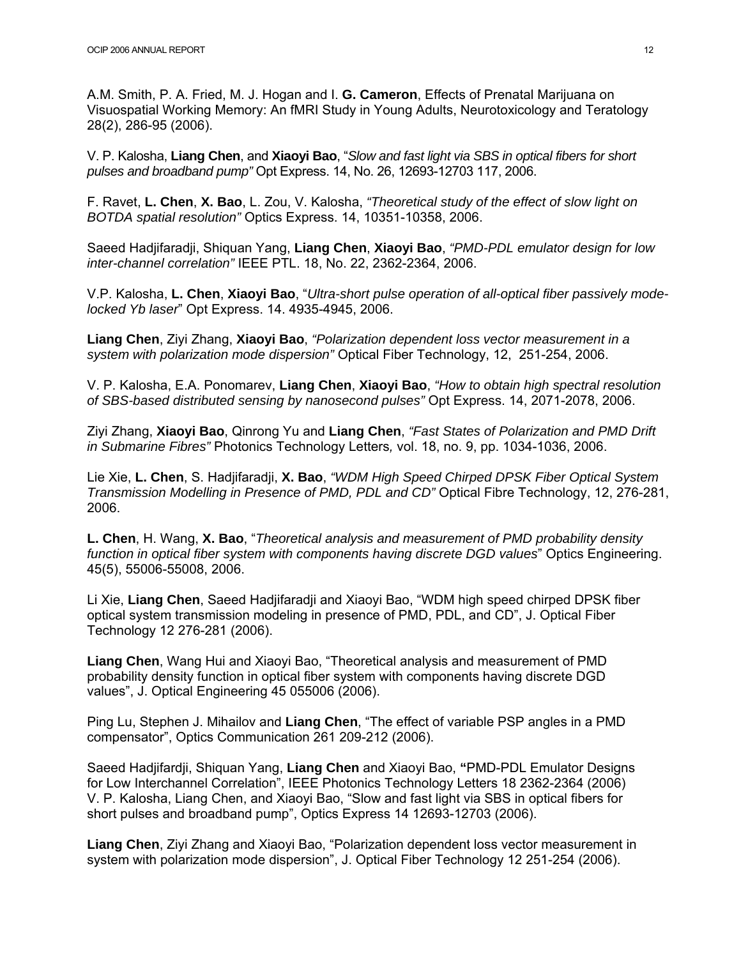A.M. Smith, P. A. Fried, M. J. Hogan and I. **G. Cameron**, Effects of Prenatal Marijuana on Visuospatial Working Memory: An fMRI Study in Young Adults, Neurotoxicology and Teratology 28(2), 286-95 (2006).

V. P. Kalosha, **Liang Chen**, and **Xiaoyi Bao**, "*Slow and fast light via SBS in optical fibers for short pulses and broadband pump"* Opt Express. 14, No. 26, 12693-12703 117, 2006.

F. Ravet, **L. Chen**, **X. Bao**, L. Zou, V. Kalosha, *"Theoretical study of the effect of slow light on BOTDA spatial resolution"* Optics Express. 14, 10351-10358, 2006.

Saeed Hadjifaradji, Shiquan Yang, **Liang Chen**, **Xiaoyi Bao**, *"PMD-PDL emulator design for low inter-channel correlation"* IEEE PTL. 18, No. 22, 2362-2364, 2006.

V.P. Kalosha, **L. Chen**, **Xiaoyi Bao**, "*Ultra-short pulse operation of all-optical fiber passively modelocked Yb laser*" Opt Express. 14. 4935-4945, 2006.

**Liang Chen**, Ziyi Zhang, **Xiaoyi Bao**, *"Polarization dependent loss vector measurement in a system with polarization mode dispersion"* Optical Fiber Technology, 12, 251-254, 2006.

V. P. Kalosha, E.A. Ponomarev, **Liang Chen**, **Xiaoyi Bao**, *"How to obtain high spectral resolution of SBS-based distributed sensing by nanosecond pulses"* Opt Express. 14, 2071-2078, 2006.

Ziyi Zhang, **Xiaoyi Bao**, Qinrong Yu and **Liang Chen**, *"Fast States of Polarization and PMD Drift in Submarine Fibres"* Photonics Technology Letters*,* vol. 18, no. 9, pp. 1034-1036, 2006.

Lie Xie, **L. Chen**, S. Hadjifaradji, **X. Bao**, *"WDM High Speed Chirped DPSK Fiber Optical System Transmission Modelling in Presence of PMD, PDL and CD"* Optical Fibre Technology, 12, 276-281, 2006.

**L. Chen**, H. Wang, **X. Bao**, "*Theoretical analysis and measurement of PMD probability density function in optical fiber system with components having discrete DGD values*" Optics Engineering. 45(5), 55006-55008, 2006.

Li Xie, **Liang Chen**, Saeed Hadjifaradji and Xiaoyi Bao, "WDM high speed chirped DPSK fiber optical system transmission modeling in presence of PMD, PDL, and CD", J. Optical Fiber Technology 12 276-281 (2006).

**Liang Chen**, Wang Hui and Xiaoyi Bao, "Theoretical analysis and measurement of PMD probability density function in optical fiber system with components having discrete DGD values", J. Optical Engineering 45 055006 (2006).

Ping Lu, Stephen J. Mihailov and **Liang Chen**, "The effect of variable PSP angles in a PMD compensator", Optics Communication 261 209-212 (2006).

Saeed Hadjifardji, Shiquan Yang, **Liang Chen** and Xiaoyi Bao, **"**PMD-PDL Emulator Designs for Low Interchannel Correlation", IEEE Photonics Technology Letters 18 2362-2364 (2006) V. P. Kalosha, Liang Chen, and Xiaoyi Bao, "Slow and fast light via SBS in optical fibers for short pulses and broadband pump", Optics Express 14 12693-12703 (2006).

**Liang Chen**, Ziyi Zhang and Xiaoyi Bao, "Polarization dependent loss vector measurement in system with polarization mode dispersion", J. Optical Fiber Technology 12 251-254 (2006).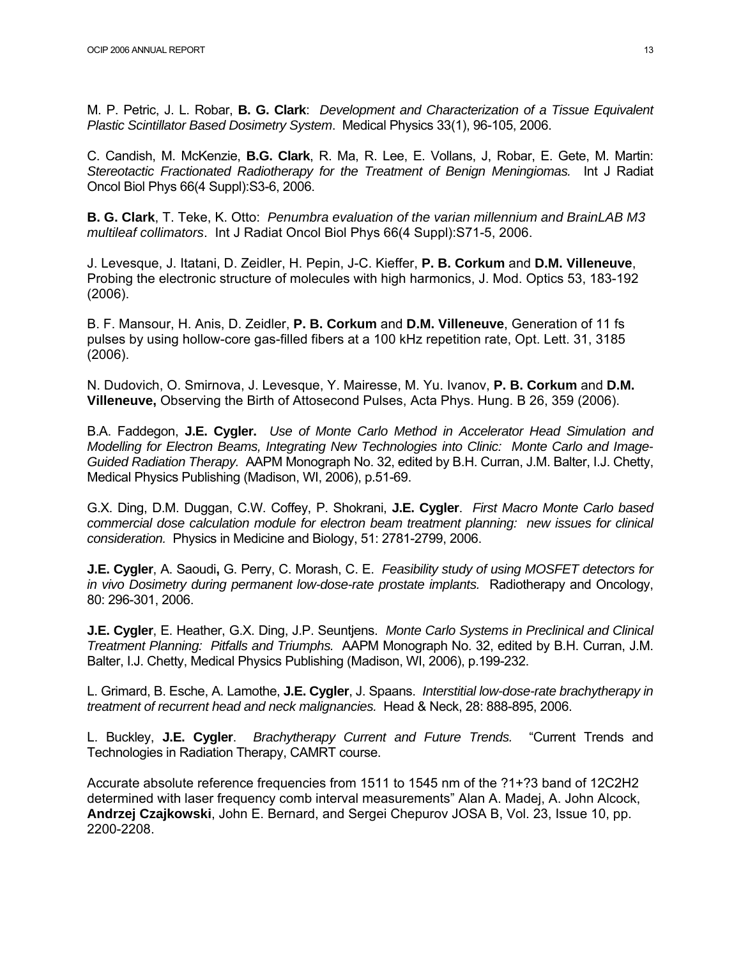M. P. Petric, J. L. Robar, **B. G. Clark**: *Development and Characterization of a Tissue Equivalent Plastic Scintillator Based Dosimetry System*. Medical Physics 33(1), 96-105, 2006.

C. Candish, M. McKenzie, **B.G. Clark**, R. Ma, R. Lee, E. Vollans, J, Robar, E. Gete, M. Martin: *Stereotactic Fractionated Radiotherapy for the Treatment of Benign Meningiomas.* Int J Radiat Oncol Biol Phys 66(4 Suppl):S3-6, 2006.

**B. G. Clark**, T. Teke, K. Otto: *Penumbra evaluation of the varian millennium and BrainLAB M3 multileaf collimators*. Int J Radiat Oncol Biol Phys 66(4 Suppl):S71-5, 2006.

J. Levesque, J. Itatani, D. Zeidler, H. Pepin, J-C. Kieffer, **P. B. Corkum** and **D.M. Villeneuve**, Probing the electronic structure of molecules with high harmonics, J. Mod. Optics 53, 183-192 (2006).

B. F. Mansour, H. Anis, D. Zeidler, **P. B. Corkum** and **D.M. Villeneuve**, Generation of 11 fs pulses by using hollow-core gas-filled fibers at a 100 kHz repetition rate, Opt. Lett. 31, 3185 (2006).

N. Dudovich, O. Smirnova, J. Levesque, Y. Mairesse, M. Yu. Ivanov, **P. B. Corkum** and **D.M. Villeneuve,** Observing the Birth of Attosecond Pulses, Acta Phys. Hung. B 26, 359 (2006).

B.A. Faddegon, **J.E. Cygler.** *Use of Monte Carlo Method in Accelerator Head Simulation and Modelling for Electron Beams, Integrating New Technologies into Clinic: Monte Carlo and Image-Guided Radiation Therapy.* AAPM Monograph No. 32, edited by B.H. Curran, J.M. Balter, I.J. Chetty, Medical Physics Publishing (Madison, WI, 2006), p.51-69.

G.X. Ding, D.M. Duggan, C.W. Coffey, P. Shokrani, **J.E. Cygler**. *First Macro Monte Carlo based commercial dose calculation module for electron beam treatment planning: new issues for clinical consideration.* Physics in Medicine and Biology, 51: 2781-2799, 2006.

**J.E. Cygler**, A. Saoudi**,** G. Perry, C. Morash, C. E. *Feasibility study of using MOSFET detectors for in vivo Dosimetry during permanent low-dose-rate prostate implants.* Radiotherapy and Oncology, 80: 296-301, 2006.

**J.E. Cygler**, E. Heather, G.X. Ding, J.P. Seuntjens. *Monte Carlo Systems in Preclinical and Clinical Treatment Planning: Pitfalls and Triumphs.* AAPM Monograph No. 32, edited by B.H. Curran, J.M. Balter, I.J. Chetty, Medical Physics Publishing (Madison, WI, 2006), p.199-232.

L. Grimard, B. Esche, A. Lamothe, **J.E. Cygler**, J. Spaans. *Interstitial low-dose-rate brachytherapy in treatment of recurrent head and neck malignancies.* Head & Neck, 28: 888-895, 2006.

L. Buckley, **J.E. Cygler**. *Brachytherapy Current and Future Trends.* "Current Trends and Technologies in Radiation Therapy, CAMRT course.

Accurate absolute reference frequencies from 1511 to 1545 nm of the ?1+?3 band of 12C2H2 determined with laser frequency comb interval measurements" Alan A. Madej, A. John Alcock, **Andrzej Czajkowski**, John E. Bernard, and Sergei Chepurov JOSA B, Vol. 23, Issue 10, pp. 2200-2208.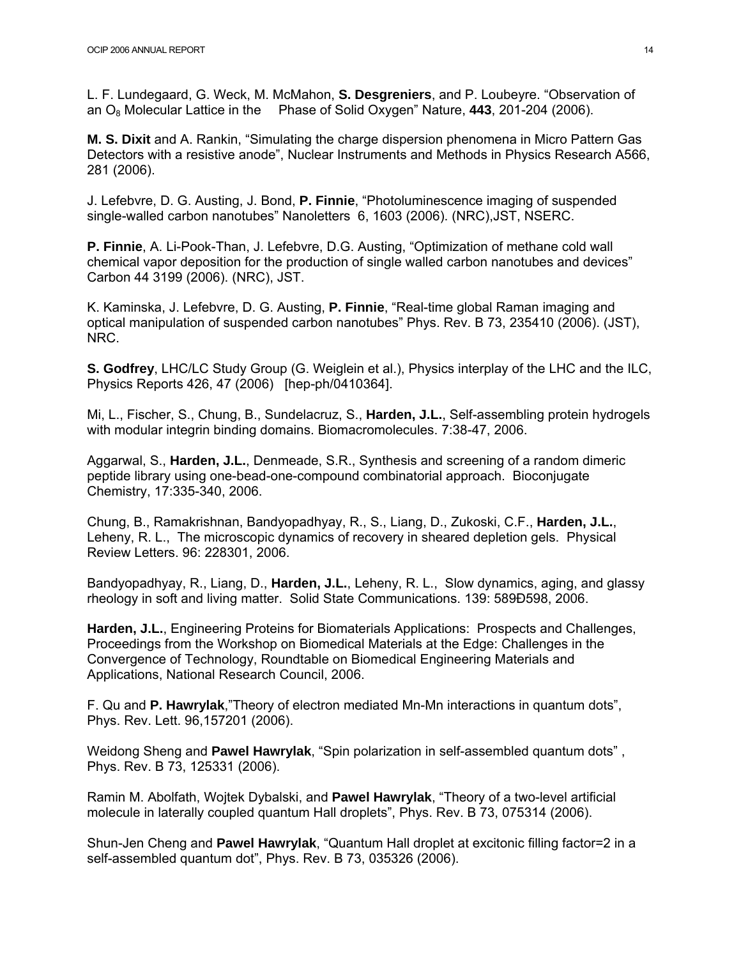L. F. Lundegaard, G. Weck, M. McMahon, **S. Desgreniers**, and P. Loubeyre. "Observation of an O8 Molecular Lattice in the Phase of Solid Oxygen" Nature, **443**, 201-204 (2006).

**M. S. Dixit** and A. Rankin, "Simulating the charge dispersion phenomena in Micro Pattern Gas Detectors with a resistive anode", Nuclear Instruments and Methods in Physics Research A566, 281 (2006).

J. Lefebvre, D. G. Austing, J. Bond, **P. Finnie**, "Photoluminescence imaging of suspended single-walled carbon nanotubes" Nanoletters 6, 1603 (2006). (NRC),JST, NSERC.

**P. Finnie**, A. Li-Pook-Than, J. Lefebvre, D.G. Austing, "Optimization of methane cold wall chemical vapor deposition for the production of single walled carbon nanotubes and devices" Carbon 44 3199 (2006). (NRC), JST.

K. Kaminska, J. Lefebvre, D. G. Austing, **P. Finnie**, "Real-time global Raman imaging and optical manipulation of suspended carbon nanotubes" Phys. Rev. B 73, 235410 (2006). (JST), NRC.

**S. Godfrey**, LHC/LC Study Group (G. Weiglein et al.), Physics interplay of the LHC and the ILC, Physics Reports 426, 47 (2006) [hep-ph/0410364].

Mi, L., Fischer, S., Chung, B., Sundelacruz, S., **Harden, J.L.**, Self-assembling protein hydrogels with modular integrin binding domains. Biomacromolecules. 7:38-47, 2006.

Aggarwal, S., **Harden, J.L.**, Denmeade, S.R., Synthesis and screening of a random dimeric peptide library using one-bead-one-compound combinatorial approach. Bioconjugate Chemistry, 17:335-340, 2006.

Chung, B., Ramakrishnan, Bandyopadhyay, R., S., Liang, D., Zukoski, C.F., **Harden, J.L.**, Leheny, R. L., The microscopic dynamics of recovery in sheared depletion gels. Physical Review Letters. 96: 228301, 2006.

Bandyopadhyay, R., Liang, D., **Harden, J.L.**, Leheny, R. L., Slow dynamics, aging, and glassy rheology in soft and living matter. Solid State Communications. 139: 589Ð598, 2006.

**Harden, J.L.**, Engineering Proteins for Biomaterials Applications: Prospects and Challenges, Proceedings from the Workshop on Biomedical Materials at the Edge: Challenges in the Convergence of Technology, Roundtable on Biomedical Engineering Materials and Applications, National Research Council, 2006.

F. Qu and **P. Hawrylak**,"Theory of electron mediated Mn-Mn interactions in quantum dots", Phys. Rev. Lett. 96,157201 (2006).

Weidong Sheng and **Pawel Hawrylak**, "Spin polarization in self-assembled quantum dots" , Phys. Rev. B 73, 125331 (2006).

Ramin M. Abolfath, Wojtek Dybalski, and **Pawel Hawrylak**, "Theory of a two-level artificial molecule in laterally coupled quantum Hall droplets", Phys. Rev. B 73, 075314 (2006).

Shun-Jen Cheng and **Pawel Hawrylak**, "Quantum Hall droplet at excitonic filling factor=2 in a self-assembled quantum dot", Phys. Rev. B 73, 035326 (2006).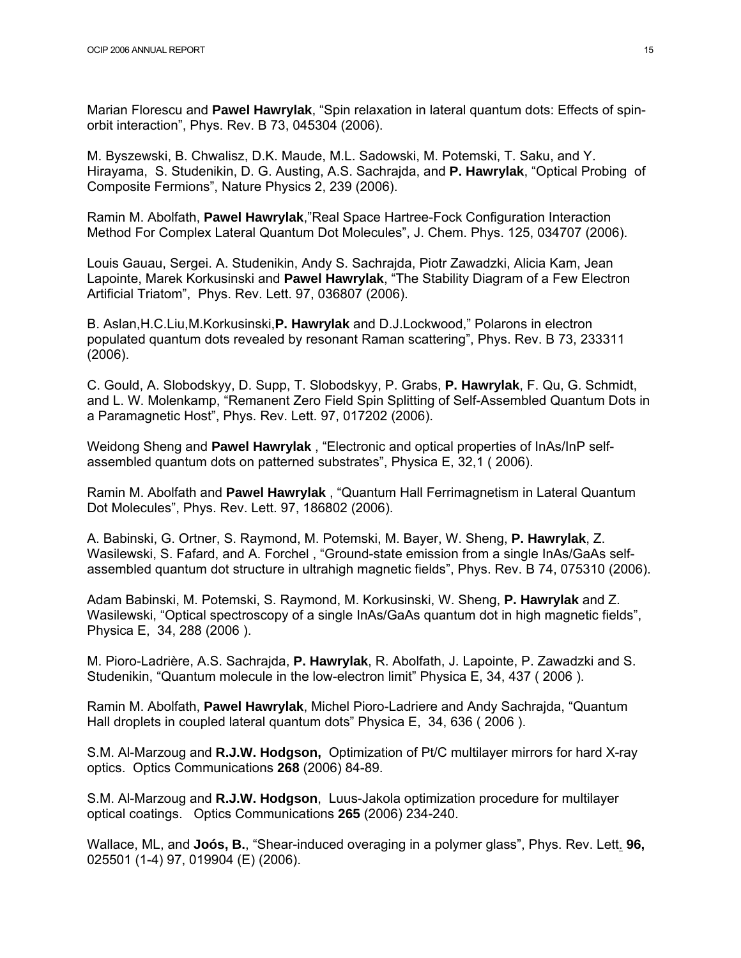Marian Florescu and **Pawel Hawrylak**, "Spin relaxation in lateral quantum dots: Effects of spinorbit interaction", Phys. Rev. B 73, 045304 (2006).

M. Byszewski, B. Chwalisz, D.K. Maude, M.L. Sadowski, M. Potemski, T. Saku, and Y. Hirayama, S. Studenikin, D. G. Austing, A.S. Sachrajda, and **P. Hawrylak**, "Optical Probing of Composite Fermions", Nature Physics 2, 239 (2006).

Ramin M. Abolfath, **Pawel Hawrylak**,"Real Space Hartree-Fock Configuration Interaction Method For Complex Lateral Quantum Dot Molecules", J. Chem. Phys. 125, 034707 (2006).

Louis Gauau, Sergei. A. Studenikin, Andy S. Sachrajda, Piotr Zawadzki, Alicia Kam, Jean Lapointe, Marek Korkusinski and **Pawel Hawrylak**, "The Stability Diagram of a Few Electron Artificial Triatom", Phys. Rev. Lett. 97, 036807 (2006).

B. Aslan,H.C.Liu,M.Korkusinski,**P. Hawrylak** and D.J.Lockwood," Polarons in electron populated quantum dots revealed by resonant Raman scattering", Phys. Rev. B 73, 233311 (2006).

C. Gould, A. Slobodskyy, D. Supp, T. Slobodskyy, P. Grabs, **P. Hawrylak**, F. Qu, G. Schmidt, and L. W. Molenkamp, "Remanent Zero Field Spin Splitting of Self-Assembled Quantum Dots in a Paramagnetic Host", Phys. Rev. Lett. 97, 017202 (2006).

Weidong Sheng and **Pawel Hawrylak** , "Electronic and optical properties of InAs/InP selfassembled quantum dots on patterned substrates", Physica E, 32,1 ( 2006).

Ramin M. Abolfath and **Pawel Hawrylak** , "Quantum Hall Ferrimagnetism in Lateral Quantum Dot Molecules", Phys. Rev. Lett. 97, 186802 (2006).

A. Babinski, G. Ortner, S. Raymond, M. Potemski, M. Bayer, W. Sheng, **P. Hawrylak**, Z. Wasilewski, S. Fafard, and A. Forchel , "Ground-state emission from a single InAs/GaAs selfassembled quantum dot structure in ultrahigh magnetic fields", Phys. Rev. B 74, 075310 (2006).

Adam Babinski, M. Potemski, S. Raymond, M. Korkusinski, W. Sheng, **P. Hawrylak** and Z. Wasilewski, "Optical spectroscopy of a single InAs/GaAs quantum dot in high magnetic fields", Physica E, 34, 288 (2006 ).

M. Pioro-Ladrière, A.S. Sachrajda, **P. Hawrylak**, R. Abolfath, J. Lapointe, P. Zawadzki and S. Studenikin, "Quantum molecule in the low-electron limit" Physica E, 34, 437 ( 2006 ).

Ramin M. Abolfath, **Pawel Hawrylak**, Michel Pioro-Ladriere and Andy Sachrajda, "Quantum Hall droplets in coupled lateral quantum dots" Physica E, 34, 636 ( 2006 ).

S.M. Al-Marzoug and **R.J.W. Hodgson,** Optimization of Pt/C multilayer mirrors for hard X-ray optics. Optics Communications **268** (2006) 84-89.

S.M. Al-Marzoug and **R.J.W. Hodgson**, Luus-Jakola optimization procedure for multilayer optical coatings. Optics Communications **265** (2006) 234-240.

Wallace, ML, and **Joós, B.**, "Shear-induced overaging in a polymer glass", Phys. Rev. Lett. **96,**  025501 (1-4) 97, 019904 (E) (2006).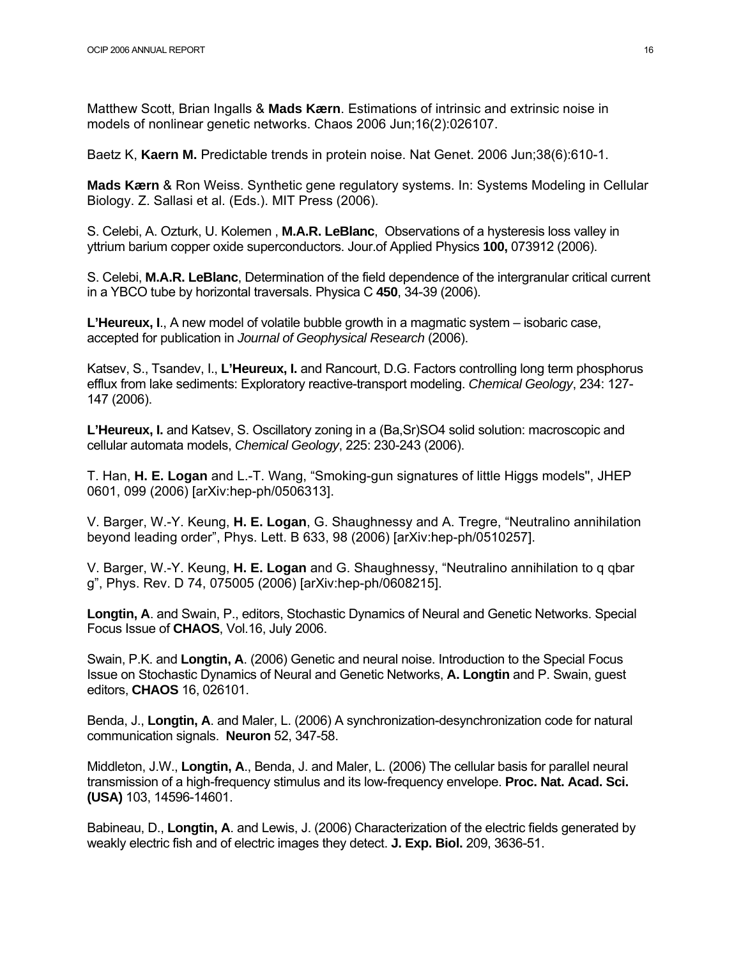Matthew Scott, Brian Ingalls & **Mads Kærn**. Estimations of intrinsic and extrinsic noise in models of nonlinear genetic networks. Chaos 2006 Jun;16(2):026107.

Baetz K, **Kaern M.** Predictable trends in protein noise. Nat Genet. 2006 Jun;38(6):610-1.

**Mads Kærn** & Ron Weiss. Synthetic gene regulatory systems. In: Systems Modeling in Cellular Biology. Z. Sallasi et al. (Eds.). MIT Press (2006).

S. Celebi, A. Ozturk, U. Kolemen , **M.A.R. LeBlanc**, Observations of a hysteresis loss valley in yttrium barium copper oxide superconductors. Jour.of Applied Physics **100,** 073912 (2006).

S. Celebi, **M.A.R. LeBlanc**, Determination of the field dependence of the intergranular critical current in a YBCO tube by horizontal traversals. Physica C **450**, 34-39 (2006).

**L'Heureux, I**., A new model of volatile bubble growth in a magmatic system – isobaric case, accepted for publication in *Journal of Geophysical Research* (2006).

Katsev, S., Tsandev, I., **L'Heureux, I.** and Rancourt, D.G. Factors controlling long term phosphorus efflux from lake sediments: Exploratory reactive-transport modeling. *Chemical Geology*, 234: 127- 147 (2006).

**L'Heureux, I.** and Katsev, S. Oscillatory zoning in a (Ba,Sr)SO4 solid solution: macroscopic and cellular automata models, *Chemical Geology*, 225: 230-243 (2006).

T. Han, **H. E. Logan** and L.-T. Wang, "Smoking-gun signatures of little Higgs models'', JHEP 0601, 099 (2006) [arXiv:hep-ph/0506313].

V. Barger, W.-Y. Keung, **H. E. Logan**, G. Shaughnessy and A. Tregre, "Neutralino annihilation beyond leading order", Phys. Lett. B 633, 98 (2006) [arXiv:hep-ph/0510257].

V. Barger, W.-Y. Keung, **H. E. Logan** and G. Shaughnessy, "Neutralino annihilation to q qbar g", Phys. Rev. D 74, 075005 (2006) [arXiv:hep-ph/0608215].

**Longtin, A**. and Swain, P., editors, Stochastic Dynamics of Neural and Genetic Networks. Special Focus Issue of **CHAOS**, Vol.16, July 2006.

Swain, P.K. and **Longtin, A**. (2006) Genetic and neural noise. Introduction to the Special Focus Issue on Stochastic Dynamics of Neural and Genetic Networks, **A. Longtin** and P. Swain, guest editors, **CHAOS** 16, 026101.

Benda, J., **Longtin, A**. and Maler, L. (2006) A synchronization-desynchronization code for natural communication signals. **Neuron** 52, 347-58.

Middleton, J.W., **Longtin, A**., Benda, J. and Maler, L. (2006) The cellular basis for parallel neural transmission of a high-frequency stimulus and its low-frequency envelope. **Proc. Nat. Acad. Sci. (USA)** 103, 14596-14601.

Babineau, D., **Longtin, A**. and Lewis, J. (2006) Characterization of the electric fields generated by weakly electric fish and of electric images they detect. **J. Exp. Biol.** 209, 3636-51.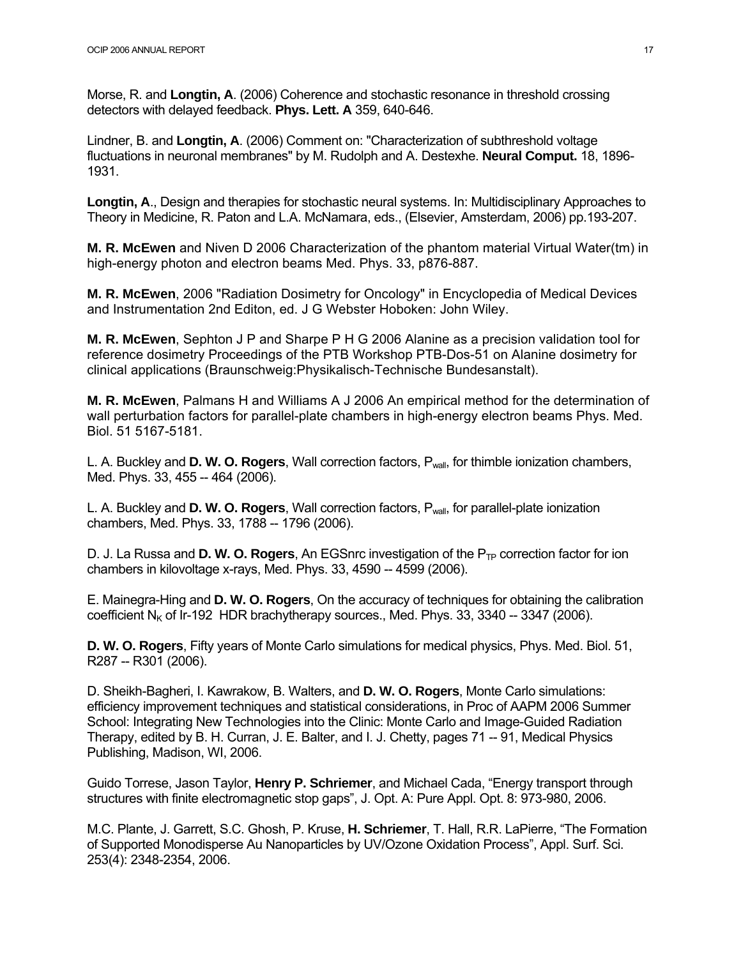Morse, R. and **Longtin, A**. (2006) Coherence and stochastic resonance in threshold crossing detectors with delayed feedback. **Phys. Lett. A** 359, 640-646.

Lindner, B. and **Longtin, A**. (2006) Comment on: "Characterization of subthreshold voltage fluctuations in neuronal membranes" by M. Rudolph and A. Destexhe. **Neural Comput.** 18, 1896- 1931.

**Longtin, A**., Design and therapies for stochastic neural systems. In: Multidisciplinary Approaches to Theory in Medicine, R. Paton and L.A. McNamara, eds., (Elsevier, Amsterdam, 2006) pp.193-207.

**M. R. McEwen** and Niven D 2006 Characterization of the phantom material Virtual Water(tm) in high-energy photon and electron beams Med. Phys. 33, p876-887.

**M. R. McEwen**, 2006 "Radiation Dosimetry for Oncology" in Encyclopedia of Medical Devices and Instrumentation 2nd Editon, ed. J G Webster Hoboken: John Wiley.

**M. R. McEwen**, Sephton J P and Sharpe P H G 2006 Alanine as a precision validation tool for reference dosimetry Proceedings of the PTB Workshop PTB-Dos-51 on Alanine dosimetry for clinical applications (Braunschweig:Physikalisch-Technische Bundesanstalt).

**M. R. McEwen**, Palmans H and Williams A J 2006 An empirical method for the determination of wall perturbation factors for parallel-plate chambers in high-energy electron beams Phys. Med. Biol. 51 5167-5181.

L. A. Buckley and **D. W. O. Rogers**, Wall correction factors, Pwall, for thimble ionization chambers, Med. Phys. 33, 455 -- 464 (2006).

L. A. Buckley and **D. W. O. Rogers**, Wall correction factors, Pwall, for parallel-plate ionization chambers, Med. Phys. 33, 1788 -- 1796 (2006).

D. J. La Russa and **D. W. O. Rogers**, An EGSnrc investigation of the P<sub>TP</sub> correction factor for ion chambers in kilovoltage x-rays, Med. Phys. 33, 4590 -- 4599 (2006).

E. Mainegra-Hing and **D. W. O. Rogers**, On the accuracy of techniques for obtaining the calibration coefficient  $N<sub>K</sub>$  of Ir-192 HDR brachytherapy sources., Med. Phys. 33, 3340 -- 3347 (2006).

**D. W. O. Rogers**, Fifty years of Monte Carlo simulations for medical physics, Phys. Med. Biol. 51, R287 -- R301 (2006).

D. Sheikh-Bagheri, I. Kawrakow, B. Walters, and **D. W. O. Rogers**, Monte Carlo simulations: efficiency improvement techniques and statistical considerations, in Proc of AAPM 2006 Summer School: Integrating New Technologies into the Clinic: Monte Carlo and Image-Guided Radiation Therapy, edited by B. H. Curran, J. E. Balter, and I. J. Chetty, pages 71 -- 91, Medical Physics Publishing, Madison, WI, 2006.

Guido Torrese, Jason Taylor, **Henry P. Schriemer**, and Michael Cada, "Energy transport through structures with finite electromagnetic stop gaps", J. Opt. A: Pure Appl. Opt. 8: 973-980, 2006.

M.C. Plante, J. Garrett, S.C. Ghosh, P. Kruse, **H. Schriemer**, T. Hall, R.R. LaPierre, "The Formation of Supported Monodisperse Au Nanoparticles by UV/Ozone Oxidation Process", Appl. Surf. Sci. 253(4): 2348-2354, 2006.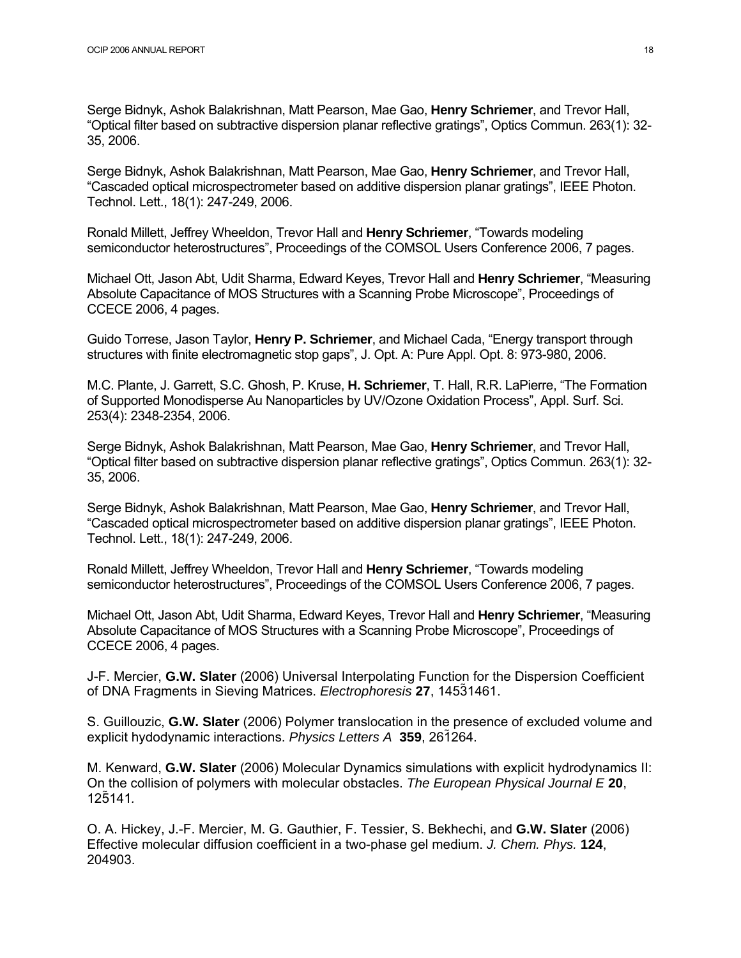Serge Bidnyk, Ashok Balakrishnan, Matt Pearson, Mae Gao, **Henry Schriemer**, and Trevor Hall, "Optical filter based on subtractive dispersion planar reflective gratings", Optics Commun. 263(1): 32- 35, 2006.

Serge Bidnyk, Ashok Balakrishnan, Matt Pearson, Mae Gao, **Henry Schriemer**, and Trevor Hall, "Cascaded optical microspectrometer based on additive dispersion planar gratings", IEEE Photon. Technol. Lett., 18(1): 247-249, 2006.

Ronald Millett, Jeffrey Wheeldon, Trevor Hall and **Henry Schriemer**, "Towards modeling semiconductor heterostructures", Proceedings of the COMSOL Users Conference 2006, 7 pages.

Michael Ott, Jason Abt, Udit Sharma, Edward Keyes, Trevor Hall and **Henry Schriemer**, "Measuring Absolute Capacitance of MOS Structures with a Scanning Probe Microscope", Proceedings of CCECE 2006, 4 pages.

Guido Torrese, Jason Taylor, **Henry P. Schriemer**, and Michael Cada, "Energy transport through structures with finite electromagnetic stop gaps", J. Opt. A: Pure Appl. Opt. 8: 973-980, 2006.

M.C. Plante, J. Garrett, S.C. Ghosh, P. Kruse, **H. Schriemer**, T. Hall, R.R. LaPierre, "The Formation of Supported Monodisperse Au Nanoparticles by UV/Ozone Oxidation Process", Appl. Surf. Sci. 253(4): 2348-2354, 2006.

Serge Bidnyk, Ashok Balakrishnan, Matt Pearson, Mae Gao, **Henry Schriemer**, and Trevor Hall, "Optical filter based on subtractive dispersion planar reflective gratings", Optics Commun. 263(1): 32- 35, 2006.

Serge Bidnyk, Ashok Balakrishnan, Matt Pearson, Mae Gao, **Henry Schriemer**, and Trevor Hall, "Cascaded optical microspectrometer based on additive dispersion planar gratings", IEEE Photon. Technol. Lett., 18(1): 247-249, 2006.

Ronald Millett, Jeffrey Wheeldon, Trevor Hall and **Henry Schriemer**, "Towards modeling semiconductor heterostructures", Proceedings of the COMSOL Users Conference 2006, 7 pages.

Michael Ott, Jason Abt, Udit Sharma, Edward Keyes, Trevor Hall and **Henry Schriemer**, "Measuring Absolute Capacitance of MOS Structures with a Scanning Probe Microscope", Proceedings of CCECE 2006, 4 pages.

J-F. Mercier, **G.W. Slater** (2006) Universal Interpolating Function for the Dispersion Coefficient of DNA Fragments in Sieving Matrices. *Electrophoresis* **27**, 14531461.

S. Guillouzic, **G.W. Slater** (2006) Polymer translocation in the presence of excluded volume and explicit hydodynamic interactions. *Physics Letters A* **359**, 261264.

M. Kenward, **G.W. Slater** (2006) Molecular Dynamics simulations with explicit hydrodynamics II: On the collision of polymers with molecular obstacles. *The European Physical Journal E* **20**, 125141*.* 

O. A. Hickey, J.-F. Mercier, M. G. Gauthier, F. Tessier, S. Bekhechi, and **G.W. Slater** (2006) Effective molecular diffusion coefficient in a two-phase gel medium. *J. Chem. Phys.* **124**, 204903.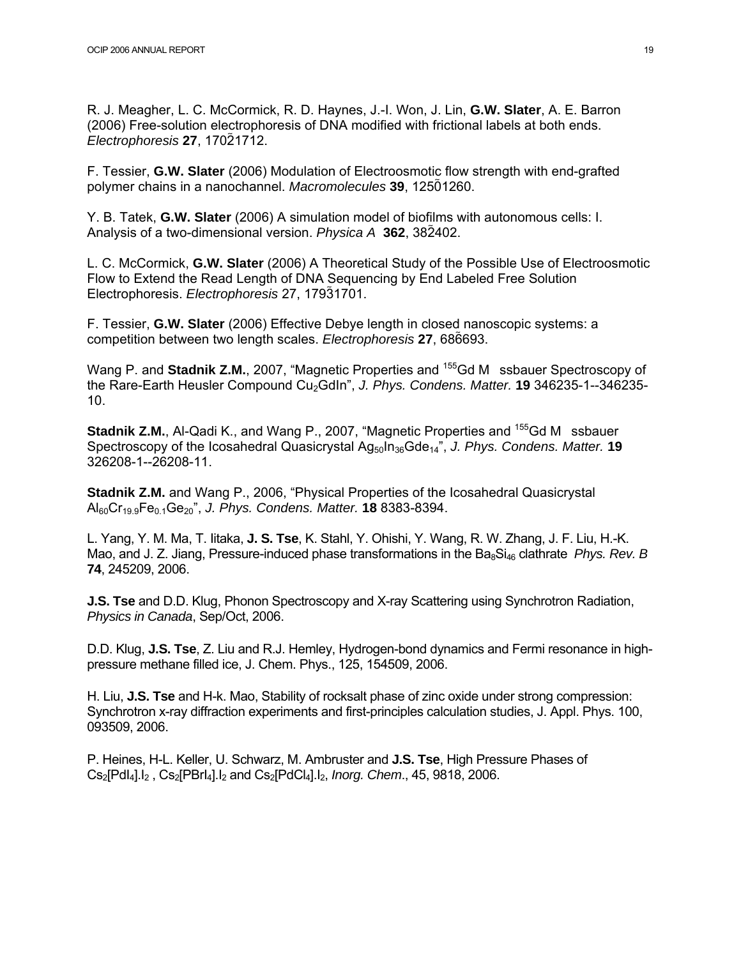R. J. Meagher, L. C. McCormick, R. D. Haynes, J.-I. Won, J. Lin, **G.W. Slater**, A. E. Barron (2006) Free-solution electrophoresis of DNA modified with frictional labels at both ends. *Electrophoresis* **27**, 17021712.

F. Tessier, **G.W. Slater** (2006) Modulation of Electroosmotic flow strength with end-grafted polymer chains in a nanochannel. *Macromolecules* **39**, 12501260.

Y. B. Tatek, **G.W. Slater** (2006) A simulation model of biofilms with autonomous cells: I. Analysis of a two-dimensional version. *Physica A* **362**, 382402.

L. C. McCormick, **G.W. Slater** (2006) A Theoretical Study of the Possible Use of Electroosmotic Flow to Extend the Read Length of DNA Sequencing by End Labeled Free Solution Electrophoresis. *Electrophoresis* 27, 17931701.

F. Tessier, **G.W. Slater** (2006) Effective Debye length in closed nanoscopic systems: a competition between two length scales. *Electrophoresis* **27**, 686693.

Wang P. and **Stadnik Z.M.**, 2007, "Magnetic Properties and <sup>155</sup>Gd M ssbauer Spectroscopy of the Rare-Earth Heusler Compound Cu<sub>2</sub>GdIn", *J. Phys. Condens. Matter.* **19** 346235-1--346235-10.

**Stadnik Z.M.**, Al-Qadi K., and Wang P., 2007, "Magnetic Properties and <sup>155</sup>Gd M ssbauer Spectroscopy of the Icosahedral Quasicrystal Ag<sub>50</sub>In<sub>36</sub>Gde<sub>14</sub>", *J. Phys. Condens. Matter.* **19** 326208-1--26208-11.

**Stadnik Z.M.** and Wang P., 2006, "Physical Properties of the Icosahedral Quasicrystal Al60Cr19.9Fe0.1Ge20", *J. Phys. Condens. Matter.* **18** 8383-8394.

L. Yang, Y. M. Ma, T. Iitaka, **J. S. Tse**, K. Stahl, Y. Ohishi, Y. Wang, R. W. Zhang, J. F. Liu, H.-K. Mao, and J. Z. Jiang, Pressure-induced phase transformations in the Ba<sub>8</sub>Si<sub>46</sub> clathrate *Phys. Rev. B* **74**, 245209, 2006.

**J.S. Tse** and D.D. Klug, Phonon Spectroscopy and X-ray Scattering using Synchrotron Radiation, *Physics in Canada*, Sep/Oct, 2006.

D.D. Klug, **J.S. Tse**, Z. Liu and R.J. Hemley, Hydrogen-bond dynamics and Fermi resonance in highpressure methane filled ice, J. Chem. Phys., 125, 154509, 2006.

H. Liu, **J.S. Tse** and H-k. Mao, Stability of rocksalt phase of zinc oxide under strong compression: Synchrotron x-ray diffraction experiments and first-principles calculation studies, J. Appl. Phys. 100, 093509, 2006.

P. Heines, H-L. Keller, U. Schwarz, M. Ambruster and **J.S. Tse**, High Pressure Phases of Cs<sub>2</sub>[PdI<sub>4</sub>].I<sub>2</sub>, Cs<sub>2</sub>[PBrI<sub>4</sub>].I<sub>2</sub> and Cs<sub>2</sub>[PdCI<sub>4</sub>].I<sub>2</sub>, *Inorg. Chem.*, 45, 9818, 2006.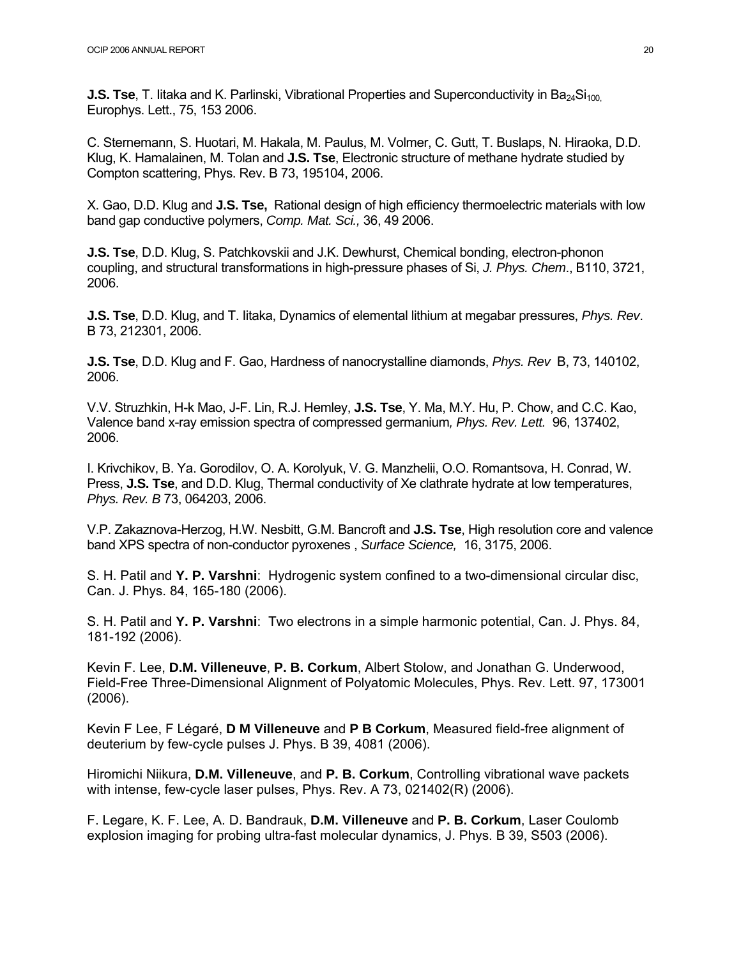**J.S. Tse**, T. litaka and K. Parlinski, Vibrational Properties and Superconductivity in Ba<sub>24</sub>Si<sub>100</sub> Europhys. Lett., 75, 153 2006.

C. Sternemann, S. Huotari, M. Hakala, M. Paulus, M. Volmer, C. Gutt, T. Buslaps, N. Hiraoka, D.D. Klug, K. Hamalainen, M. Tolan and **J.S. Tse**, Electronic structure of methane hydrate studied by Compton scattering, Phys. Rev. B 73, 195104, 2006.

X. Gao, D.D. Klug and **J.S. Tse,** Rational design of high efficiency thermoelectric materials with low band gap conductive polymers, *Comp. Mat. Sci.,* 36, 49 2006.

**J.S. Tse**, D.D. Klug, S. Patchkovskii and J.K. Dewhurst, Chemical bonding, electron-phonon coupling, and structural transformations in high-pressure phases of Si, *J. Phys. Chem*., B110, 3721, 2006.

**J.S. Tse**, D.D. Klug, and T. Iitaka, Dynamics of elemental lithium at megabar pressures, *Phys. Rev*. B 73, 212301, 2006.

**J.S. Tse**, D.D. Klug and F. Gao, Hardness of nanocrystalline diamonds, *Phys. Rev* B, 73, 140102, 2006.

V.V. Struzhkin, H-k Mao, J-F. Lin, R.J. Hemley, **J.S. Tse**, Y. Ma, M.Y. Hu, P. Chow, and C.C. Kao, Valence band x-ray emission spectra of compressed germanium*, Phys. Rev. Lett.* 96, 137402, 2006.

I. Krivchikov, B. Ya. Gorodilov, O. A. Korolyuk, V. G. Manzhelii, O.O. Romantsova, H. Conrad, W. Press, **J.S. Tse**, and D.D. Klug, Thermal conductivity of Xe clathrate hydrate at low temperatures, *Phys. Rev. B* 73, 064203, 2006.

V.P. Zakaznova-Herzog, H.W. Nesbitt, G.M. Bancroft and **J.S. Tse**, High resolution core and valence band XPS spectra of non-conductor pyroxenes , *Surface Science,* 16, 3175, 2006.

S. H. Patil and **Y. P. Varshni**: Hydrogenic system confined to a two-dimensional circular disc, Can. J. Phys. 84, 165-180 (2006).

S. H. Patil and **Y. P. Varshni**: Two electrons in a simple harmonic potential, Can. J. Phys. 84, 181-192 (2006).

Kevin F. Lee, **D.M. Villeneuve**, **P. B. Corkum**, Albert Stolow, and Jonathan G. Underwood, Field-Free Three-Dimensional Alignment of Polyatomic Molecules, Phys. Rev. Lett. 97, 173001 (2006).

Kevin F Lee, F Légaré, **D M Villeneuve** and **P B Corkum**, Measured field-free alignment of deuterium by few-cycle pulses J. Phys. B 39, 4081 (2006).

Hiromichi Niikura, **D.M. Villeneuve**, and **P. B. Corkum**, Controlling vibrational wave packets with intense, few-cycle laser pulses, Phys. Rev. A 73, 021402(R) (2006).

F. Legare, K. F. Lee, A. D. Bandrauk, **D.M. Villeneuve** and **P. B. Corkum**, Laser Coulomb explosion imaging for probing ultra-fast molecular dynamics, J. Phys. B 39, S503 (2006).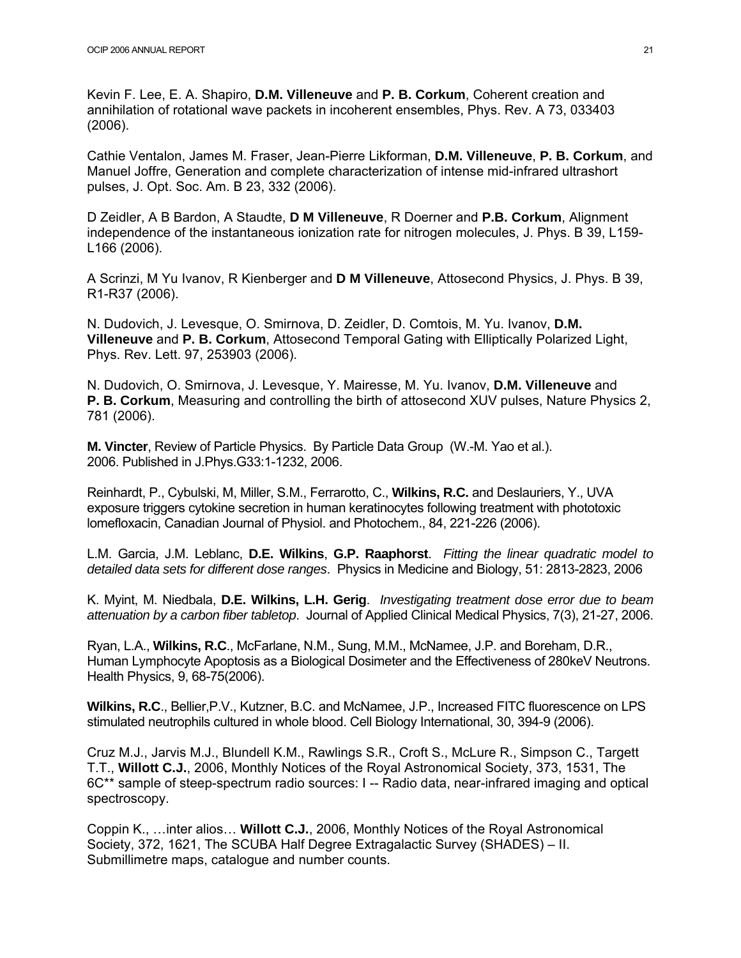Kevin F. Lee, E. A. Shapiro, **D.M. Villeneuve** and **P. B. Corkum**, Coherent creation and annihilation of rotational wave packets in incoherent ensembles, Phys. Rev. A 73, 033403 (2006).

Cathie Ventalon, James M. Fraser, Jean-Pierre Likforman, **D.M. Villeneuve**, **P. B. Corkum**, and Manuel Joffre, Generation and complete characterization of intense mid-infrared ultrashort pulses, J. Opt. Soc. Am. B 23, 332 (2006).

D Zeidler, A B Bardon, A Staudte, **D M Villeneuve**, R Doerner and **P.B. Corkum**, Alignment independence of the instantaneous ionization rate for nitrogen molecules, J. Phys. B 39, L159- L166 (2006).

A Scrinzi, M Yu Ivanov, R Kienberger and **D M Villeneuve**, Attosecond Physics, J. Phys. B 39, R1-R37 (2006).

N. Dudovich, J. Levesque, O. Smirnova, D. Zeidler, D. Comtois, M. Yu. Ivanov, **D.M. Villeneuve** and **P. B. Corkum**, Attosecond Temporal Gating with Elliptically Polarized Light, Phys. Rev. Lett. 97, 253903 (2006).

N. Dudovich, O. Smirnova, J. Levesque, Y. Mairesse, M. Yu. Ivanov, **D.M. Villeneuve** and **P. B. Corkum**, Measuring and controlling the birth of attosecond XUV pulses, Nature Physics 2, 781 (2006).

**M. Vincter**, Review of Particle Physics. By Particle Data Group (W.-M. Yao et al.). 2006. Published in J.Phys.G33:1-1232, 2006.

Reinhardt, P., Cybulski, M, Miller, S.M., Ferrarotto, C., **Wilkins, R.C.** and Deslauriers, Y., UVA exposure triggers cytokine secretion in human keratinocytes following treatment with phototoxic lomefloxacin, Canadian Journal of Physiol. and Photochem., 84, 221-226 (2006).

L.M. Garcia, J.M. Leblanc, **D.E. Wilkins**, **G.P. Raaphorst**. *Fitting the linear quadratic model to detailed data sets for different dose ranges*. Physics in Medicine and Biology, 51: 2813-2823, 2006

K. Myint, M. Niedbala, **D.E. Wilkins, L.H. Gerig**. *Investigating treatment dose error due to beam attenuation by a carbon fiber tabletop*. Journal of Applied Clinical Medical Physics, 7(3), 21-27, 2006.

Ryan, L.A., **Wilkins, R.C**., McFarlane, N.M., Sung, M.M., McNamee, J.P. and Boreham, D.R., Human Lymphocyte Apoptosis as a Biological Dosimeter and the Effectiveness of 280keV Neutrons. Health Physics, 9, 68-75(2006).

**Wilkins, R.C**., Bellier,P.V., Kutzner, B.C. and McNamee, J.P., Increased FITC fluorescence on LPS stimulated neutrophils cultured in whole blood. Cell Biology International, 30, 394-9 (2006).

Cruz M.J., Jarvis M.J., Blundell K.M., Rawlings S.R., Croft S., McLure R., Simpson C., Targett T.T., **Willott C.J.**, 2006, Monthly Notices of the Royal Astronomical Society, 373, 1531, The 6C\*\* sample of steep-spectrum radio sources: I -- Radio data, near-infrared imaging and optical spectroscopy.

Coppin K., …inter alios… **Willott C.J.**, 2006, Monthly Notices of the Royal Astronomical Society, 372, 1621, The SCUBA Half Degree Extragalactic Survey (SHADES) – II. Submillimetre maps, catalogue and number counts.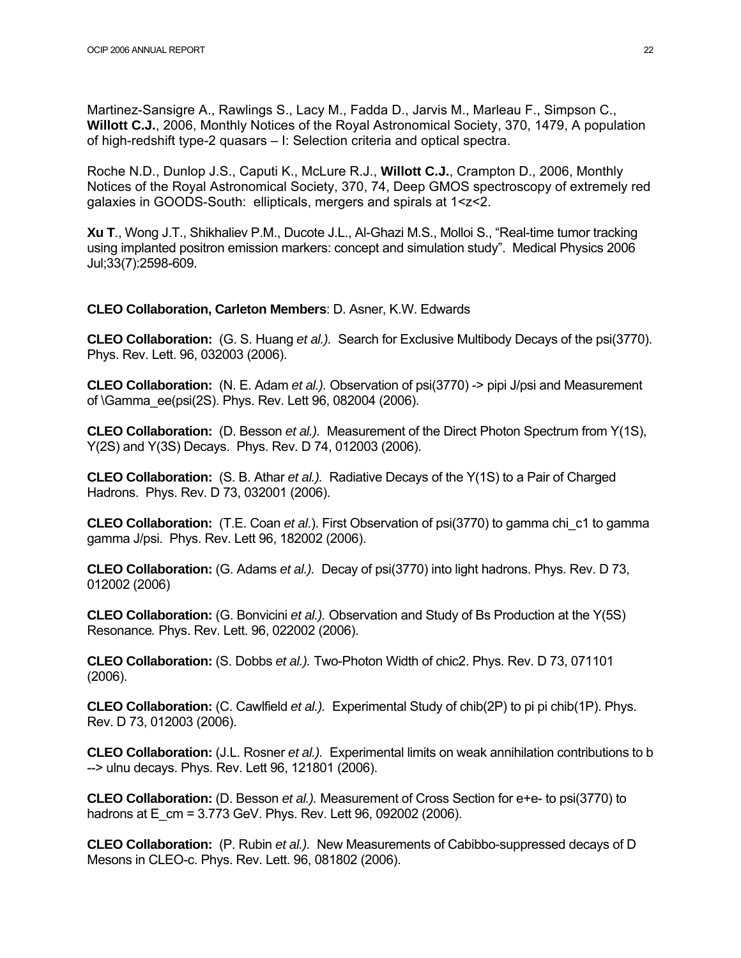Martinez-Sansigre A., Rawlings S., Lacy M., Fadda D., Jarvis M., Marleau F., Simpson C., **Willott C.J.**, 2006, Monthly Notices of the Royal Astronomical Society, 370, 1479, A population of high-redshift type-2 quasars – I: Selection criteria and optical spectra.

Roche N.D., Dunlop J.S., Caputi K., McLure R.J., **Willott C.J.**, Crampton D., 2006, Monthly Notices of the Royal Astronomical Society, 370, 74, Deep GMOS spectroscopy of extremely red galaxies in GOODS-South: ellipticals, mergers and spirals at 1<z<2.

**Xu T**., Wong J.T., Shikhaliev P.M., Ducote J.L., Al-Ghazi M.S., Molloi S., "Real-time tumor tracking using implanted positron emission markers: concept and simulation study". Medical Physics 2006 Jul;33(7):2598-609.

#### **CLEO Collaboration, Carleton Members**: D. Asner, K.W. Edwards

**CLEO Collaboration:** (G. S. Huang *et al.).* Search for Exclusive Multibody Decays of the psi(3770). Phys. Rev. Lett. 96, 032003 (2006).

**CLEO Collaboration:** (N. E. Adam *et al.).* Observation of psi(3770) -> pipi J/psi and Measurement of \Gamma\_ee(psi(2S). Phys. Rev. Lett 96, 082004 (2006).

**CLEO Collaboration:** (D. Besson *et al.).* Measurement of the Direct Photon Spectrum from Y(1S), Y(2S) and Y(3S) Decays. Phys. Rev. D 74, 012003 (2006).

**CLEO Collaboration:** (S. B. Athar *et al.).* Radiative Decays of the Y(1S) to a Pair of Charged Hadrons. Phys. Rev. D 73, 032001 (2006).

**CLEO Collaboration:** (T.E. Coan *et al*.). First Observation of psi(3770) to gamma chi\_c1 to gamma gamma J/psi. Phys. Rev. Lett 96, 182002 (2006).

**CLEO Collaboration:** (G. Adams *et al.).* Decay of psi(3770) into light hadrons. Phys. Rev. D 73, 012002 (2006)

**CLEO Collaboration:** (G. Bonvicini *et al.).* Observation and Study of Bs Production at the Y(5S) Resonance*.* Phys. Rev. Lett. 96, 022002 (2006).

**CLEO Collaboration:** (S. Dobbs *et al.).* Two-Photon Width of chic2. Phys. Rev. D 73, 071101 (2006).

**CLEO Collaboration:** (C. Cawlfield *et al.).* Experimental Study of chib(2P) to pi pi chib(1P). Phys. Rev. D 73, 012003 (2006).

**CLEO Collaboration:** (J.L. Rosner *et al.).* Experimental limits on weak annihilation contributions to b --> ulnu decays. Phys. Rev. Lett 96, 121801 (2006).

**CLEO Collaboration:** (D. Besson *et al.).* Measurement of Cross Section for e+e- to psi(3770) to hadrons at E\_cm = 3.773 GeV. Phys. Rev. Lett 96, 092002 (2006).

**CLEO Collaboration:** (P. Rubin *et al.).* New Measurements of Cabibbo-suppressed decays of D Mesons in CLEO-c. Phys. Rev. Lett. 96, 081802 (2006).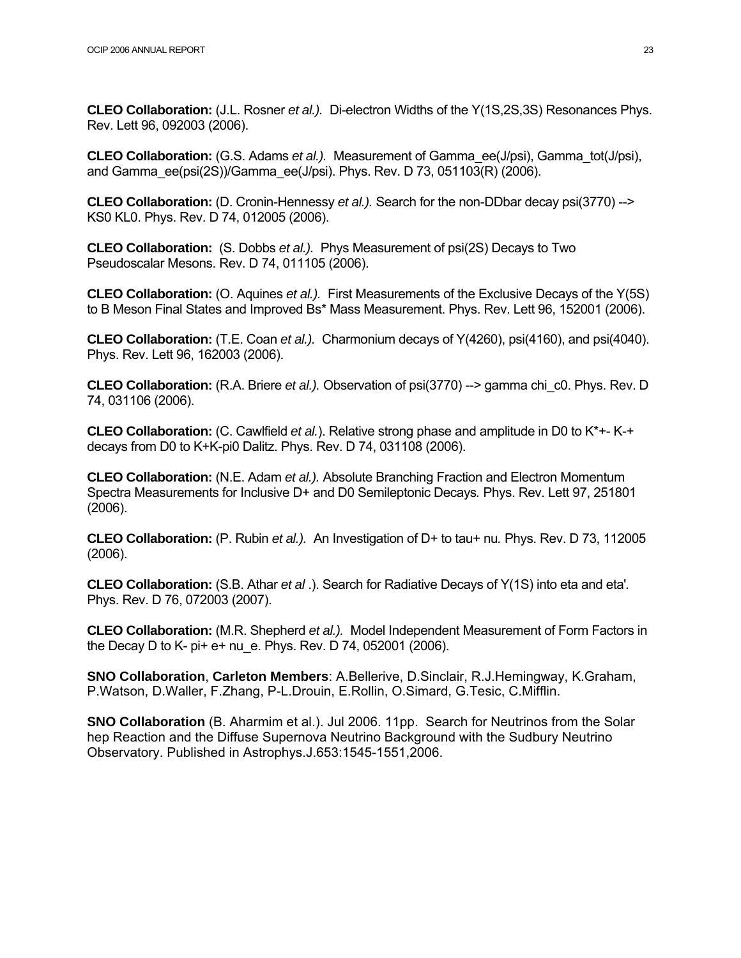**CLEO Collaboration:** (J.L. Rosner *et al.).* Di-electron Widths of the Y(1S,2S,3S) Resonances Phys. Rev. Lett 96, 092003 (2006).

**CLEO Collaboration:** (G.S. Adams *et al.).* Measurement of Gamma\_ee(J/psi), Gamma\_tot(J/psi), and Gamma\_ee(psi(2S))/Gamma\_ee(J/psi). Phys. Rev. D 73, 051103(R) (2006).

**CLEO Collaboration:** (D. Cronin-Hennessy *et al.).* Search for the non-DDbar decay psi(3770) --> KS0 KL0. Phys. Rev. D 74, 012005 (2006).

**CLEO Collaboration:** (S. Dobbs *et al.).* Phys Measurement of psi(2S) Decays to Two Pseudoscalar Mesons. Rev. D 74, 011105 (2006).

**CLEO Collaboration:** (O. Aquines *et al.).* First Measurements of the Exclusive Decays of the Y(5S) to B Meson Final States and Improved Bs\* Mass Measurement. Phys. Rev. Lett 96, 152001 (2006).

**CLEO Collaboration:** (T.E. Coan *et al.).* Charmonium decays of Y(4260), psi(4160), and psi(4040). Phys. Rev. Lett 96, 162003 (2006).

**CLEO Collaboration:** (R.A. Briere *et al.).* Observation of psi(3770) --> gamma chi\_c0. Phys. Rev. D 74, 031106 (2006).

**CLEO Collaboration:** (C. Cawlfield *et al.*). Relative strong phase and amplitude in D0 to K\*+- K-+ decays from D0 to K+K-pi0 Dalitz. Phys. Rev. D 74, 031108 (2006).

**CLEO Collaboration:** (N.E. Adam *et al.).* Absolute Branching Fraction and Electron Momentum Spectra Measurements for Inclusive D+ and D0 Semileptonic Decays*.* Phys. Rev. Lett 97, 251801 (2006).

**CLEO Collaboration:** (P. Rubin *et al.).* An Investigation of D+ to tau+ nu*.* Phys. Rev. D 73, 112005 (2006).

**CLEO Collaboration:** (S.B. Athar *et al* .). Search for Radiative Decays of Y(1S) into eta and eta'*.* Phys. Rev. D 76, 072003 (2007).

**CLEO Collaboration:** (M.R. Shepherd *et al.).* Model Independent Measurement of Form Factors in the Decay D to K- pi+ e+ nu\_e. Phys. Rev. D 74, 052001 (2006).

**SNO Collaboration**, **Carleton Members**: A.Bellerive, D.Sinclair, R.J.Hemingway, K.Graham, P.Watson, D.Waller, F.Zhang, P-L.Drouin, E.Rollin, O.Simard, G.Tesic, C.Mifflin.

**SNO Collaboration** (B. Aharmim et al.). Jul 2006. 11pp. Search for Neutrinos from the Solar hep Reaction and the Diffuse Supernova Neutrino Background with the Sudbury Neutrino Observatory. Published in Astrophys.J.653:1545-1551,2006.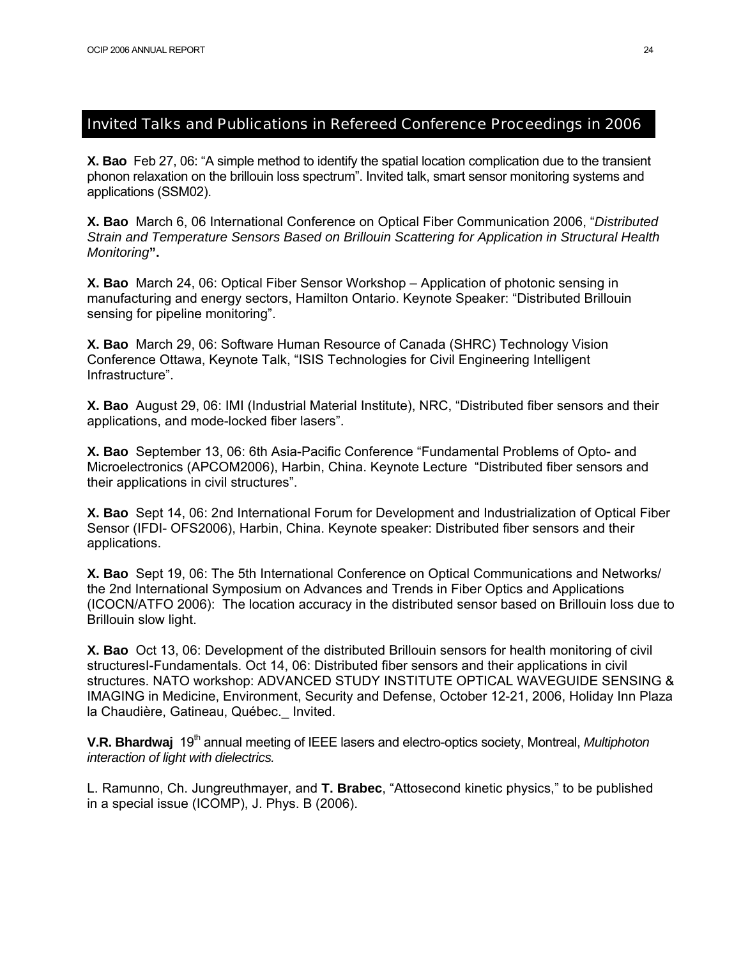#### Invited Talks and Publications in Refereed Conference Proceedings in 2006

**X. Bao** Feb 27, 06: "A simple method to identify the spatial location complication due to the transient phonon relaxation on the brillouin loss spectrum". Invited talk, smart sensor monitoring systems and applications (SSM02).

**X. Bao** March 6, 06 International Conference on Optical Fiber Communication 2006, "*Distributed Strain and Temperature Sensors Based on Brillouin Scattering for Application in Structural Health Monitoring***".** 

**X. Bao** March 24, 06: Optical Fiber Sensor Workshop – Application of photonic sensing in manufacturing and energy sectors, Hamilton Ontario. Keynote Speaker: "Distributed Brillouin sensing for pipeline monitoring".

**X. Bao** March 29, 06: Software Human Resource of Canada (SHRC) Technology Vision Conference Ottawa, Keynote Talk, "ISIS Technologies for Civil Engineering Intelligent Infrastructure".

**X. Bao** August 29, 06: IMI (Industrial Material Institute), NRC, "Distributed fiber sensors and their applications, and mode-locked fiber lasers".

**X. Bao** September 13, 06: 6th Asia-Pacific Conference "Fundamental Problems of Opto- and Microelectronics (APCOM2006), Harbin, China. Keynote Lecture "Distributed fiber sensors and their applications in civil structures".

**X. Bao** Sept 14, 06: 2nd International Forum for Development and Industrialization of Optical Fiber Sensor (IFDI- OFS2006), Harbin, China. Keynote speaker: Distributed fiber sensors and their applications.

**X. Bao** Sept 19, 06: The 5th International Conference on Optical Communications and Networks/ the 2nd International Symposium on Advances and Trends in Fiber Optics and Applications (ICOCN/ATFO 2006): The location accuracy in the distributed sensor based on Brillouin loss due to Brillouin slow light.

**X. Bao** Oct 13, 06: Development of the distributed Brillouin sensors for health monitoring of civil structuresI-Fundamentals. Oct 14, 06: Distributed fiber sensors and their applications in civil structures. NATO workshop: ADVANCED STUDY INSTITUTE OPTICAL WAVEGUIDE SENSING & IMAGING in Medicine, Environment, Security and Defense, October 12-21, 2006, Holiday Inn Plaza la Chaudière, Gatineau, Québec.\_ Invited.

**V.R. Bhardwaj** 19<sup>th</sup> annual meeting of IEEE lasers and electro-optics society, Montreal, *Multiphoton interaction of light with dielectrics.* 

L. Ramunno, Ch. Jungreuthmayer, and **T. Brabec**, "Attosecond kinetic physics," to be published in a special issue (ICOMP), J. Phys. B (2006).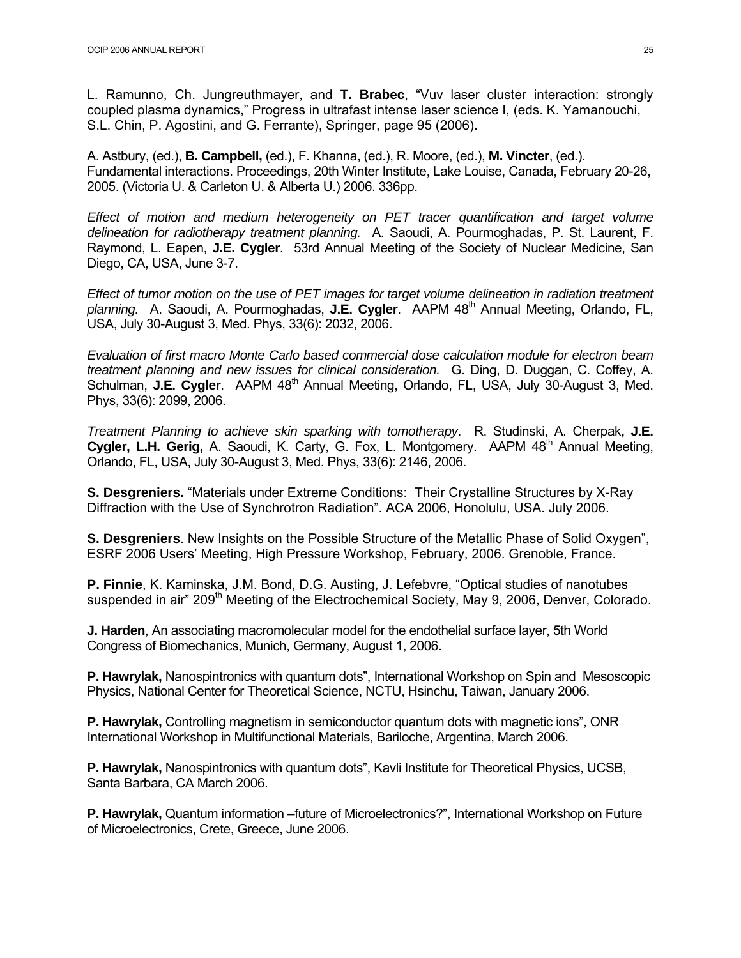L. Ramunno, Ch. Jungreuthmayer, and **T. Brabec**, "Vuv laser cluster interaction: strongly coupled plasma dynamics," Progress in ultrafast intense laser science I, (eds. K. Yamanouchi, S.L. Chin, P. Agostini, and G. Ferrante), Springer, page 95 (2006).

A. Astbury, (ed.), **B. Campbell,** (ed.), F. Khanna, (ed.), R. Moore, (ed.), **M. Vincter**, (ed.). Fundamental interactions. Proceedings, 20th Winter Institute, Lake Louise, Canada, February 20-26, 2005. (Victoria U. & Carleton U. & Alberta U.) 2006. 336pp.

*Effect of motion and medium heterogeneity on PET tracer quantification and target volume delineation for radiotherapy treatment planning.* A. Saoudi, A. Pourmoghadas, P. St. Laurent, F. Raymond, L. Eapen, **J.E. Cygler**. 53rd Annual Meeting of the Society of Nuclear Medicine, San Diego, CA, USA, June 3-7.

*Effect of tumor motion on the use of PET images for target volume delineation in radiation treatment*  planning. A. Saoudi, A. Pourmoghadas, J.E. Cygler. AAPM 48<sup>th</sup> Annual Meeting, Orlando, FL, USA, July 30-August 3, Med. Phys, 33(6): 2032, 2006.

*Evaluation of first macro Monte Carlo based commercial dose calculation module for electron beam treatment planning and new issues for clinical consideration.* G. Ding, D. Duggan, C. Coffey, A. Schulman, **J.E. Cygler**. AAPM 48<sup>th</sup> Annual Meeting, Orlando, FL, USA, July 30-August 3, Med. Phys, 33(6): 2099, 2006.

*Treatment Planning to achieve skin sparking with tomotherapy*. R. Studinski, A. Cherpak**, J.E. Cygler, L.H. Gerig,** A. Saoudi, K. Carty, G. Fox, L. Montgomery. AAPM 48<sup>th</sup> Annual Meeting, Orlando, FL, USA, July 30-August 3, Med. Phys, 33(6): 2146, 2006.

**S. Desgreniers.** "Materials under Extreme Conditions: Their Crystalline Structures by X-Ray Diffraction with the Use of Synchrotron Radiation". ACA 2006, Honolulu, USA. July 2006.

**S. Desgreniers**. New Insights on the Possible Structure of the Metallic Phase of Solid Oxygen", ESRF 2006 Users' Meeting, High Pressure Workshop, February, 2006. Grenoble, France.

**P. Finnie**, K. Kaminska, J.M. Bond, D.G. Austing, J. Lefebvre, "Optical studies of nanotubes suspended in air" 209<sup>th</sup> Meeting of the Electrochemical Society, May 9, 2006, Denver, Colorado.

**J. Harden**, An associating macromolecular model for the endothelial surface layer, 5th World Congress of Biomechanics, Munich, Germany, August 1, 2006.

**P. Hawrylak,** Nanospintronics with quantum dots", International Workshop on Spin and Mesoscopic Physics, National Center for Theoretical Science, NCTU, Hsinchu, Taiwan, January 2006.

**P. Hawrylak,** Controlling magnetism in semiconductor quantum dots with magnetic ions", ONR International Workshop in Multifunctional Materials, Bariloche, Argentina, March 2006.

**P. Hawrylak,** Nanospintronics with quantum dots", Kavli Institute for Theoretical Physics, UCSB, Santa Barbara, CA March 2006.

**P. Hawrylak,** Quantum information –future of Microelectronics?", International Workshop on Future of Microelectronics, Crete, Greece, June 2006.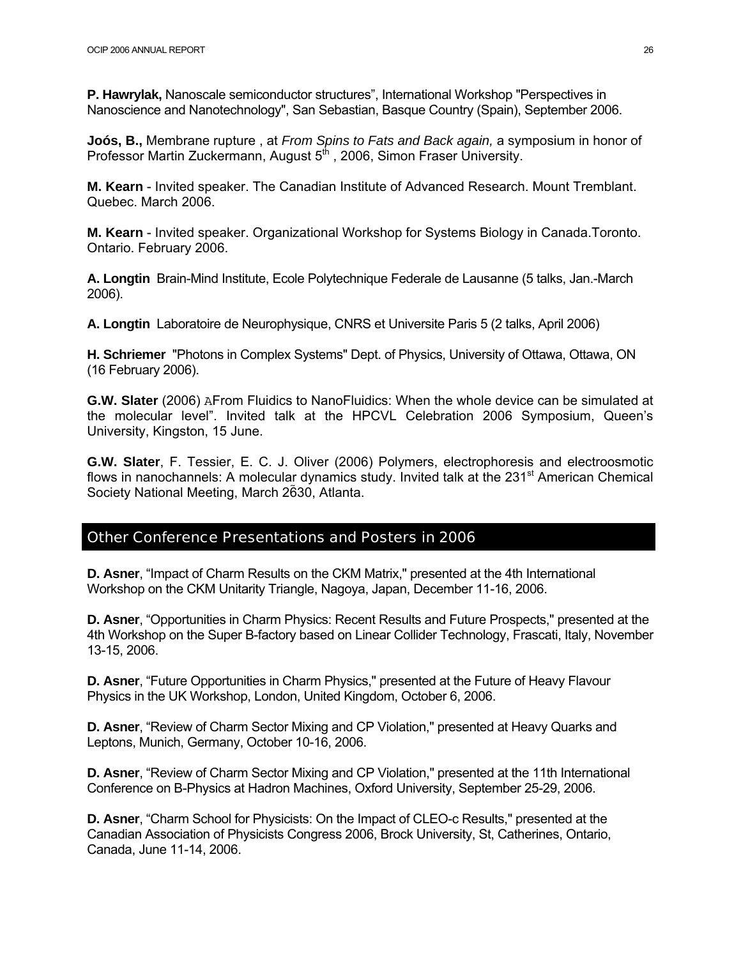**P. Hawrylak,** Nanoscale semiconductor structures", International Workshop "Perspectives in Nanoscience and Nanotechnology", San Sebastian, Basque Country (Spain), September 2006.

**Joós, B.,** Membrane rupture , at *From Spins to Fats and Back again,* a symposium in honor of Professor Martin Zuckermann, August 5<sup>th</sup>, 2006, Simon Fraser University.

**M. Kearn** - Invited speaker. The Canadian Institute of Advanced Research. Mount Tremblant. Quebec. March 2006.

**M. Kearn** - Invited speaker. Organizational Workshop for Systems Biology in Canada.Toronto. Ontario. February 2006.

**A. Longtin** Brain-Mind Institute, Ecole Polytechnique Federale de Lausanne (5 talks, Jan.-March 2006).

**A. Longtin** Laboratoire de Neurophysique, CNRS et Universite Paris 5 (2 talks, April 2006)

**H. Schriemer** "Photons in Complex Systems" Dept. of Physics, University of Ottawa, Ottawa, ON (16 February 2006).

**G.W. Slater** (2006) AFrom Fluidics to NanoFluidics: When the whole device can be simulated at the molecular level". Invited talk at the HPCVL Celebration 2006 Symposium, Queen's University, Kingston, 15 June.

**G.W. Slater**, F. Tessier, E. C. J. Oliver (2006) Polymers, electrophoresis and electroosmotic flows in nanochannels: A molecular dynamics study. Invited talk at the  $231<sup>st</sup>$  American Chemical Society National Meeting, March 2630, Atlanta.

#### Other Conference Presentations and Posters in 2006

**D. Asner**, "Impact of Charm Results on the CKM Matrix,'' presented at the 4th International Workshop on the CKM Unitarity Triangle, Nagoya, Japan, December 11-16, 2006.

**D. Asner**, "Opportunities in Charm Physics: Recent Results and Future Prospects,'' presented at the 4th Workshop on the Super B-factory based on Linear Collider Technology, Frascati, Italy, November 13-15, 2006.

**D. Asner, "Future Opportunities in Charm Physics," presented at the Future of Heavy Flavour** Physics in the UK Workshop, London, United Kingdom, October 6, 2006.

**D. Asner**, "Review of Charm Sector Mixing and CP Violation,'' presented at Heavy Quarks and Leptons, Munich, Germany, October 10-16, 2006.

**D. Asner**, "Review of Charm Sector Mixing and CP Violation,'' presented at the 11th International Conference on B-Physics at Hadron Machines, Oxford University, September 25-29, 2006.

**D. Asner**, "Charm School for Physicists: On the Impact of CLEO-c Results,'' presented at the Canadian Association of Physicists Congress 2006, Brock University, St, Catherines, Ontario, Canada, June 11-14, 2006.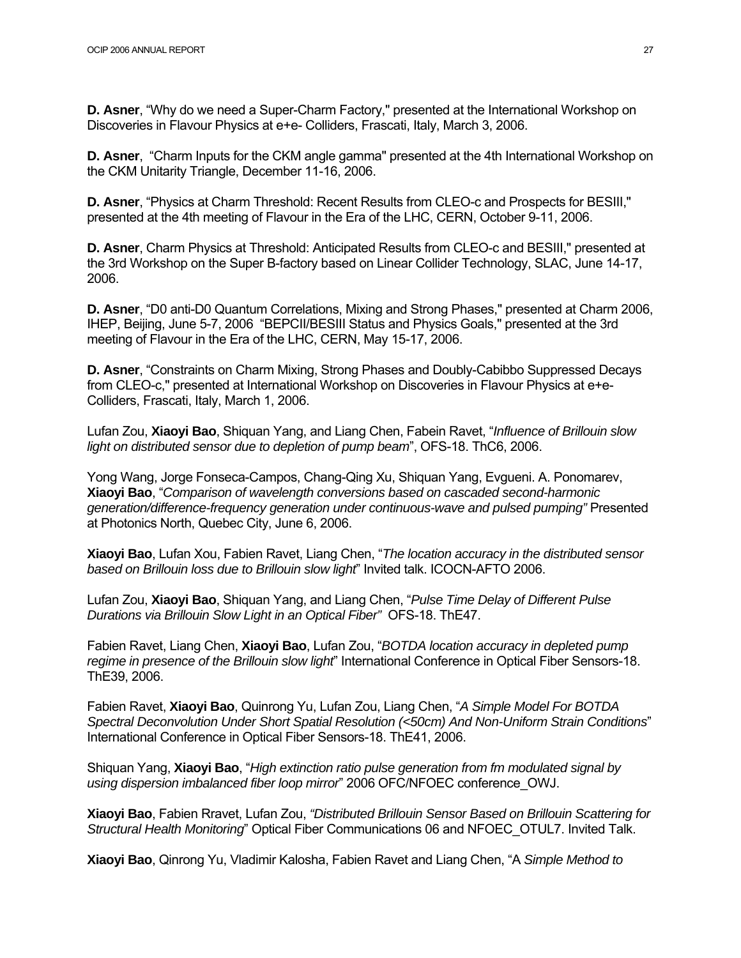**D. Asner**, "Why do we need a Super-Charm Factory,'' presented at the International Workshop on Discoveries in Flavour Physics at e+e- Colliders, Frascati, Italy, March 3, 2006.

**D. Asner**, "Charm Inputs for the CKM angle gamma'' presented at the 4th International Workshop on the CKM Unitarity Triangle, December 11-16, 2006.

**D. Asner**, "Physics at Charm Threshold: Recent Results from CLEO-c and Prospects for BESIII,'' presented at the 4th meeting of Flavour in the Era of the LHC, CERN, October 9-11, 2006.

**D. Asner**, Charm Physics at Threshold: Anticipated Results from CLEO-c and BESIII,'' presented at the 3rd Workshop on the Super B-factory based on Linear Collider Technology, SLAC, June 14-17, 2006.

**D. Asner**, "D0 anti-D0 Quantum Correlations, Mixing and Strong Phases,'' presented at Charm 2006, IHEP, Beijing, June 5-7, 2006 "BEPCII/BESIII Status and Physics Goals,'' presented at the 3rd meeting of Flavour in the Era of the LHC, CERN, May 15-17, 2006.

**D. Asner**, "Constraints on Charm Mixing, Strong Phases and Doubly-Cabibbo Suppressed Decays from CLEO-c,'' presented at International Workshop on Discoveries in Flavour Physics at e+e-Colliders, Frascati, Italy, March 1, 2006.

Lufan Zou, **Xiaoyi Bao**, Shiquan Yang, and Liang Chen, Fabein Ravet, "*Influence of Brillouin slow light on distributed sensor due to depletion of pump beam*", OFS-18. ThC6, 2006.

Yong Wang, Jorge Fonseca-Campos, Chang-Qing Xu, Shiquan Yang, Evgueni. A. Ponomarev, **Xiaoyi Bao**, "*Comparison of wavelength conversions based on cascaded second-harmonic generation/difference-frequency generation under continuous-wave and pulsed pumping"* Presented at Photonics North, Quebec City, June 6, 2006.

**Xiaoyi Bao**, Lufan Xou, Fabien Ravet, Liang Chen, "*The location accuracy in the distributed sensor based on Brillouin loss due to Brillouin slow light*" Invited talk. ICOCN-AFTO 2006.

Lufan Zou, **Xiaoyi Bao**, Shiquan Yang, and Liang Chen, "*Pulse Time Delay of Different Pulse Durations via Brillouin Slow Light in an Optical Fiber"* OFS-18. ThE47.

Fabien Ravet, Liang Chen, **Xiaoyi Bao**, Lufan Zou, "*BOTDA location accuracy in depleted pump regime in presence of the Brillouin slow light*" International Conference in Optical Fiber Sensors-18. ThE39, 2006.

Fabien Ravet, **Xiaoyi Bao**, Quinrong Yu, Lufan Zou, Liang Chen, "*A Simple Model For BOTDA Spectral Deconvolution Under Short Spatial Resolution (<50cm) And Non-Uniform Strain Conditions*" International Conference in Optical Fiber Sensors-18. ThE41, 2006.

Shiquan Yang, **Xiaoyi Bao**, "*High extinction ratio pulse generation from fm modulated signal by using dispersion imbalanced fiber loop mirror*" 2006 OFC/NFOEC conference\_OWJ.

**Xiaoyi Bao**, Fabien Rravet, Lufan Zou, *"Distributed Brillouin Sensor Based on Brillouin Scattering for Structural Health Monitoring*" Optical Fiber Communications 06 and NFOEC\_OTUL7. Invited Talk.

**Xiaoyi Bao**, Qinrong Yu, Vladimir Kalosha, Fabien Ravet and Liang Chen, "A *Simple Method to*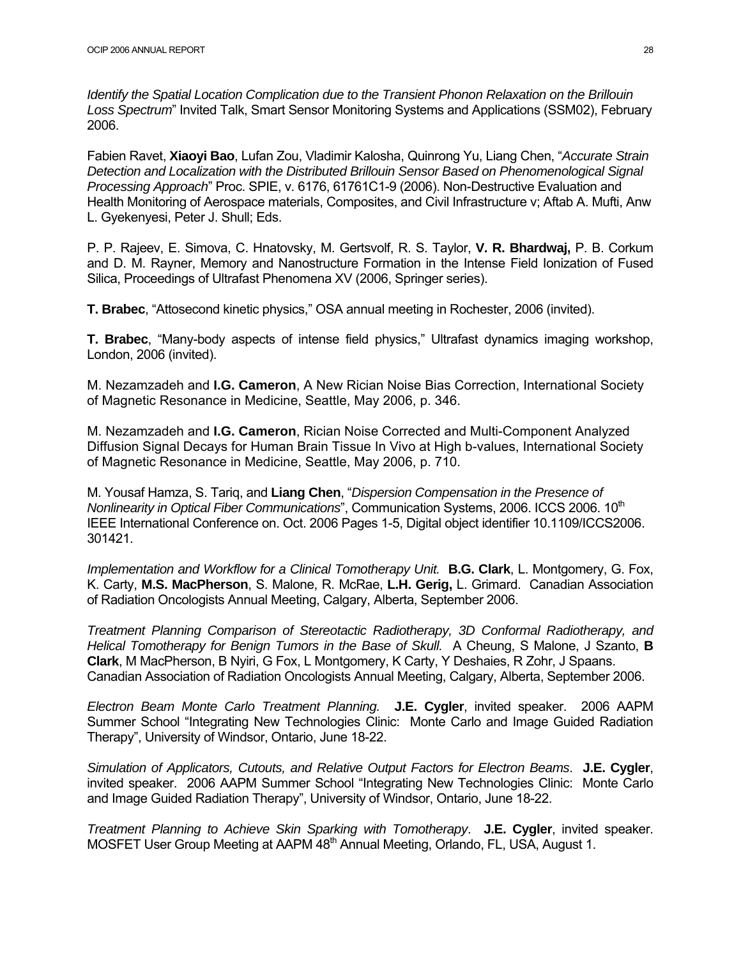*Identify the Spatial Location Complication due to the Transient Phonon Relaxation on the Brillouin Loss Spectrum*" Invited Talk, Smart Sensor Monitoring Systems and Applications (SSM02), February 2006.

Fabien Ravet, **Xiaoyi Bao**, Lufan Zou, Vladimir Kalosha, Quinrong Yu, Liang Chen, "*Accurate Strain Detection and Localization with the Distributed Brillouin Sensor Based on Phenomenological Signal Processing Approach*" Proc. SPIE, v. 6176, 61761C1-9 (2006). Non-Destructive Evaluation and Health Monitoring of Aerospace materials, Composites, and Civil Infrastructure v; Aftab A. Mufti, Anw L. Gyekenyesi, Peter J. Shull; Eds.

P. P. Rajeev, E. Simova, C. Hnatovsky, M. Gertsvolf, R. S. Taylor, **V. R. Bhardwaj,** P. B. Corkum and D. M. Rayner, Memory and Nanostructure Formation in the Intense Field Ionization of Fused Silica, Proceedings of Ultrafast Phenomena XV (2006, Springer series).

**T. Brabec**, "Attosecond kinetic physics," OSA annual meeting in Rochester, 2006 (invited).

**T. Brabec**, "Many-body aspects of intense field physics," Ultrafast dynamics imaging workshop, London, 2006 (invited).

M. Nezamzadeh and **I.G. Cameron**, A New Rician Noise Bias Correction, International Society of Magnetic Resonance in Medicine, Seattle, May 2006, p. 346.

M. Nezamzadeh and **I.G. Cameron**, Rician Noise Corrected and Multi-Component Analyzed Diffusion Signal Decays for Human Brain Tissue In Vivo at High b-values, International Society of Magnetic Resonance in Medicine, Seattle, May 2006, p. 710.

M. Yousaf Hamza, S. Tariq, and **Liang Chen**, "*Dispersion Compensation in the Presence of Nonlinearity in Optical Fiber Communications*", Communication Systems, 2006. ICCS 2006. 10<sup>th</sup> IEEE International Conference on. Oct. 2006 Pages 1-5, Digital object identifier 10.1109/ICCS2006. 301421.

*Implementation and Workflow for a Clinical Tomotherapy Unit.* **B.G. Clark**, L. Montgomery, G. Fox, K. Carty, **M.S. MacPherson**, S. Malone, R. McRae, **L.H. Gerig,** L. Grimard. Canadian Association of Radiation Oncologists Annual Meeting, Calgary, Alberta, September 2006.

*Treatment Planning Comparison of Stereotactic Radiotherapy, 3D Conformal Radiotherapy, and Helical Tomotherapy for Benign Tumors in the Base of Skull.* A Cheung, S Malone, J Szanto, **B Clark**, M MacPherson, B Nyiri, G Fox, L Montgomery, K Carty, Y Deshaies, R Zohr, J Spaans. Canadian Association of Radiation Oncologists Annual Meeting, Calgary, Alberta, September 2006.

*Electron Beam Monte Carlo Treatment Planning.* **J.E. Cygler**, invited speaker. 2006 AAPM Summer School "Integrating New Technologies Clinic: Monte Carlo and Image Guided Radiation Therapy", University of Windsor, Ontario, June 18-22.

*Simulation of Applicators, Cutouts, and Relative Output Factors for Electron Beams*. **J.E. Cygler**, invited speaker. 2006 AAPM Summer School "Integrating New Technologies Clinic: Monte Carlo and Image Guided Radiation Therapy", University of Windsor, Ontario, June 18-22.

*Treatment Planning to Achieve Skin Sparking with Tomotherapy*. **J.E. Cygler**, invited speaker. MOSFET User Group Meeting at AAPM 48<sup>th</sup> Annual Meeting, Orlando, FL, USA, August 1.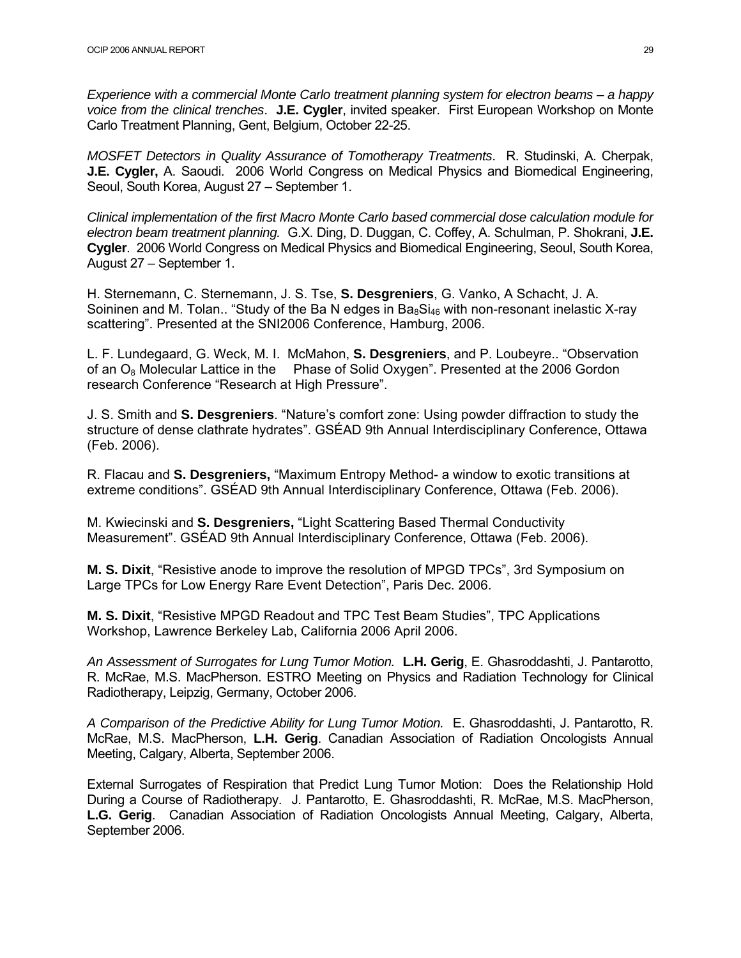*Experience with a commercial Monte Carlo treatment planning system for electron beams – a happy voice from the clinical trenches*. **J.E. Cygler**, invited speaker. First European Workshop on Monte Carlo Treatment Planning, Gent, Belgium, October 22-25.

*MOSFET Detectors in Quality Assurance of Tomotherapy Treatments*. R. Studinski, A. Cherpak, **J.E. Cygler,** A. Saoudi. 2006 World Congress on Medical Physics and Biomedical Engineering, Seoul, South Korea, August 27 – September 1.

*Clinical implementation of the first Macro Monte Carlo based commercial dose calculation module for electron beam treatment planning.* G.X. Ding, D. Duggan, C. Coffey, A. Schulman, P. Shokrani, **J.E. Cygler**. 2006 World Congress on Medical Physics and Biomedical Engineering, Seoul, South Korea, August 27 – September 1.

H. Sternemann, C. Sternemann, J. S. Tse, **S. Desgreniers**, G. Vanko, A Schacht, J. A. Soininen and M. Tolan.. "Study of the Ba N edges in  $Ba_8Si_{46}$  with non-resonant inelastic X-ray scattering". Presented at the SNI2006 Conference, Hamburg, 2006.

L. F. Lundegaard, G. Weck, M. I. McMahon, **S. Desgreniers**, and P. Loubeyre.. "Observation of an  $O_8$  Molecular Lattice in the Phase of Solid Oxygen". Presented at the 2006 Gordon research Conference "Research at High Pressure".

J. S. Smith and **S. Desgreniers**. "Nature's comfort zone: Using powder diffraction to study the structure of dense clathrate hydrates". GSÉAD 9th Annual Interdisciplinary Conference, Ottawa (Feb. 2006).

R. Flacau and **S. Desgreniers,** "Maximum Entropy Method- a window to exotic transitions at extreme conditions". GSÉAD 9th Annual Interdisciplinary Conference, Ottawa (Feb. 2006).

M. Kwiecinski and **S. Desgreniers,** "Light Scattering Based Thermal Conductivity Measurement". GSÉAD 9th Annual Interdisciplinary Conference, Ottawa (Feb. 2006).

**M. S. Dixit**, "Resistive anode to improve the resolution of MPGD TPCs", 3rd Symposium on Large TPCs for Low Energy Rare Event Detection", Paris Dec. 2006.

**M. S. Dixit**, "Resistive MPGD Readout and TPC Test Beam Studies", TPC Applications Workshop, Lawrence Berkeley Lab, California 2006 April 2006.

*An Assessment of Surrogates for Lung Tumor Motion.* **L.H. Gerig**, E. Ghasroddashti, J. Pantarotto, R. McRae, M.S. MacPherson. ESTRO Meeting on Physics and Radiation Technology for Clinical Radiotherapy, Leipzig, Germany, October 2006.

*A Comparison of the Predictive Ability for Lung Tumor Motion.* E. Ghasroddashti, J. Pantarotto, R. McRae, M.S. MacPherson, **L.H. Gerig**. Canadian Association of Radiation Oncologists Annual Meeting, Calgary, Alberta, September 2006.

External Surrogates of Respiration that Predict Lung Tumor Motion: Does the Relationship Hold During a Course of Radiotherapy. J. Pantarotto, E. Ghasroddashti, R. McRae, M.S. MacPherson, **L.G. Gerig**. Canadian Association of Radiation Oncologists Annual Meeting, Calgary, Alberta, September 2006.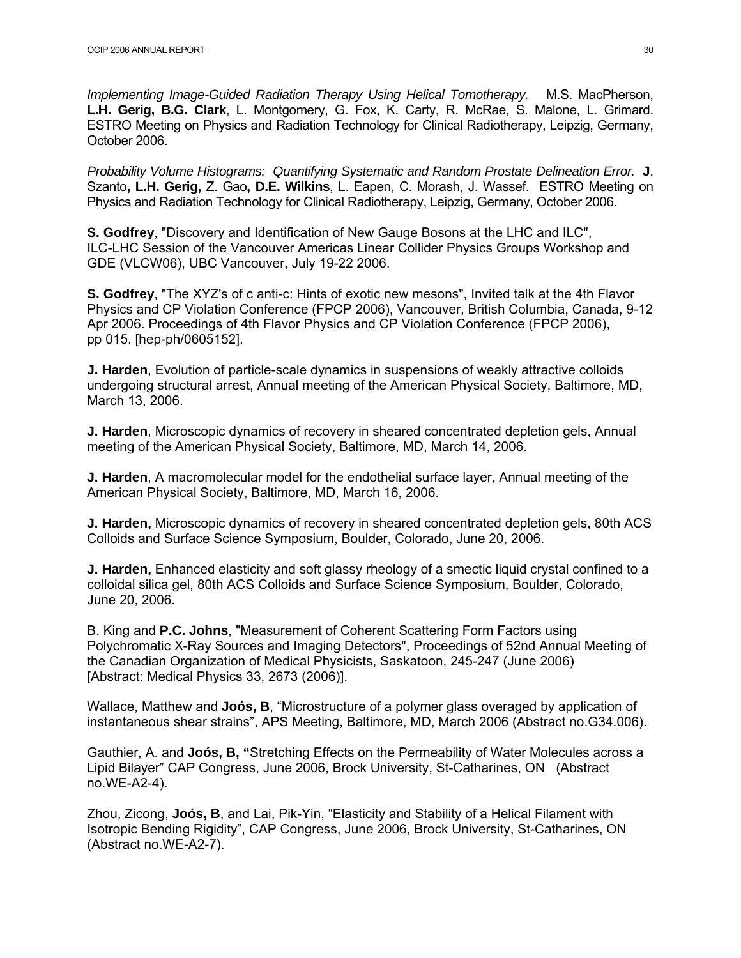*Implementing Image-Guided Radiation Therapy Using Helical Tomotherapy.* M.S. MacPherson, **L.H. Gerig, B.G. Clark**, L. Montgomery, G. Fox, K. Carty, R. McRae, S. Malone, L. Grimard. ESTRO Meeting on Physics and Radiation Technology for Clinical Radiotherapy, Leipzig, Germany, October 2006.

*Probability Volume Histograms: Quantifying Systematic and Random Prostate Delineation Error.* **J**. Szanto**, L.H. Gerig,** Z. Gao**, D.E. Wilkins**, L. Eapen, C. Morash, J. Wassef. ESTRO Meeting on Physics and Radiation Technology for Clinical Radiotherapy, Leipzig, Germany, October 2006.

**S. Godfrey**, "Discovery and Identification of New Gauge Bosons at the LHC and ILC", ILC-LHC Session of the Vancouver Americas Linear Collider Physics Groups Workshop and GDE (VLCW06), UBC Vancouver, July 19-22 2006.

**S. Godfrey**, "The XYZ's of c anti-c: Hints of exotic new mesons", Invited talk at the 4th Flavor Physics and CP Violation Conference (FPCP 2006), Vancouver, British Columbia, Canada, 9-12 Apr 2006. Proceedings of 4th Flavor Physics and CP Violation Conference (FPCP 2006), pp 015. [hep-ph/0605152].

**J. Harden**, Evolution of particle-scale dynamics in suspensions of weakly attractive colloids undergoing structural arrest, Annual meeting of the American Physical Society, Baltimore, MD, March 13, 2006.

**J. Harden**, Microscopic dynamics of recovery in sheared concentrated depletion gels, Annual meeting of the American Physical Society, Baltimore, MD, March 14, 2006.

**J. Harden**, A macromolecular model for the endothelial surface layer, Annual meeting of the American Physical Society, Baltimore, MD, March 16, 2006.

**J. Harden,** Microscopic dynamics of recovery in sheared concentrated depletion gels, 80th ACS Colloids and Surface Science Symposium, Boulder, Colorado, June 20, 2006.

**J. Harden,** Enhanced elasticity and soft glassy rheology of a smectic liquid crystal confined to a colloidal silica gel, 80th ACS Colloids and Surface Science Symposium, Boulder, Colorado, June 20, 2006.

B. King and **P.C. Johns**, "Measurement of Coherent Scattering Form Factors using Polychromatic X-Ray Sources and Imaging Detectors", Proceedings of 52nd Annual Meeting of the Canadian Organization of Medical Physicists, Saskatoon, 245-247 (June 2006) [Abstract: Medical Physics 33, 2673 (2006)].

Wallace, Matthew and **Joós, B**, "Microstructure of a polymer glass overaged by application of instantaneous shear strains", APS Meeting, Baltimore, MD, March 2006 (Abstract no.G34.006).

Gauthier, A. and **Joós, B, "**Stretching Effects on the Permeability of Water Molecules across a Lipid Bilayer" CAP Congress, June 2006, Brock University, St-Catharines, ON (Abstract no.WE-A2-4).

Zhou, Zicong, **Joós, B**, and Lai, Pik-Yin, "Elasticity and Stability of a Helical Filament with Isotropic Bending Rigidity", CAP Congress, June 2006, Brock University, St-Catharines, ON (Abstract no.WE-A2-7).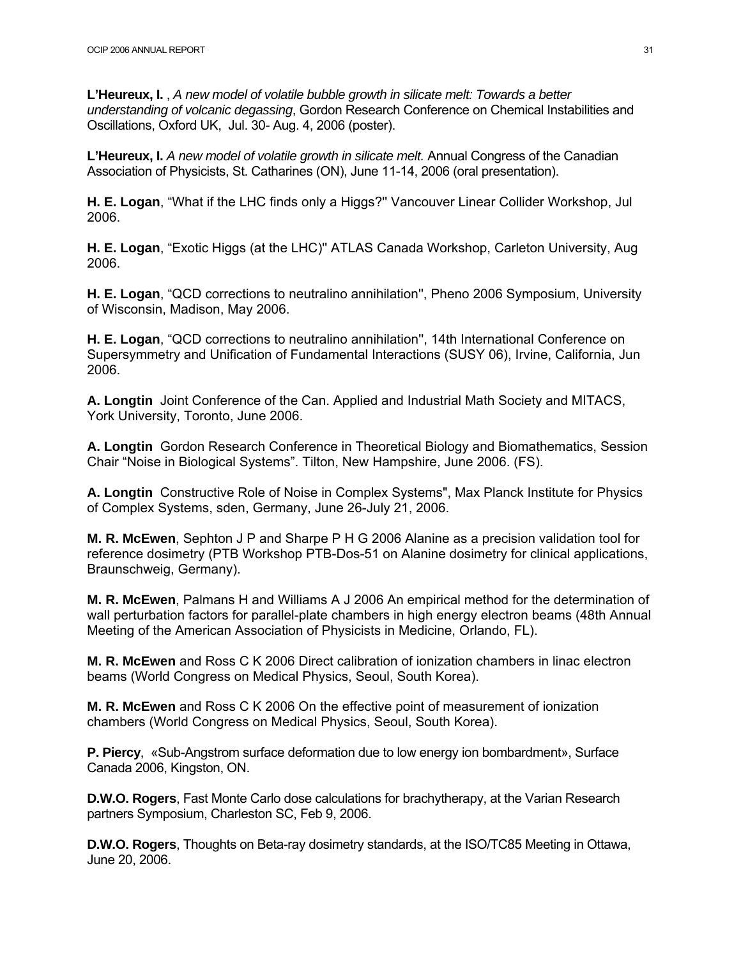**L'Heureux, I.** , *A new model of volatile bubble growth in silicate melt: Towards a better understanding of volcanic degassing*, Gordon Research Conference on Chemical Instabilities and Oscillations, Oxford UK, Jul. 30- Aug. 4, 2006 (poster).

**L'Heureux, I.** *A new model of volatile growth in silicate melt.* Annual Congress of the Canadian Association of Physicists, St. Catharines (ON), June 11-14, 2006 (oral presentation).

**H. E. Logan**, "What if the LHC finds only a Higgs?'' Vancouver Linear Collider Workshop, Jul 2006.

**H. E. Logan**, "Exotic Higgs (at the LHC)'' ATLAS Canada Workshop, Carleton University, Aug 2006.

**H. E. Logan**, "QCD corrections to neutralino annihilation'', Pheno 2006 Symposium, University of Wisconsin, Madison, May 2006.

**H. E. Logan**, "QCD corrections to neutralino annihilation'', 14th International Conference on Supersymmetry and Unification of Fundamental Interactions (SUSY 06), Irvine, California, Jun 2006.

**A. Longtin** Joint Conference of the Can. Applied and Industrial Math Society and MITACS, York University, Toronto, June 2006.

**A. Longtin** Gordon Research Conference in Theoretical Biology and Biomathematics, Session Chair "Noise in Biological Systems". Tilton, New Hampshire, June 2006. (FS).

**A. Longtin** Constructive Role of Noise in Complex Systems", Max Planck Institute for Physics of Complex Systems, sden, Germany, June 26-July 21, 2006.

**M. R. McEwen**, Sephton J P and Sharpe P H G 2006 Alanine as a precision validation tool for reference dosimetry (PTB Workshop PTB-Dos-51 on Alanine dosimetry for clinical applications, Braunschweig, Germany).

**M. R. McEwen**, Palmans H and Williams A J 2006 An empirical method for the determination of wall perturbation factors for parallel-plate chambers in high energy electron beams (48th Annual Meeting of the American Association of Physicists in Medicine, Orlando, FL).

**M. R. McEwen** and Ross C K 2006 Direct calibration of ionization chambers in linac electron beams (World Congress on Medical Physics, Seoul, South Korea).

**M. R. McEwen** and Ross C K 2006 On the effective point of measurement of ionization chambers (World Congress on Medical Physics, Seoul, South Korea).

**P. Piercy**, «Sub-Angstrom surface deformation due to low energy ion bombardment», Surface Canada 2006, Kingston, ON.

**D.W.O. Rogers**, Fast Monte Carlo dose calculations for brachytherapy, at the Varian Research partners Symposium, Charleston SC, Feb 9, 2006.

**D.W.O. Rogers**, Thoughts on Beta-ray dosimetry standards, at the ISO/TC85 Meeting in Ottawa, June 20, 2006.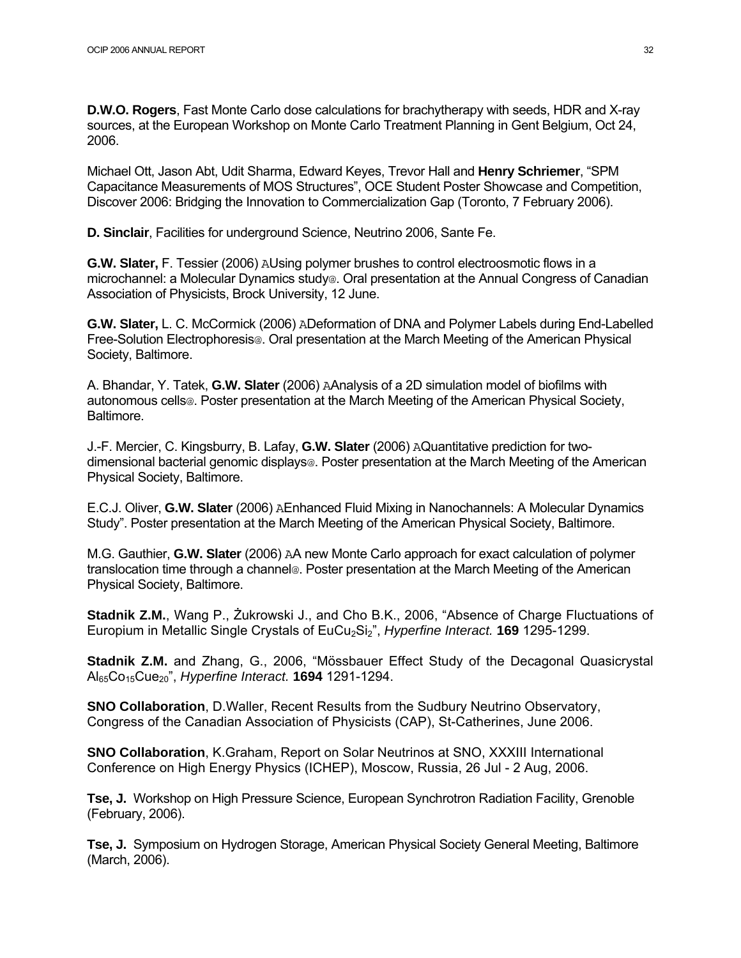**D.W.O. Rogers**, Fast Monte Carlo dose calculations for brachytherapy with seeds, HDR and X-ray sources, at the European Workshop on Monte Carlo Treatment Planning in Gent Belgium, Oct 24, 2006.

Michael Ott, Jason Abt, Udit Sharma, Edward Keyes, Trevor Hall and **Henry Schriemer**, "SPM Capacitance Measurements of MOS Structures", OCE Student Poster Showcase and Competition, Discover 2006: Bridging the Innovation to Commercialization Gap (Toronto, 7 February 2006).

**D. Sinclair**, Facilities for underground Science, Neutrino 2006, Sante Fe.

**G.W. Slater,** F. Tessier (2006) AUsing polymer brushes to control electroosmotic flows in a microchannel: a Molecular Dynamics study@. Oral presentation at the Annual Congress of Canadian Association of Physicists, Brock University, 12 June.

**G.W. Slater,** L. C. McCormick (2006) ADeformation of DNA and Polymer Labels during End-Labelled Free-Solution Electrophoresis@. Oral presentation at the March Meeting of the American Physical Society, Baltimore.

A. Bhandar, Y. Tatek, **G.W. Slater** (2006) AAnalysis of a 2D simulation model of biofilms with autonomous cells@. Poster presentation at the March Meeting of the American Physical Society, Baltimore.

J.-F. Mercier, C. Kingsburry, B. Lafay, **G.W. Slater** (2006) AQuantitative prediction for twodimensional bacterial genomic displays@. Poster presentation at the March Meeting of the American Physical Society, Baltimore.

E.C.J. Oliver, **G.W. Slater** (2006) AEnhanced Fluid Mixing in Nanochannels: A Molecular Dynamics Study". Poster presentation at the March Meeting of the American Physical Society, Baltimore.

M.G. Gauthier, **G.W. Slater** (2006) AA new Monte Carlo approach for exact calculation of polymer translocation time through a channel@. Poster presentation at the March Meeting of the American Physical Society, Baltimore.

**Stadnik Z.M.**, Wang P., Żukrowski J., and Cho B.K., 2006, "Absence of Charge Fluctuations of Europium in Metallic Single Crystals of EuCu<sub>2</sub>Si<sub>2</sub>", *Hyperfine Interact.* **169** 1295-1299.

**Stadnik Z.M.** and Zhang, G., 2006, "Mössbauer Effect Study of the Decagonal Quasicrystal Al65Co15Cue20", *Hyperfine Interact.* **1694** 1291-1294.

**SNO Collaboration**, D.Waller, Recent Results from the Sudbury Neutrino Observatory, Congress of the Canadian Association of Physicists (CAP), St-Catherines, June 2006.

**SNO Collaboration**, K.Graham, Report on Solar Neutrinos at SNO, XXXIII International Conference on High Energy Physics (ICHEP), Moscow, Russia, 26 Jul - 2 Aug, 2006.

**Tse, J.** Workshop on High Pressure Science, European Synchrotron Radiation Facility, Grenoble (February, 2006).

**Tse, J.** Symposium on Hydrogen Storage, American Physical Society General Meeting, Baltimore (March, 2006).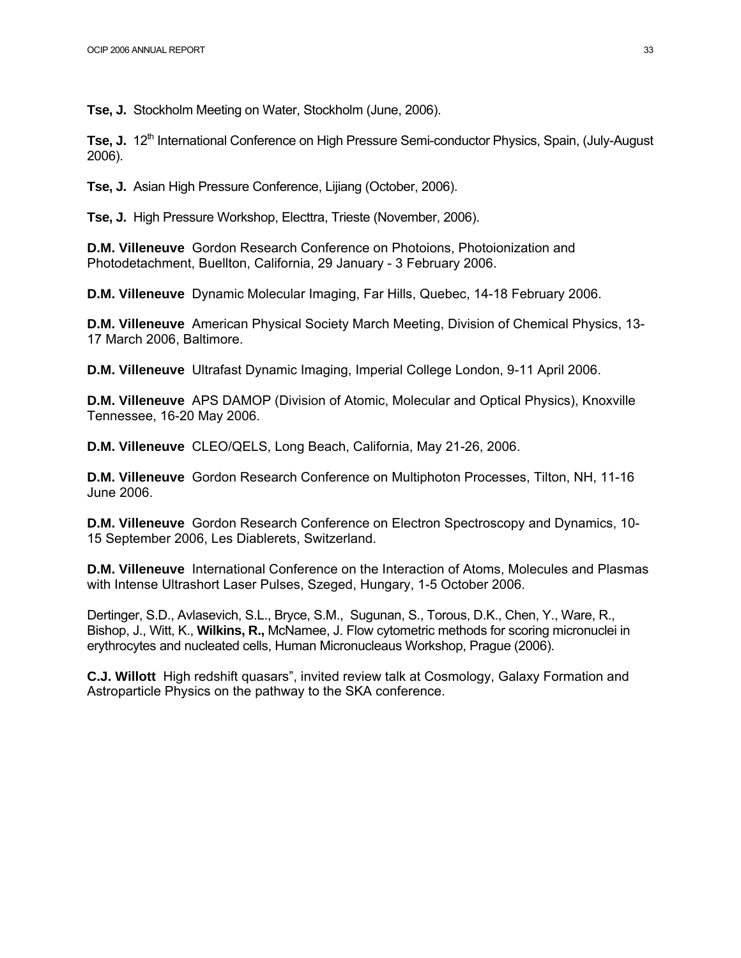**Tse, J.** Stockholm Meeting on Water, Stockholm (June, 2006).

Tse, J. 12<sup>th</sup> International Conference on High Pressure Semi-conductor Physics, Spain, (July-August 2006).

**Tse, J.** Asian High Pressure Conference, Lijiang (October, 2006).

**Tse, J.** High Pressure Workshop, Electtra, Trieste (November, 2006).

**D.M. Villeneuve** Gordon Research Conference on Photoions, Photoionization and Photodetachment, Buellton, California, 29 January - 3 February 2006.

**D.M. Villeneuve** Dynamic Molecular Imaging, Far Hills, Quebec, 14-18 February 2006.

**D.M. Villeneuve** American Physical Society March Meeting, Division of Chemical Physics, 13- 17 March 2006, Baltimore.

**D.M. Villeneuve** Ultrafast Dynamic Imaging, Imperial College London, 9-11 April 2006.

**D.M. Villeneuve** APS DAMOP (Division of Atomic, Molecular and Optical Physics), Knoxville Tennessee, 16-20 May 2006.

**D.M. Villeneuve** CLEO/QELS, Long Beach, California, May 21-26, 2006.

**D.M. Villeneuve** Gordon Research Conference on Multiphoton Processes, Tilton, NH, 11-16 June 2006.

**D.M. Villeneuve** Gordon Research Conference on Electron Spectroscopy and Dynamics, 10- 15 September 2006, Les Diablerets, Switzerland.

**D.M. Villeneuve** International Conference on the Interaction of Atoms, Molecules and Plasmas with Intense Ultrashort Laser Pulses, Szeged, Hungary, 1-5 October 2006.

Dertinger, S.D., Avlasevich, S.L., Bryce, S.M., Sugunan, S., Torous, D.K., Chen, Y., Ware, R., Bishop, J., Witt, K., **Wilkins, R.,** McNamee, J. Flow cytometric methods for scoring micronuclei in erythrocytes and nucleated cells, Human Micronucleaus Workshop, Prague (2006).

**C.J. Willott** High redshift quasars", invited review talk at Cosmology, Galaxy Formation and Astroparticle Physics on the pathway to the SKA conference.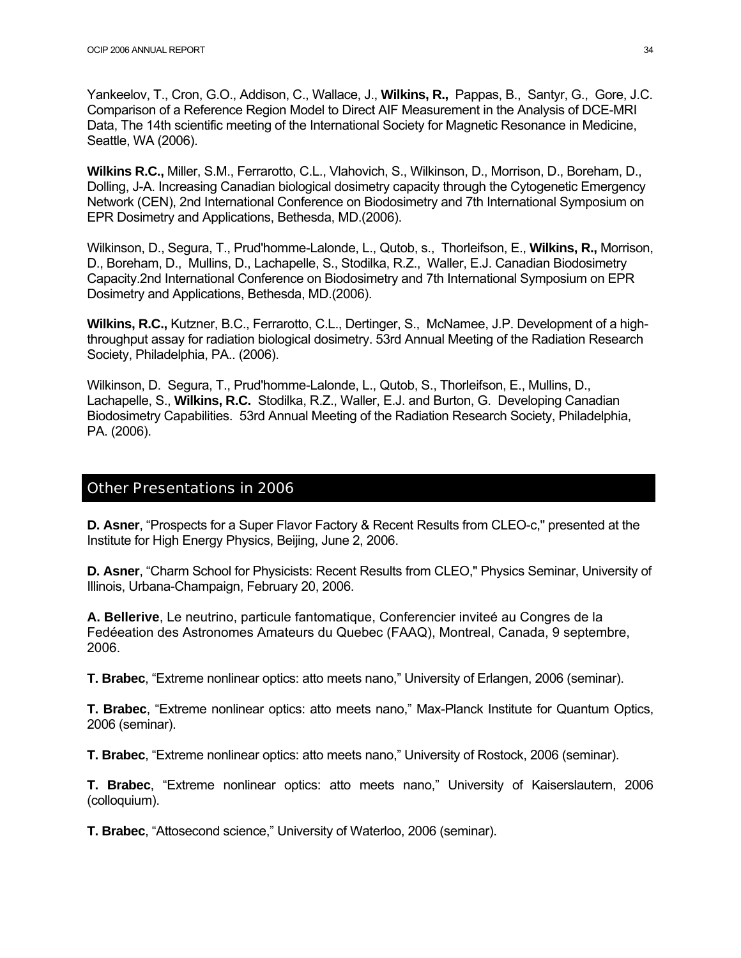Yankeelov, T., Cron, G.O., Addison, C., Wallace, J., **Wilkins, R.,** Pappas, B., Santyr, G., Gore, J.C. Comparison of a Reference Region Model to Direct AIF Measurement in the Analysis of DCE-MRI Data, The 14th scientific meeting of the International Society for Magnetic Resonance in Medicine, Seattle, WA (2006).

**Wilkins R.C.,** Miller, S.M., Ferrarotto, C.L., Vlahovich, S., Wilkinson, D., Morrison, D., Boreham, D., Dolling, J-A. Increasing Canadian biological dosimetry capacity through the Cytogenetic Emergency Network (CEN), 2nd International Conference on Biodosimetry and 7th International Symposium on EPR Dosimetry and Applications, Bethesda, MD.(2006).

Wilkinson, D., Segura, T., Prud'homme-Lalonde, L., Qutob, s., Thorleifson, E., **Wilkins, R.,** Morrison, D., Boreham, D., Mullins, D., Lachapelle, S., Stodilka, R.Z., Waller, E.J. Canadian Biodosimetry Capacity.2nd International Conference on Biodosimetry and 7th International Symposium on EPR Dosimetry and Applications, Bethesda, MD.(2006).

**Wilkins, R.C.,** Kutzner, B.C., Ferrarotto, C.L., Dertinger, S., McNamee, J.P. Development of a highthroughput assay for radiation biological dosimetry. 53rd Annual Meeting of the Radiation Research Society, Philadelphia, PA.. (2006).

Wilkinson, D. Segura, T., Prud'homme-Lalonde, L., Qutob, S., Thorleifson, E., Mullins, D., Lachapelle, S., **Wilkins, R.C.** Stodilka, R.Z., Waller, E.J. and Burton, G. Developing Canadian Biodosimetry Capabilities. 53rd Annual Meeting of the Radiation Research Society, Philadelphia, PA. (2006).

### Other Presentations in 2006

**D. Asner**, "Prospects for a Super Flavor Factory & Recent Results from CLEO-c,'' presented at the Institute for High Energy Physics, Beijing, June 2, 2006.

**D. Asner**, "Charm School for Physicists: Recent Results from CLEO,'' Physics Seminar, University of Illinois, Urbana-Champaign, February 20, 2006.

**A. Bellerive**, Le neutrino, particule fantomatique, Conferencier inviteé au Congres de la Fedéeation des Astronomes Amateurs du Quebec (FAAQ), Montreal, Canada, 9 septembre, 2006.

**T. Brabec**, "Extreme nonlinear optics: atto meets nano," University of Erlangen, 2006 (seminar).

**T. Brabec**, "Extreme nonlinear optics: atto meets nano," Max-Planck Institute for Quantum Optics, 2006 (seminar).

**T. Brabec**, "Extreme nonlinear optics: atto meets nano," University of Rostock, 2006 (seminar).

**T. Brabec**, "Extreme nonlinear optics: atto meets nano," University of Kaiserslautern, 2006 (colloquium).

**T. Brabec**, "Attosecond science," University of Waterloo, 2006 (seminar).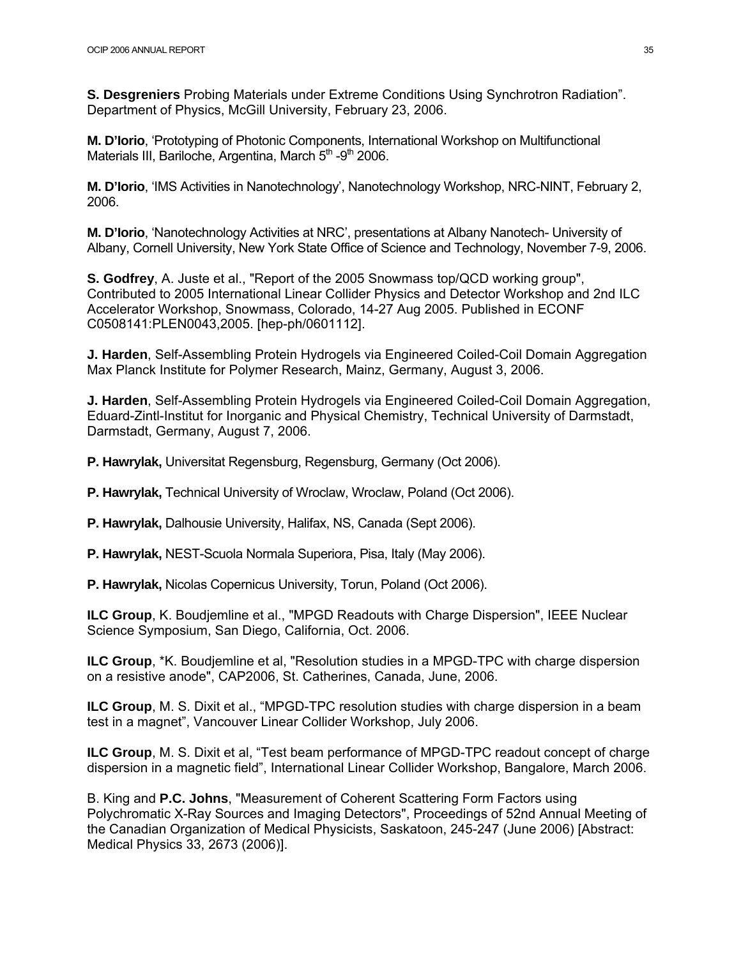**S. Desgreniers** Probing Materials under Extreme Conditions Using Synchrotron Radiation". Department of Physics, McGill University, February 23, 2006.

**M. D'Iorio**, 'Prototyping of Photonic Components, International Workshop on Multifunctional Materials III, Bariloche, Argentina, March 5<sup>th</sup> -9<sup>th</sup> 2006.

**M. D'Iorio**, 'IMS Activities in Nanotechnology', Nanotechnology Workshop, NRC-NINT, February 2, 2006.

**M. D'Iorio**, 'Nanotechnology Activities at NRC', presentations at Albany Nanotech- University of Albany, Cornell University, New York State Office of Science and Technology, November 7-9, 2006.

**S. Godfrey**, A. Juste et al., "Report of the 2005 Snowmass top/QCD working group", Contributed to 2005 International Linear Collider Physics and Detector Workshop and 2nd ILC Accelerator Workshop, Snowmass, Colorado, 14-27 Aug 2005. Published in ECONF C0508141:PLEN0043,2005. [hep-ph/0601112].

**J. Harden**, Self-Assembling Protein Hydrogels via Engineered Coiled-Coil Domain Aggregation Max Planck Institute for Polymer Research, Mainz, Germany, August 3, 2006.

**J. Harden**, Self-Assembling Protein Hydrogels via Engineered Coiled-Coil Domain Aggregation, Eduard-Zintl-Institut for Inorganic and Physical Chemistry, Technical University of Darmstadt, Darmstadt, Germany, August 7, 2006.

**P. Hawrylak,** Universitat Regensburg, Regensburg, Germany (Oct 2006).

**P. Hawrylak,** Technical University of Wroclaw, Wroclaw, Poland (Oct 2006).

**P. Hawrylak,** Dalhousie University, Halifax, NS, Canada (Sept 2006).

**P. Hawrylak,** NEST-Scuola Normala Superiora, Pisa, Italy (May 2006).

**P. Hawrylak,** Nicolas Copernicus University, Torun, Poland (Oct 2006).

**ILC Group**, K. Boudjemline et al., "MPGD Readouts with Charge Dispersion", IEEE Nuclear Science Symposium, San Diego, California, Oct. 2006.

**ILC Group**, \*K. Boudjemline et al, "Resolution studies in a MPGD-TPC with charge dispersion on a resistive anode", CAP2006, St. Catherines, Canada, June, 2006.

**ILC Group**, M. S. Dixit et al., "MPGD-TPC resolution studies with charge dispersion in a beam test in a magnet", Vancouver Linear Collider Workshop, July 2006.

**ILC Group**, M. S. Dixit et al, "Test beam performance of MPGD-TPC readout concept of charge dispersion in a magnetic field", International Linear Collider Workshop, Bangalore, March 2006.

B. King and **P.C. Johns**, "Measurement of Coherent Scattering Form Factors using Polychromatic X-Ray Sources and Imaging Detectors", Proceedings of 52nd Annual Meeting of the Canadian Organization of Medical Physicists, Saskatoon, 245-247 (June 2006) [Abstract: Medical Physics 33, 2673 (2006)].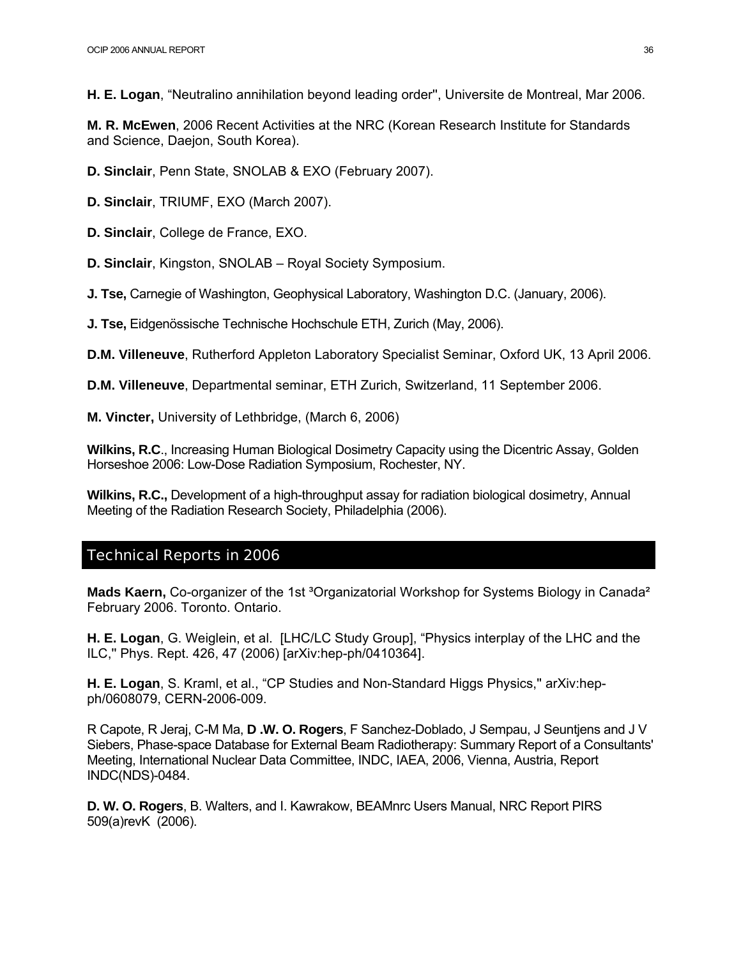**H. E. Logan**, "Neutralino annihilation beyond leading order'', Universite de Montreal, Mar 2006.

**M. R. McEwen**, 2006 Recent Activities at the NRC (Korean Research Institute for Standards and Science, Daejon, South Korea).

**D. Sinclair**, Penn State, SNOLAB & EXO (February 2007).

**D. Sinclair**, TRIUMF, EXO (March 2007).

**D. Sinclair**, College de France, EXO.

**D. Sinclair**, Kingston, SNOLAB – Royal Society Symposium.

**J. Tse,** Carnegie of Washington, Geophysical Laboratory, Washington D.C. (January, 2006).

**J. Tse,** Eidgenössische Technische Hochschule ETH, Zurich (May, 2006).

**D.M. Villeneuve**, Rutherford Appleton Laboratory Specialist Seminar, Oxford UK, 13 April 2006.

**D.M. Villeneuve**, Departmental seminar, ETH Zurich, Switzerland, 11 September 2006.

**M. Vincter,** University of Lethbridge, (March 6, 2006)

**Wilkins, R.C**., Increasing Human Biological Dosimetry Capacity using the Dicentric Assay, Golden Horseshoe 2006: Low-Dose Radiation Symposium, Rochester, NY.

**Wilkins, R.C.,** Development of a high-throughput assay for radiation biological dosimetry, Annual Meeting of the Radiation Research Society, Philadelphia (2006).

#### Technical Reports in 2006

Mads Kaern, Co-organizer of the 1st <sup>3</sup>Organizatorial Workshop for Systems Biology in Canada<sup>2</sup> February 2006. Toronto. Ontario.

**H. E. Logan**, G. Weiglein, et al. [LHC/LC Study Group], "Physics interplay of the LHC and the ILC,'' Phys. Rept. 426, 47 (2006) [arXiv:hep-ph/0410364].

**H. E. Logan**, S. Kraml, et al., "CP Studies and Non-Standard Higgs Physics,'' arXiv:hepph/0608079, CERN-2006-009.

R Capote, R Jeraj, C-M Ma, **D .W. O. Rogers**, F Sanchez-Doblado, J Sempau, J Seuntjens and J V Siebers, Phase-space Database for External Beam Radiotherapy: Summary Report of a Consultants' Meeting, International Nuclear Data Committee, INDC, IAEA, 2006, Vienna, Austria, Report INDC(NDS)-0484.

**D. W. O. Rogers**, B. Walters, and I. Kawrakow, BEAMnrc Users Manual, NRC Report PIRS 509(a)revK (2006).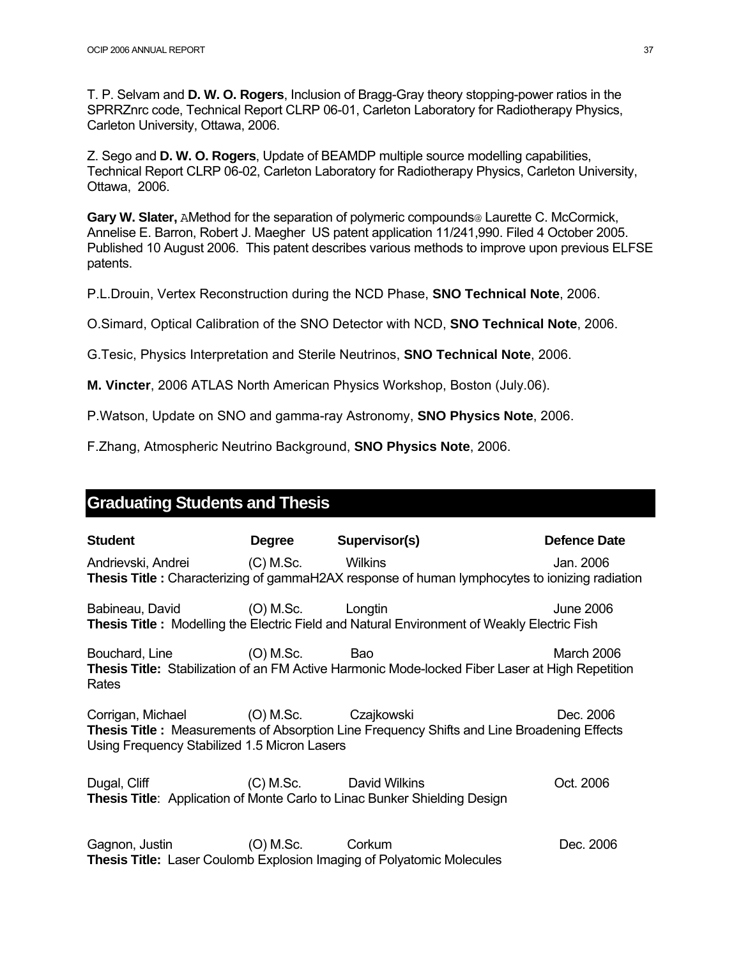T. P. Selvam and **D. W. O. Rogers**, Inclusion of Bragg-Gray theory stopping-power ratios in the SPRRZnrc code, Technical Report CLRP 06-01, Carleton Laboratory for Radiotherapy Physics, Carleton University, Ottawa, 2006.

Z. Sego and **D. W. O. Rogers**, Update of BEAMDP multiple source modelling capabilities, Technical Report CLRP 06-02, Carleton Laboratory for Radiotherapy Physics, Carleton University, Ottawa, 2006.

**Gary W. Slater,** AMethod for the separation of polymeric compounds@ Laurette C. McCormick, Annelise E. Barron, Robert J. Maegher US patent application 11/241,990. Filed 4 October 2005. Published 10 August 2006. This patent describes various methods to improve upon previous ELFSE patents.

P.L.Drouin, Vertex Reconstruction during the NCD Phase, **SNO Technical Note**, 2006.

O.Simard, Optical Calibration of the SNO Detector with NCD, **SNO Technical Note**, 2006.

G.Tesic, Physics Interpretation and Sterile Neutrinos, **SNO Technical Note**, 2006.

**M. Vincter**, 2006 ATLAS North American Physics Workshop, Boston (July.06).

P.Watson, Update on SNO and gamma-ray Astronomy, **SNO Physics Note**, 2006.

F.Zhang, Atmospheric Neutrino Background, **SNO Physics Note**, 2006.

### **Graduating Students and Thesis**

| <b>Student</b>                                                                         | Degree Supervisor(s)                                                                              | <b>Defence Date</b> |
|----------------------------------------------------------------------------------------|---------------------------------------------------------------------------------------------------|---------------------|
| Andrievski, Andrei (C) M.Sc. Wilkins                                                   | Thesis Title: Characterizing of gammaH2AX response of human lymphocytes to ionizing radiation     | Jan. 2006           |
| Babineau, David (O) M.Sc. Longtin                                                      | <b>Thesis Title:</b> Modelling the Electric Field and Natural Environment of Weakly Electric Fish | <b>June 2006</b>    |
| Bouchard, Line (O) M.Sc. Bao<br>Rates                                                  | Thesis Title: Stabilization of an FM Active Harmonic Mode-locked Fiber Laser at High Repetition   | March 2006          |
| Corrigan, Michael (O) M.Sc. Czajkowski<br>Using Frequency Stabilized 1.5 Micron Lasers | <b>Thesis Title:</b> Measurements of Absorption Line Frequency Shifts and Line Broadening Effects | Dec. 2006           |
| Dugal, Cliff (C) M.Sc. David Wilkins                                                   | <b>Thesis Title:</b> Application of Monte Carlo to Linac Bunker Shielding Design                  | Oct. 2006           |
| Gagnon, Justin (O) M.Sc. Corkum                                                        | <b>Thesis Title:</b> Laser Coulomb Explosion Imaging of Polyatomic Molecules                      | Dec. 2006           |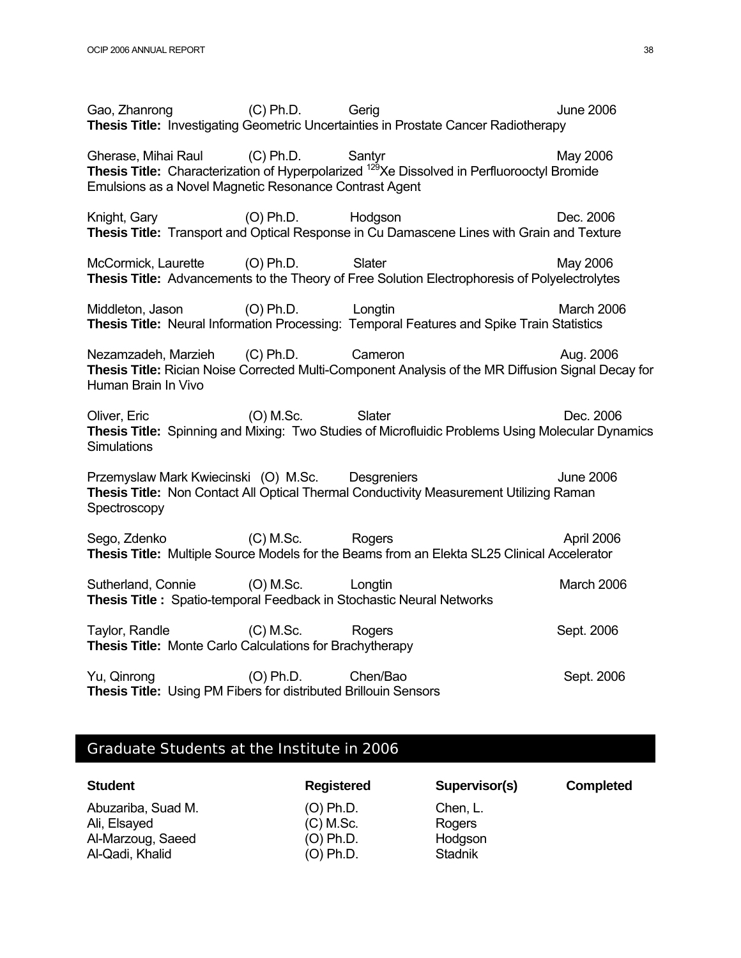Gao, Zhanrong (C) Ph.D. Gerig Gerig June 2006 **Thesis Title:** Investigating Geometric Uncertainties in Prostate Cancer Radiotherapy Gherase, Mihai Raul (C) Ph.D. Santyr May 2006 **Thesis Title:** Characterization of Hyperpolarized <sup>129</sup>Xe Dissolved in Perfluorooctyl Bromide Emulsions as a Novel Magnetic Resonance Contrast Agent Knight, Gary (O) Ph.D. Hodgson **Dec. 2006 Thesis Title:** Transport and Optical Response in Cu Damascene Lines with Grain and Texture McCormick, Laurette (O) Ph.D. Slater May 2006 **Thesis Title:** Advancements to the Theory of Free Solution Electrophoresis of Polyelectrolytes Middleton, Jason (O) Ph.D. Longtin March 2006 **Thesis Title:** Neural Information Processing: Temporal Features and Spike Train Statistics Nezamzadeh, Marzieh (C) Ph.D. Cameron Cameron Aug. 2006 **Thesis Title:** Rician Noise Corrected Multi-Component Analysis of the MR Diffusion Signal Decay for Human Brain In Vivo Oliver, Eric (O) M.Sc. Slater Stater Dec. 2006 **Thesis Title:** Spinning and Mixing: Two Studies of Microfluidic Problems Using Molecular Dynamics **Simulations** Przemyslaw Mark Kwiecinski (O) M.Sc. Desgreniers and the computation of the 2006 **Thesis Title:** Non Contact All Optical Thermal Conductivity Measurement Utilizing Raman **Spectroscopy** Sego, Zdenko (C) M.Sc. Rogers Rogers April 2006 **Thesis Title:** Multiple Source Models for the Beams from an Elekta SL25 Clinical Accelerator Sutherland, Connie (O) M.Sc. Longtin March 2006 **Thesis Title :** Spatio-temporal Feedback in Stochastic Neural Networks Taylor, Randle **COM.Sc.** Rogers Sept. 2006 **Thesis Title:** Monte Carlo Calculations for Brachytherapy Yu, Qinrong (O) Ph.D. Chen/Bao Sept. 2006 **Thesis Title:** Using PM Fibers for distributed Brillouin Sensors

### Graduate Students at the Institute in 2006

| <b>Student</b>     | <b>Registered</b> | Supervisor(s)  | <b>Completed</b> |
|--------------------|-------------------|----------------|------------------|
| Abuzariba, Suad M. | (O) Ph.D.         | Chen, L.       |                  |
| Ali, Elsayed       | $(C)$ M.Sc.       | Rogers         |                  |
| Al-Marzoug, Saeed  | (O) Ph.D.         | Hodgson        |                  |
| Al-Qadi, Khalid    | (O) Ph.D.         | <b>Stadnik</b> |                  |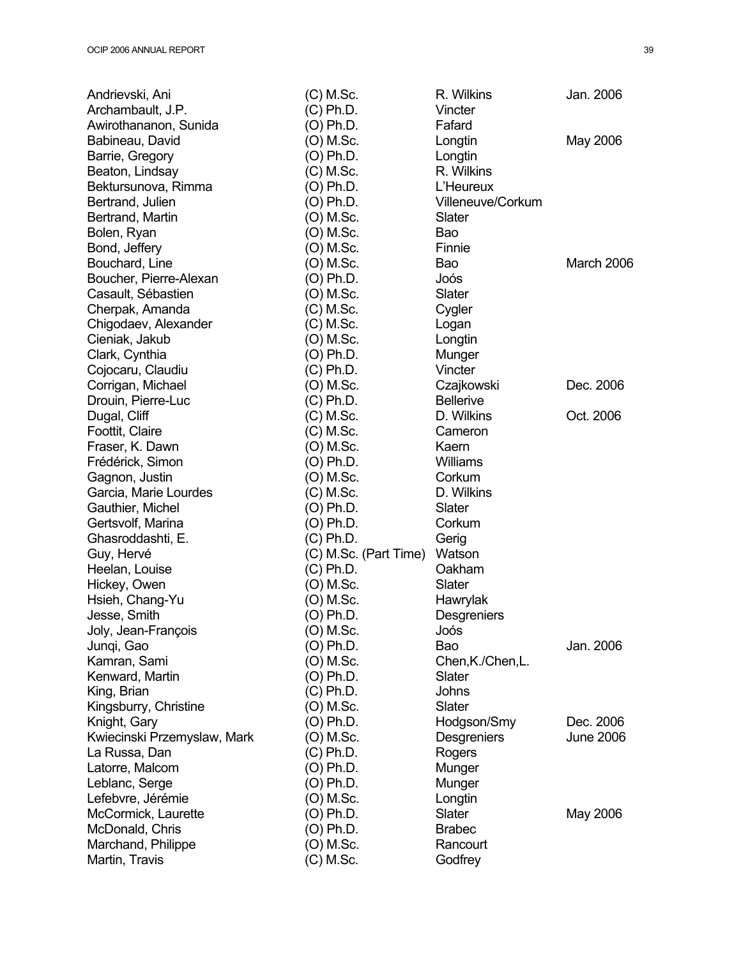| Andrievski, Ani             | $(C)$ M.Sc.           | R. Wilkins        | Jan. 2006        |
|-----------------------------|-----------------------|-------------------|------------------|
| Archambault, J.P.           | $(C)$ Ph.D.           | Vincter           |                  |
| Awirothananon, Sunida       | (O) Ph.D.             | Fafard            |                  |
| Babineau, David             | (O) M.Sc.             | Longtin           | May 2006         |
| Barrie, Gregory             | (O) Ph.D.             | Longtin           |                  |
| Beaton, Lindsay             | $(C)$ M.Sc.           | R. Wilkins        |                  |
| Bektursunova, Rimma         | (O) Ph.D.             | L'Heureux         |                  |
| Bertrand, Julien            | (O) Ph.D.             | Villeneuve/Corkum |                  |
| Bertrand, Martin            | (O) M.Sc.             | Slater            |                  |
| Bolen, Ryan                 | (O) M.Sc.             | Bao               |                  |
| Bond, Jeffery               | (O) M.Sc.             | Finnie            |                  |
| Bouchard, Line              | (O) M.Sc.             | Bao               | March 2006       |
| Boucher, Pierre-Alexan      | (O) Ph.D.             | Joós              |                  |
| Casault, Sébastien          | (O) M.Sc.             | Slater            |                  |
| Cherpak, Amanda             | $(C)$ M.Sc.           | Cygler            |                  |
| Chigodaev, Alexander        | $(C)$ M.Sc.           | Logan             |                  |
| Cieniak, Jakub              | (O) M.Sc.             | Longtin           |                  |
| Clark, Cynthia              | (O) Ph.D.             | Munger            |                  |
| Cojocaru, Claudiu           | (C) Ph.D.             | Vincter           |                  |
| Corrigan, Michael           | (O) M.Sc.             | Czajkowski        | Dec. 2006        |
| Drouin, Pierre-Luc          | (C) Ph.D.             | <b>Bellerive</b>  |                  |
| Dugal, Cliff                | $(C)$ M.Sc.           | D. Wilkins        | Oct. 2006        |
| Foottit, Claire             | $(C)$ M.Sc.           | Cameron           |                  |
| Fraser, K. Dawn             | (O) M.Sc.             | Kaern             |                  |
| Frédérick, Simon            | (O) Ph.D.             | Williams          |                  |
| Gagnon, Justin              | (O) M.Sc.             | Corkum            |                  |
| Garcia, Marie Lourdes       | $(C)$ M.Sc.           | D. Wilkins        |                  |
| Gauthier, Michel            | (O) Ph.D.             | Slater            |                  |
|                             | (O) Ph.D.             | Corkum            |                  |
| Gertsvolf, Marina           | (C) Ph.D.             |                   |                  |
| Ghasroddashti, E.           |                       | Gerig<br>Watson   |                  |
| Guy, Hervé                  | (C) M.Sc. (Part Time) | Oakham            |                  |
| Heelan, Louise              | (C) Ph.D.             |                   |                  |
| Hickey, Owen                | (O) M.Sc.             | Slater            |                  |
| Hsieh, Chang-Yu             | (O) M.Sc.             | Hawrylak          |                  |
| Jesse, Smith                | (O) Ph.D.             | Desgreniers       |                  |
| Joly, Jean-François         | (O) M.Sc.             | Joós              |                  |
| Junqi, Gao                  | (O) Ph.D.             | Bao               | Jan. 2006        |
| Kamran, Sami                | (O) M.Sc.             | Chen, K./Chen, L. |                  |
| Kenward, Martin             | (O) Ph.D.             | Slater            |                  |
| King, Brian                 | (C) Ph.D.             | Johns             |                  |
| Kingsburry, Christine       | (O) M.Sc.             | Slater            |                  |
| Knight, Gary                | (O) Ph.D.             | Hodgson/Smy       | Dec. 2006        |
| Kwiecinski Przemyslaw, Mark | (O) M.Sc.             | Desgreniers       | <b>June 2006</b> |
| La Russa, Dan               | (C) Ph.D.             | Rogers            |                  |
| Latorre, Malcom             | (O) Ph.D.             | Munger            |                  |
| Leblanc, Serge              | (O) Ph.D.             | Munger            |                  |
| Lefebvre, Jérémie           | (O) M.Sc.             | Longtin           |                  |
| McCormick, Laurette         | (O) Ph.D.             | Slater            | May 2006         |
| McDonald, Chris             | (O) Ph.D.             | <b>Brabec</b>     |                  |
| Marchand, Philippe          | (O) M.Sc.             | Rancourt          |                  |
| Martin, Travis              | $(C)$ M.Sc.           | Godfrey           |                  |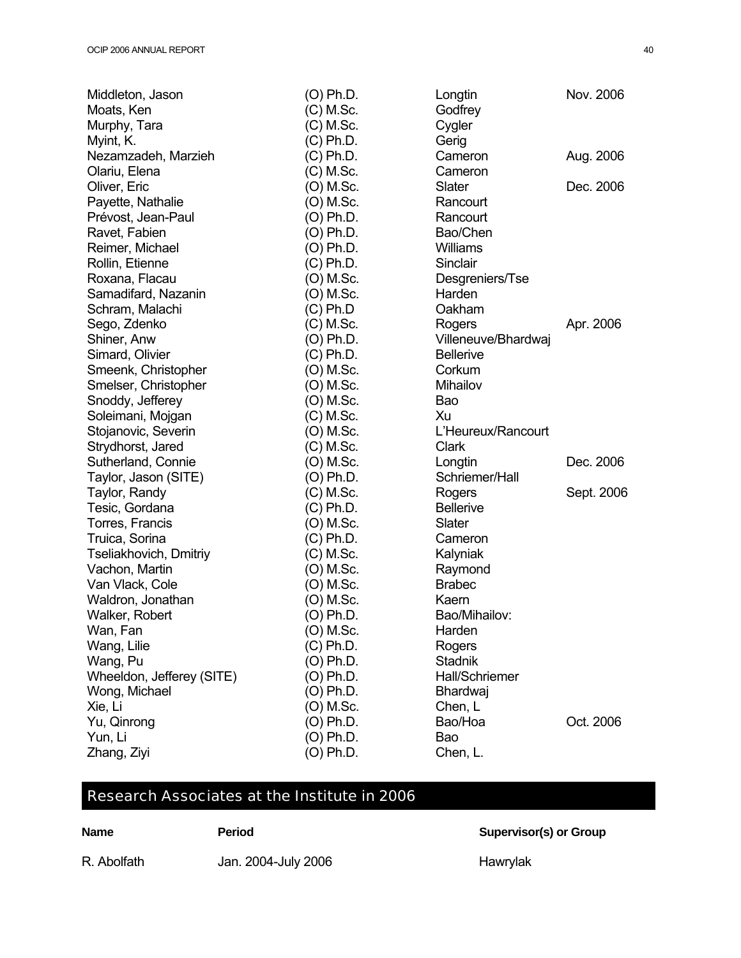| Middleton, Jason          | (O) Ph.D.   | Longtin               | Nov. 2006  |
|---------------------------|-------------|-----------------------|------------|
| Moats, Ken                | $(C)$ M.Sc. | Godfrey               |            |
| Murphy, Tara              | $(C)$ M.Sc. | Cygler                |            |
| Myint, K.                 | $(C)$ Ph.D. | Gerig                 |            |
| Nezamzadeh, Marzieh       | $(C)$ Ph.D. | Cameron               | Aug. 2006  |
| Olariu, Elena             | (C) M.Sc.   | Cameron               |            |
| Oliver, Eric              | (O) M.Sc.   | Slater                | Dec. 2006  |
| Payette, Nathalie         | (O) M.Sc.   | Rancourt              |            |
| Prévost, Jean-Paul        | (O) Ph.D.   | Rancourt              |            |
| Ravet, Fabien             | (O) Ph.D.   | Bao/Chen              |            |
| Reimer, Michael           | (O) Ph.D.   | <b>Williams</b>       |            |
| Rollin, Etienne           | (C) Ph.D.   | Sinclair              |            |
| Roxana, Flacau            | (O) M.Sc.   | Desgreniers/Tse       |            |
| Samadifard, Nazanin       | (O) M.Sc.   | Harden                |            |
| Schram, Malachi           | (C) Ph.D    | Oakham                |            |
| Sego, Zdenko              | (C) M.Sc.   | Rogers                | Apr. 2006  |
| Shiner, Anw               | (O) Ph.D.   | Villeneuve/Bhardwaj   |            |
| Simard, Olivier           | (C) Ph.D.   | <b>Bellerive</b>      |            |
| Smeenk, Christopher       | (O) M.Sc.   | Corkum                |            |
| Smelser, Christopher      | (O) M.Sc.   | Mihailov              |            |
| Snoddy, Jefferey          | (O) M.Sc.   | Bao                   |            |
| Soleimani, Mojgan         | $(C)$ M.Sc. | Xu                    |            |
| Stojanovic, Severin       | (O) M.Sc.   | L'Heureux/Rancourt    |            |
| Strydhorst, Jared         | $(C)$ M.Sc. | Clark                 |            |
| Sutherland, Connie        | (O) M.Sc.   | Longtin               | Dec. 2006  |
| Taylor, Jason (SITE)      | (O) Ph.D.   | Schriemer/Hall        |            |
| Taylor, Randy             | $(C)$ M.Sc. | Rogers                | Sept. 2006 |
| Tesic, Gordana            | $(C)$ Ph.D. | <b>Bellerive</b>      |            |
| Torres, Francis           | (O) M.Sc.   | Slater                |            |
| Truica, Sorina            | (C) Ph.D.   | Cameron               |            |
| Tseliakhovich, Dmitriy    | $(C)$ M.Sc. | Kalyniak              |            |
| Vachon, Martin            | (O) M.Sc.   | Raymond               |            |
| Van Vlack, Cole           | (O) M.Sc.   | <b>Brabec</b>         |            |
| Waldron, Jonathan         | (O) M.Sc.   | Kaern                 |            |
| Walker, Robert            | (O) Ph.D.   | Bao/Mihailov:         |            |
| Wan, Fan                  | (O) M.Sc.   | Harden                |            |
| Wang, Lilie               | $(C)$ Ph.D. | Rogers                |            |
| Wang, Pu                  | (O) Ph.D.   | Stadnik               |            |
| Wheeldon, Jefferey (SITE) | (O) Ph.D.   | <b>Hall/Schriemer</b> |            |
| Wong, Michael             | (O) Ph.D.   | <b>Bhardwaj</b>       |            |
| Xie, Li                   | (O) M.Sc.   | Chen, L               |            |
| Yu, Qinrong               | (O) Ph.D.   | Bao/Hoa               | Oct. 2006  |
| Yun, Li                   | (O) Ph.D.   | Bao                   |            |
| Zhang, Ziyi               | (O) Ph.D.   | Chen, L.              |            |

# Research Associates at the Institute in 2006

| ı<br>ı<br>÷<br>۰, |  |
|-------------------|--|
|-------------------|--|

**Name Period** Supervisor(s) or Group

R. Abolfath Jan. 2004-July 2006 Hawrylak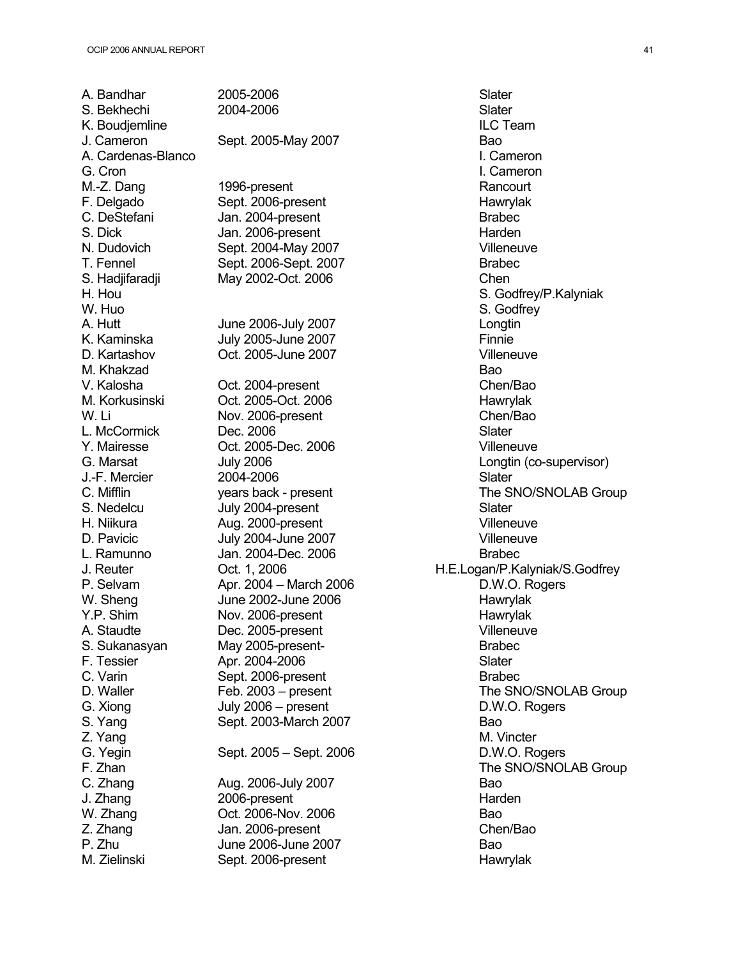A. Bandhar 2005-2006 **Slater** Slater M. Zielinski Sept. 2006-present Hawrylak

S. Bekhechi 2004-2006 Slater K. Boudjemline **ILC Team** J. Cameron Sept. 2005-May 2007 Bao A. Cardenas-Blanco I. Cameron G. Cron **I. Cameron** M.-Z. Dang 1996-present Rancourt F. Delgado Sept. 2006-present entry and Hawrylak C. DeStefani Jan. 2004-present Brabec S. Dick Jan. 2006-present Janes Harden N. Dudovich Sept. 2004-May 2007 Villeneuve T. Fennel Sept. 2006-Sept. 2007 Brabec S. Hadjifaradji May 2002-Oct. 2006 Chen W. Huo S. Godfrey S. Godfrey S. Godfrey S. Godfrey S. Godfrey S. Godfrey S. Godfrey S. Godfrey S. Godfrey S. Godfrey S. Godfrey S. Godfrey S. Godfrey S. Godfrey S. Godfrey S. Godfrey S. Godfrey S. Godfrey S. Godfrey S. God A. Hutt **IV** June 2006-July 2007 K. Kaminska July 2005-June 2007 Finnie D. Kartashov Oct. 2005-June 2007 Villeneuve M. Khakzad Bao V. Kalosha Cot. 2004-present Chen/Bao M. Korkusinski Oct. 2005-Oct. 2006 Hawrylak W. Li Nov. 2006-present Chen/Bao L. McCormick Dec. 2006 Slater Y. Mairesse Oct. 2005-Dec. 2006 Villeneuve J.-F. Mercier 2004-2006 Slater S. Nedelcu July 2004-present Slater H. Niikura Aug. 2000-present Villeneuve D. Pavicic **Contains United States July 2004-June 2007** Contains the Villeneuve L. Ramunno Jan. 2004-Dec. 2006 Brabec P. Selvam Apr. 2004 – March 2006 D.W.O. Rogers W. Sheng June 2002-June 2006 Y.P. Shim Nov. 2006-present November 2006-present A. Staudte Dec. 2005-present Villeneuve S. Sukanasyan May 2005-present- Brabec F. Tessier Apr. 2004-2006 Slater C. Varin Sept. 2006-present C. Varin Brabec G. Xiong July 2006 – present D.W.O. Rogers S. Yang Sept. 2003-March 2007 Z. Yang M. Vincter and M. Vincter G. Yegin Sept. 2005 – Sept. 2006 D.W.O. Rogers C. Zhang **Aug.** 2006-July 2007 J. Zhang 2006-present Harden W. Zhang **Det.** 2006-Nov. 2006 **Bao** Z. Zhang Jan. 2006-present Chen/Bao P. Zhu June 2006-June 2007

H. Hou S. Godfrey/P.Kalyniak G. Marsat July 2006 Longtin (co-supervisor) C. Mifflin The SNO/SNOLAB Group J. Reuter Oct. 1, 2006 H.E.Logan/P.Kalyniak/S.Godfrey D. Waller Feb. 2003 – present The SNO/SNOLAB Group F. Zhan The SNO/SNOLAB Group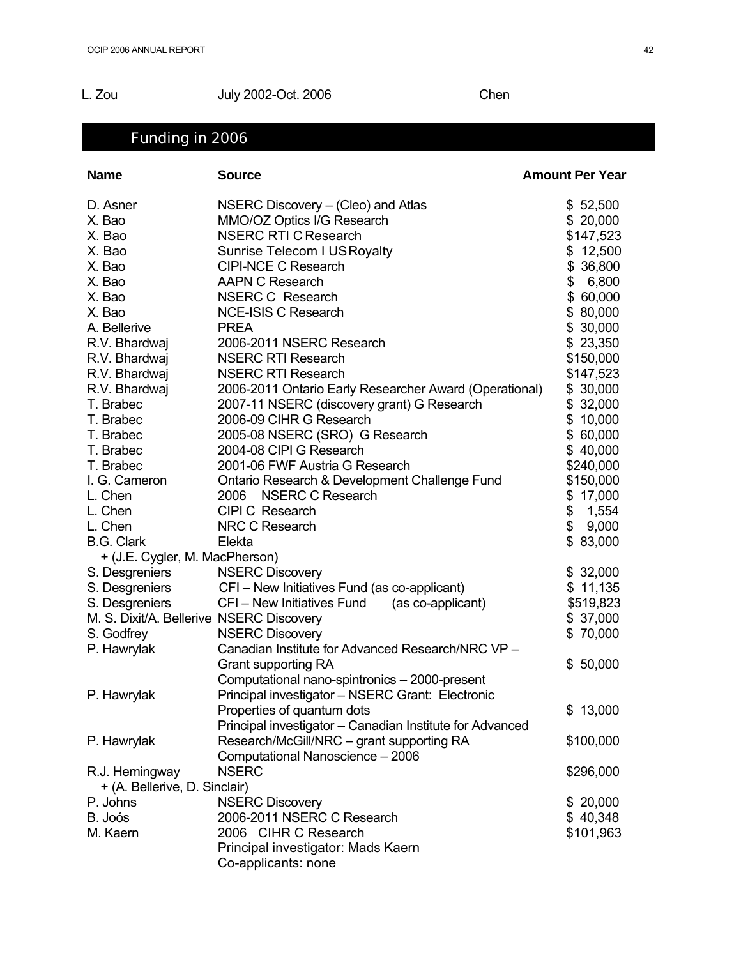### L. Zou July 2002-Oct. 2006 Chen

# Funding in 2006

| <b>Name</b>                              | <b>Source</b>                                            | <b>Amount Per Year</b> |
|------------------------------------------|----------------------------------------------------------|------------------------|
| D. Asner                                 | NSERC Discovery - (Cleo) and Atlas                       | \$52,500               |
| X. Bao                                   | MMO/OZ Optics I/G Research                               | \$20,000               |
| X. Bao                                   | <b>NSERC RTI C Research</b>                              | \$147,523              |
| X. Bao                                   | Sunrise Telecom I US Royalty                             | \$12,500               |
| X. Bao                                   | <b>CIPI-NCE C Research</b>                               | \$ 36,800              |
| X. Bao                                   | <b>AAPN C Research</b>                                   | \$<br>6,800            |
| X. Bao                                   | <b>NSERC C Research</b>                                  | \$60,000               |
| X. Bao                                   | <b>NCE-ISIS C Research</b>                               | \$80,000               |
| A. Bellerive                             | <b>PREA</b>                                              | \$30,000               |
| R.V. Bhardwaj                            | 2006-2011 NSERC Research                                 | \$23,350               |
| R.V. Bhardwaj                            | <b>NSERC RTI Research</b>                                | \$150,000              |
| R.V. Bhardwaj                            | <b>NSERC RTI Research</b>                                | \$147,523              |
| R.V. Bhardwaj                            | 2006-2011 Ontario Early Researcher Award (Operational)   | \$30,000               |
| T. Brabec                                | 2007-11 NSERC (discovery grant) G Research               | \$32,000               |
| T. Brabec                                | 2006-09 CIHR G Research                                  | \$10,000               |
| T. Brabec                                | 2005-08 NSERC (SRO) G Research                           | \$60,000               |
| T. Brabec                                | 2004-08 CIPI G Research                                  | \$40,000               |
| T. Brabec                                | 2001-06 FWF Austria G Research                           | \$240,000              |
| I. G. Cameron                            | Ontario Research & Development Challenge Fund            | \$150,000              |
| L. Chen                                  | <b>NSERC C Research</b><br>2006                          | \$17,000               |
| L. Chen                                  | CIPI C Research                                          | 1,554<br>\$            |
| L. Chen                                  | NRC C Research                                           | \$<br>9,000            |
| <b>B.G. Clark</b>                        | Elekta                                                   | \$83,000               |
| + (J.E. Cygler, M. MacPherson)           |                                                          |                        |
| S. Desgreniers                           | <b>NSERC Discovery</b>                                   | \$32,000               |
| S. Desgreniers                           | CFI - New Initiatives Fund (as co-applicant)             | \$11,135               |
| S. Desgreniers                           | CFI - New Initiatives Fund<br>(as co-applicant)          | \$519,823              |
| M. S. Dixit/A. Bellerive NSERC Discovery |                                                          | \$37,000               |
| S. Godfrey                               | <b>NSERC Discovery</b>                                   | \$70,000               |
| P. Hawrylak                              | Canadian Institute for Advanced Research/NRC VP -        |                        |
|                                          | Grant supporting RA                                      | \$50,000               |
|                                          | Computational nano-spintronics - 2000-present            |                        |
| P. Hawrylak                              | Principal investigator - NSERC Grant: Electronic         |                        |
|                                          | Properties of quantum dots                               | \$13,000               |
|                                          | Principal investigator - Canadian Institute for Advanced |                        |
| P. Hawrylak                              | Research/McGill/NRC - grant supporting RA                | \$100,000              |
|                                          | Computational Nanoscience - 2006                         |                        |
| R.J. Hemingway                           | <b>NSERC</b>                                             | \$296,000              |
| + (A. Bellerive, D. Sinclair)            |                                                          |                        |
| P. Johns                                 | <b>NSERC Discovery</b>                                   | \$20,000               |
| B. Joós                                  | 2006-2011 NSERC C Research                               | \$40,348               |
| M. Kaern                                 | 2006 CIHR C Research                                     | \$101,963              |
|                                          | Principal investigator: Mads Kaern                       |                        |
|                                          | Co-applicants: none                                      |                        |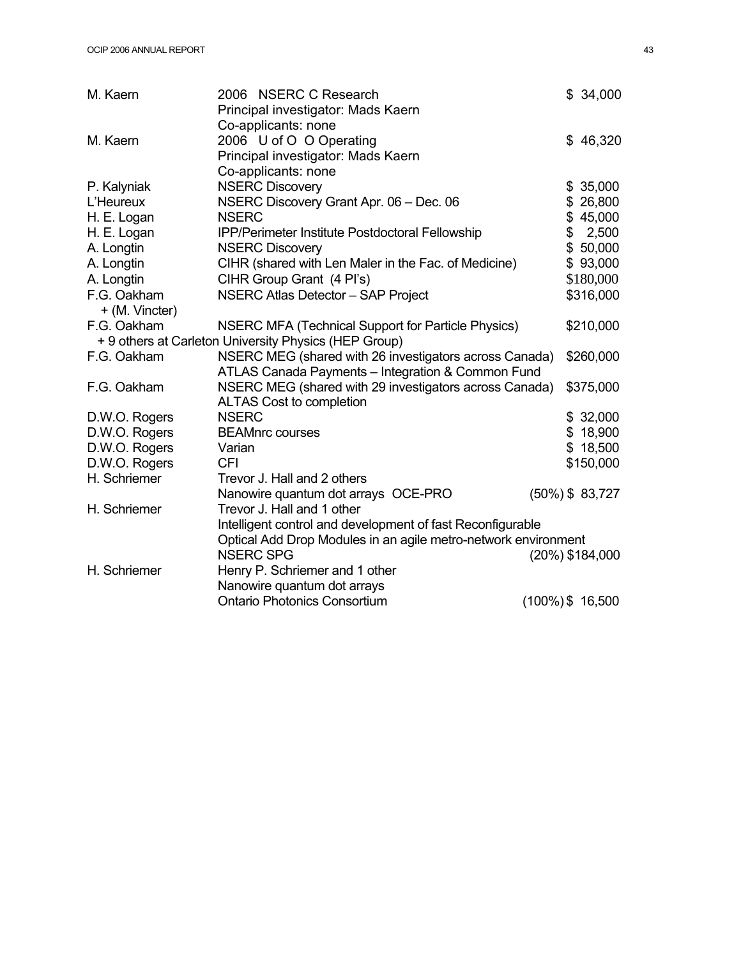| M. Kaern                      | 2006 NSERC C Research                                          | \$34,000            |  |
|-------------------------------|----------------------------------------------------------------|---------------------|--|
|                               | Principal investigator: Mads Kaern                             |                     |  |
|                               | Co-applicants: none                                            |                     |  |
| M. Kaern                      | 2006 U of O O Operating                                        | \$46,320            |  |
|                               | Principal investigator: Mads Kaern                             |                     |  |
|                               | Co-applicants: none                                            |                     |  |
| P. Kalyniak                   | <b>NSERC Discovery</b>                                         | \$35,000            |  |
| L'Heureux                     | NSERC Discovery Grant Apr. 06 - Dec. 06                        | \$26,800            |  |
| H. E. Logan                   | <b>NSERC</b>                                                   | \$45,000            |  |
| H. E. Logan                   | IPP/Perimeter Institute Postdoctoral Fellowship                | \$2,500             |  |
| A. Longtin                    | <b>NSERC Discovery</b>                                         | \$50,000            |  |
| A. Longtin                    | CIHR (shared with Len Maler in the Fac. of Medicine)           | \$93,000            |  |
| A. Longtin                    | CIHR Group Grant (4 Pl's)                                      | \$180,000           |  |
| F.G. Oakham<br>+ (M. Vincter) | NSERC Atlas Detector - SAP Project                             | \$316,000           |  |
| F.G. Oakham                   | NSERC MFA (Technical Support for Particle Physics)             | \$210,000           |  |
|                               | + 9 others at Carleton University Physics (HEP Group)          |                     |  |
| F.G. Oakham                   | NSERC MEG (shared with 26 investigators across Canada)         | \$260,000           |  |
|                               | ATLAS Canada Payments - Integration & Common Fund              |                     |  |
| F.G. Oakham                   | NSERC MEG (shared with 29 investigators across Canada)         | \$375,000           |  |
|                               | <b>ALTAS Cost to completion</b>                                |                     |  |
| D.W.O. Rogers                 | <b>NSERC</b>                                                   | \$32,000            |  |
| D.W.O. Rogers                 | <b>BEAMnrc courses</b>                                         | \$18,900            |  |
| D.W.O. Rogers                 | Varian                                                         | \$18,500            |  |
| D.W.O. Rogers                 | <b>CFI</b>                                                     | \$150,000           |  |
| H. Schriemer                  | Trevor J. Hall and 2 others                                    |                     |  |
|                               | Nanowire quantum dot arrays OCE-PRO                            | $(50\%)$ \$ 83,727  |  |
| H. Schriemer                  | Trevor J. Hall and 1 other                                     |                     |  |
|                               | Intelligent control and development of fast Reconfigurable     |                     |  |
|                               | Optical Add Drop Modules in an agile metro-network environment |                     |  |
|                               | <b>NSERC SPG</b>                                               | (20%) \$184,000     |  |
| H. Schriemer                  | Henry P. Schriemer and 1 other                                 |                     |  |
|                               | Nanowire quantum dot arrays                                    |                     |  |
|                               | <b>Ontario Photonics Consortium</b>                            | $(100\%)$ \$ 16,500 |  |